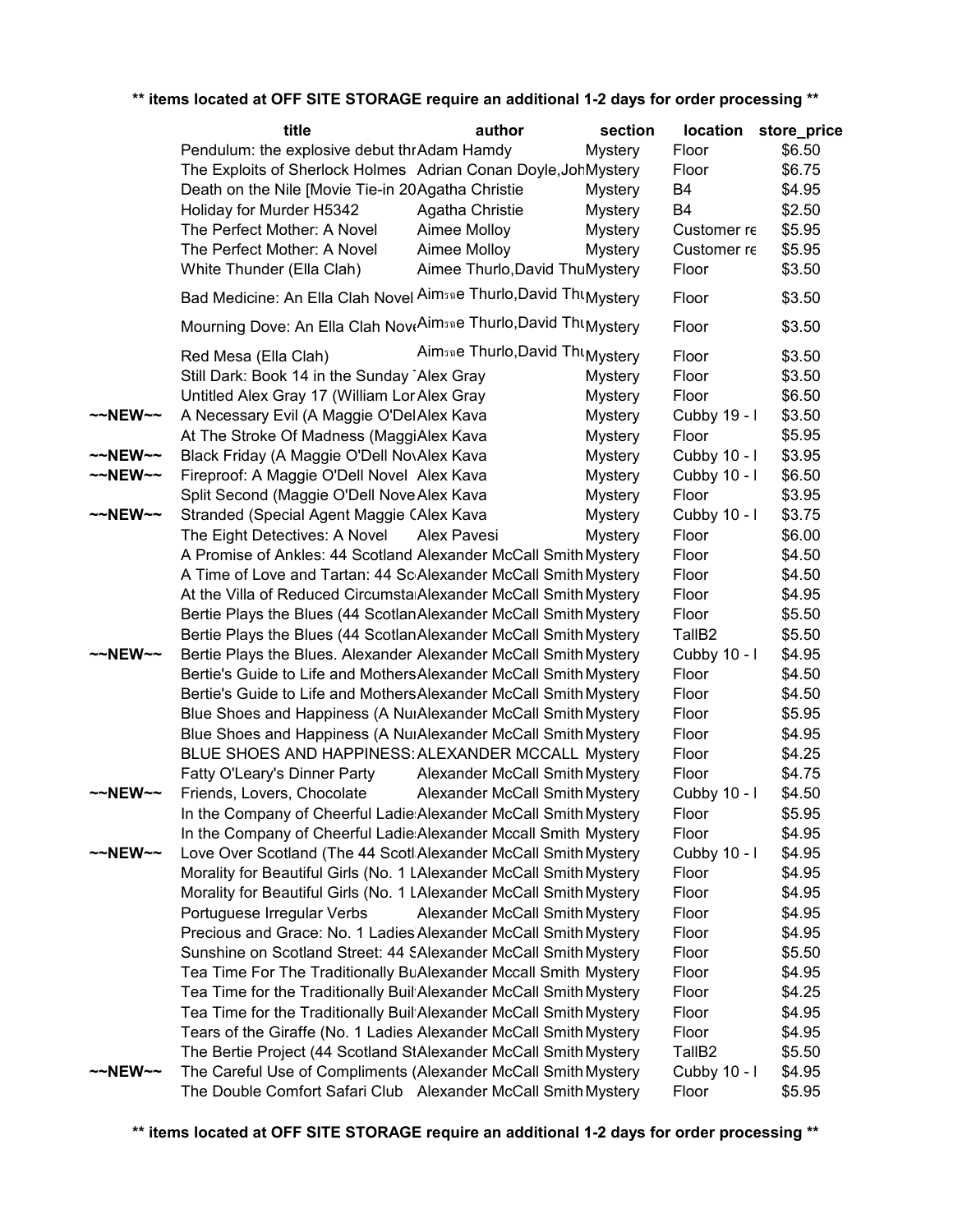|                   | title                                                                                     | author                                                   | section        |                    | location store_price |
|-------------------|-------------------------------------------------------------------------------------------|----------------------------------------------------------|----------------|--------------------|----------------------|
|                   | Pendulum: the explosive debut thrAdam Hamdy                                               |                                                          | <b>Mystery</b> | Floor              | \$6.50               |
|                   | The Exploits of Sherlock Holmes Adrian Conan Doyle, JohMystery                            |                                                          |                | Floor              | \$6.75               |
|                   | Death on the Nile [Movie Tie-in 20 Agatha Christie                                        |                                                          | Mystery        | B4                 | \$4.95               |
|                   | Holiday for Murder H5342                                                                  | Agatha Christie                                          | Mystery        | B4                 | \$2.50               |
|                   | The Perfect Mother: A Novel                                                               | Aimee Molloy                                             | Mystery        | Customer re        | \$5.95               |
|                   | The Perfect Mother: A Novel                                                               | Aimee Molloy                                             | Mystery        | Customer re        | \$5.95               |
|                   | White Thunder (Ella Clah)                                                                 | Aimee Thurlo, David ThuMystery                           |                | Floor              | \$3.50               |
|                   | Bad Medicine: An Ella Clah Novel Aim <sub>30</sub> e Thurlo, David Thu <sub>Mystery</sub> |                                                          |                | Floor              | \$3.50               |
|                   | Mourning Dove: An Ella Clah NoveAim <sub>3Re</sub> Thurlo, David Thu <sub>Mystery</sub>   |                                                          |                | Floor              | \$3.50               |
|                   | Red Mesa (Ella Clah)                                                                      | Aim <sub>3R</sub> e Thurlo, David Thu <sub>Mystery</sub> |                | Floor              | \$3.50               |
|                   | Still Dark: Book 14 in the Sunday Alex Gray                                               |                                                          | <b>Mystery</b> | Floor              | \$3.50               |
|                   | Untitled Alex Gray 17 (William Lor Alex Gray                                              |                                                          | <b>Mystery</b> | Floor              | \$6.50               |
| ~~NEW~~           | A Necessary Evil (A Maggie O'DelAlex Kava                                                 |                                                          | Mystery        | Cubby 19 - I       | \$3.50               |
|                   | At The Stroke Of Madness (MaggiAlex Kava                                                  |                                                          | <b>Mystery</b> | Floor              | \$5.95               |
| $\sim$ NEW $\sim$ | Black Friday (A Maggie O'Dell NovAlex Kava                                                |                                                          | Mystery        | Cubby 10 - I       | \$3.95               |
| ~~NEW~~           | Fireproof: A Maggie O'Dell Novel Alex Kava                                                |                                                          | Mystery        | Cubby 10 - I       | \$6.50               |
|                   | Split Second (Maggie O'Dell Nove Alex Kava                                                |                                                          | Mystery        | Floor              | \$3.95               |
| ~~NEW~~           | Stranded (Special Agent Maggie CAlex Kava                                                 |                                                          | <b>Mystery</b> | Cubby 10 - I       | \$3.75               |
|                   | The Eight Detectives: A Novel                                                             | Alex Pavesi                                              | <b>Mystery</b> | Floor              | \$6.00               |
|                   | A Promise of Ankles: 44 Scotland Alexander McCall Smith Mystery                           |                                                          |                | Floor              | \$4.50               |
|                   | A Time of Love and Tartan: 44 Sc Alexander McCall Smith Mystery                           |                                                          |                | Floor              | \$4.50               |
|                   | At the Villa of Reduced CircumstalAlexander McCall Smith Mystery                          |                                                          |                | Floor              | \$4.95               |
|                   | Bertie Plays the Blues (44 Scotlan Alexander McCall Smith Mystery                         |                                                          |                | Floor              | \$5.50               |
|                   | Bertie Plays the Blues (44 Scotlan Alexander McCall Smith Mystery                         |                                                          |                | TallB <sub>2</sub> | \$5.50               |
| ~~NEW~~           | Bertie Plays the Blues. Alexander Alexander McCall Smith Mystery                          |                                                          |                | Cubby 10 - I       | \$4.95               |
|                   | Bertie's Guide to Life and Mothers Alexander McCall Smith Mystery                         |                                                          |                | Floor              | \$4.50               |
|                   | Bertie's Guide to Life and Mothers Alexander McCall Smith Mystery                         |                                                          |                | Floor              | \$4.50               |
|                   | Blue Shoes and Happiness (A NuiAlexander McCall Smith Mystery                             |                                                          |                | Floor              | \$5.95               |
|                   | Blue Shoes and Happiness (A NuiAlexander McCall Smith Mystery                             |                                                          |                | Floor              | \$4.95               |
|                   | BLUE SHOES AND HAPPINESS: ALEXANDER MCCALL Mystery                                        |                                                          |                | Floor              | \$4.25               |
|                   | Fatty O'Leary's Dinner Party                                                              | Alexander McCall Smith Mystery                           |                | Floor              | \$4.75               |
| ~~NEW~~           | Friends, Lovers, Chocolate                                                                | Alexander McCall Smith Mystery                           |                | Cubby 10 - I       | \$4.50               |
|                   | In the Company of Cheerful Ladie: Alexander McCall Smith Mystery                          |                                                          |                | Floor              | \$5.95               |
|                   | In the Company of Cheerful Ladie: Alexander Mccall Smith Mystery                          |                                                          |                | Floor              | \$4.95               |
| ~~NEW~~           | Love Over Scotland (The 44 Scotl Alexander McCall Smith Mystery                           |                                                          |                | Cubby 10 - I       | \$4.95               |
|                   | Morality for Beautiful Girls (No. 1 LAlexander McCall Smith Mystery                       |                                                          |                | Floor              | \$4.95               |
|                   | Morality for Beautiful Girls (No. 1 LAlexander McCall Smith Mystery                       |                                                          |                | Floor              | \$4.95               |
|                   | Portuguese Irregular Verbs                                                                | Alexander McCall Smith Mystery                           |                | Floor              | \$4.95               |
|                   | Precious and Grace: No. 1 Ladies Alexander McCall Smith Mystery                           |                                                          |                | Floor              | \$4.95               |
|                   | Sunshine on Scotland Street: 44 SAlexander McCall Smith Mystery                           |                                                          |                | Floor              | \$5.50               |
|                   | Tea Time For The Traditionally BuAlexander Mccall Smith Mystery                           |                                                          |                | Floor              | \$4.95               |
|                   | Tea Time for the Traditionally Buil Alexander McCall Smith Mystery                        |                                                          |                | Floor              | \$4.25               |
|                   | Tea Time for the Traditionally Buil Alexander McCall Smith Mystery                        |                                                          |                |                    |                      |
|                   |                                                                                           |                                                          |                | Floor              | \$4.95               |
|                   | Tears of the Giraffe (No. 1 Ladies Alexander McCall Smith Mystery                         |                                                          |                | Floor              | \$4.95               |
|                   | The Bertie Project (44 Scotland StAlexander McCall Smith Mystery                          |                                                          |                | TallB <sub>2</sub> | \$5.50               |
| ~~NEW~~           | The Careful Use of Compliments (Alexander McCall Smith Mystery                            |                                                          |                | Cubby 10 - I       | \$4.95               |
|                   | The Double Comfort Safari Club Alexander McCall Smith Mystery                             |                                                          |                | Floor              | \$5.95               |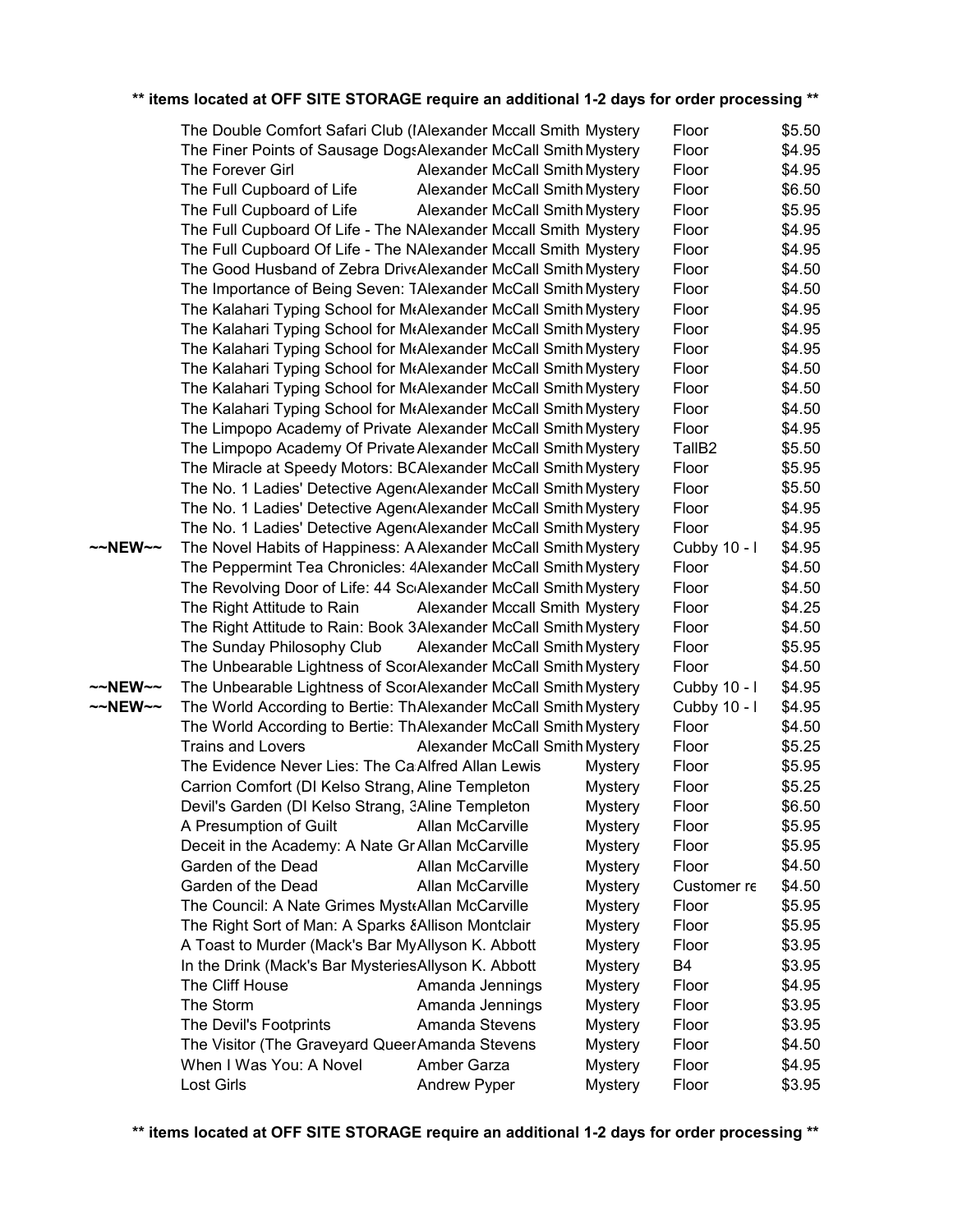|         | The Double Comfort Safari Club (IAlexander Mccall Smith Mystery  |                                       |                | Floor              | \$5.50 |
|---------|------------------------------------------------------------------|---------------------------------------|----------------|--------------------|--------|
|         | The Finer Points of Sausage DogsAlexander McCall Smith Mystery   |                                       |                | Floor              | \$4.95 |
|         | The Forever Girl                                                 | <b>Alexander McCall Smith Mystery</b> |                | Floor              | \$4.95 |
|         | The Full Cupboard of Life                                        | Alexander McCall Smith Mystery        |                | Floor              | \$6.50 |
|         | The Full Cupboard of Life                                        | Alexander McCall Smith Mystery        |                | Floor              | \$5.95 |
|         | The Full Cupboard Of Life - The NAlexander Mccall Smith Mystery  |                                       |                | Floor              | \$4.95 |
|         | The Full Cupboard Of Life - The NAIexander Mccall Smith Mystery  |                                       |                | Floor              | \$4.95 |
|         | The Good Husband of Zebra DriveAlexander McCall Smith Mystery    |                                       |                | Floor              | \$4.50 |
|         | The Importance of Being Seven: TAlexander McCall Smith Mystery   |                                       |                | Floor              | \$4.50 |
|         | The Kalahari Typing School for MtAlexander McCall Smith Mystery  |                                       |                | Floor              | \$4.95 |
|         | The Kalahari Typing School for MtAlexander McCall Smith Mystery  |                                       |                | Floor              | \$4.95 |
|         | The Kalahari Typing School for MtAlexander McCall Smith Mystery  |                                       |                | Floor              | \$4.95 |
|         | The Kalahari Typing School for MtAlexander McCall Smith Mystery  |                                       |                | Floor              | \$4.50 |
|         | The Kalahari Typing School for MtAlexander McCall Smith Mystery  |                                       |                | Floor              | \$4.50 |
|         | The Kalahari Typing School for MtAlexander McCall Smith Mystery  |                                       |                | Floor              | \$4.50 |
|         | The Limpopo Academy of Private Alexander McCall Smith Mystery    |                                       |                | Floor              | \$4.95 |
|         | The Limpopo Academy Of Private Alexander McCall Smith Mystery    |                                       |                | TallB <sub>2</sub> | \$5.50 |
|         | The Miracle at Speedy Motors: BCAlexander McCall Smith Mystery   |                                       |                | Floor              | \$5.95 |
|         | The No. 1 Ladies' Detective Agen (Alexander McCall Smith Mystery |                                       |                | Floor              | \$5.50 |
|         | The No. 1 Ladies' Detective Agen (Alexander McCall Smith Mystery |                                       |                | Floor              | \$4.95 |
|         | The No. 1 Ladies' Detective Agen (Alexander McCall Smith Mystery |                                       |                | Floor              | \$4.95 |
| ~~NEW~~ | The Novel Habits of Happiness: A Alexander McCall Smith Mystery  |                                       |                | Cubby 10 - I       | \$4.95 |
|         | The Peppermint Tea Chronicles: 4Alexander McCall Smith Mystery   |                                       |                | Floor              | \$4.50 |
|         | The Revolving Door of Life: 44 Sc Alexander McCall Smith Mystery |                                       |                | Floor              | \$4.50 |
|         | The Right Attitude to Rain                                       | Alexander Mccall Smith Mystery        |                | Floor              | \$4.25 |
|         | The Right Attitude to Rain: Book 3Alexander McCall Smith Mystery |                                       |                | Floor              | \$4.50 |
|         | The Sunday Philosophy Club                                       | Alexander McCall Smith Mystery        |                | Floor              | \$5.95 |
|         | The Unbearable Lightness of ScorAlexander McCall Smith Mystery   |                                       |                | Floor              | \$4.50 |
| ~~NEW~~ | The Unbearable Lightness of ScorAlexander McCall Smith Mystery   |                                       |                | Cubby 10 - I       | \$4.95 |
| ~~NEW~~ | The World According to Bertie: ThAlexander McCall Smith Mystery  |                                       |                | Cubby 10 - I       | \$4.95 |
|         | The World According to Bertie: ThAlexander McCall Smith Mystery  |                                       |                | Floor              | \$4.50 |
|         | <b>Trains and Lovers</b>                                         | Alexander McCall Smith Mystery        |                | Floor              | \$5.25 |
|         | The Evidence Never Lies: The Ca Alfred Allan Lewis               |                                       | <b>Mystery</b> | Floor              | \$5.95 |
|         | Carrion Comfort (DI Kelso Strang, Aline Templeton                |                                       | <b>Mystery</b> | Floor              | \$5.25 |
|         | Devil's Garden (DI Kelso Strang, 3Aline Templeton                |                                       | <b>Mystery</b> | Floor              | \$6.50 |
|         | A Presumption of Guilt                                           | <b>Allan McCarville</b>               | <b>Mystery</b> | Floor              | \$5.95 |
|         | Deceit in the Academy: A Nate GriAllan McCarville                |                                       | <b>Mystery</b> | Floor              | \$5.95 |
|         | Garden of the Dead                                               | <b>Allan McCarville</b>               | <b>Mystery</b> | Floor              | \$4.50 |
|         | Garden of the Dead                                               | Allan McCarville                      | <b>Mystery</b> | Customer re        | \$4.50 |
|         | The Council: A Nate Grimes Myst Allan McCarville                 |                                       | <b>Mystery</b> | Floor              | \$5.95 |
|         | The Right Sort of Man: A Sparks & Allison Montclair              |                                       | <b>Mystery</b> | Floor              | \$5.95 |
|         | A Toast to Murder (Mack's Bar MyAllyson K. Abbott                |                                       | <b>Mystery</b> | Floor              | \$3.95 |
|         | In the Drink (Mack's Bar Mysteries Allyson K. Abbott             |                                       | <b>Mystery</b> | B <sub>4</sub>     | \$3.95 |
|         | The Cliff House                                                  | Amanda Jennings                       | <b>Mystery</b> | Floor              | \$4.95 |
|         | The Storm                                                        | Amanda Jennings                       | <b>Mystery</b> | Floor              | \$3.95 |
|         | The Devil's Footprints                                           | Amanda Stevens                        | <b>Mystery</b> | Floor              | \$3.95 |
|         | The Visitor (The Graveyard QueerAmanda Stevens                   |                                       | <b>Mystery</b> | Floor              | \$4.50 |
|         | When I Was You: A Novel                                          | Amber Garza                           | <b>Mystery</b> | Floor              | \$4.95 |
|         | <b>Lost Girls</b>                                                | Andrew Pyper                          | Mystery        | Floor              | \$3.95 |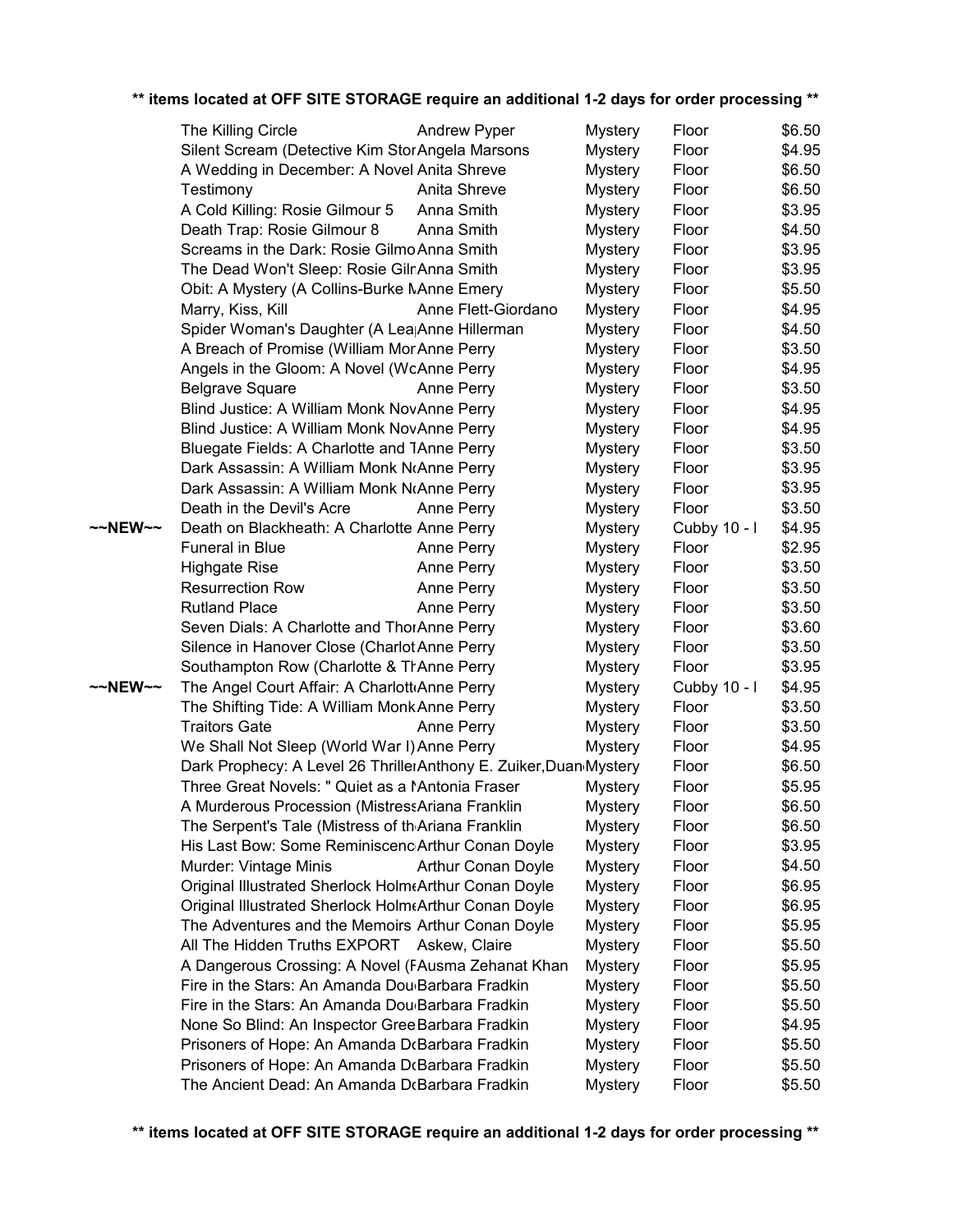|         | The Killing Circle                                                | <b>Andrew Pyper</b>       | <b>Mystery</b> | Floor        | \$6.50 |
|---------|-------------------------------------------------------------------|---------------------------|----------------|--------------|--------|
|         | Silent Scream (Detective Kim Stor Angela Marsons                  |                           | <b>Mystery</b> | Floor        | \$4.95 |
|         | A Wedding in December: A Novel Anita Shreve                       |                           | <b>Mystery</b> | Floor        | \$6.50 |
|         | Testimony                                                         | Anita Shreve              | <b>Mystery</b> | Floor        | \$6.50 |
|         | A Cold Killing: Rosie Gilmour 5                                   | Anna Smith                | <b>Mystery</b> | Floor        | \$3.95 |
|         | Death Trap: Rosie Gilmour 8                                       | Anna Smith                | <b>Mystery</b> | Floor        | \$4.50 |
|         | Screams in the Dark: Rosie Gilmo Anna Smith                       |                           | <b>Mystery</b> | Floor        | \$3.95 |
|         | The Dead Won't Sleep: Rosie GilnAnna Smith                        |                           | <b>Mystery</b> | Floor        | \$3.95 |
|         | Obit: A Mystery (A Collins-Burke NAnne Emery                      |                           | <b>Mystery</b> | Floor        | \$5.50 |
|         | Marry, Kiss, Kill                                                 | Anne Flett-Giordano       | <b>Mystery</b> | Floor        | \$4.95 |
|         | Spider Woman's Daughter (A Lea <sub>l</sub> Anne Hillerman        |                           | <b>Mystery</b> | Floor        | \$4.50 |
|         | A Breach of Promise (William MorAnne Perry                        |                           | <b>Mystery</b> | Floor        | \$3.50 |
|         | Angels in the Gloom: A Novel (WoAnne Perry                        |                           | <b>Mystery</b> | Floor        | \$4.95 |
|         | <b>Belgrave Square</b>                                            | Anne Perry                | <b>Mystery</b> | Floor        | \$3.50 |
|         | Blind Justice: A William Monk NovAnne Perry                       |                           | <b>Mystery</b> | Floor        | \$4.95 |
|         | Blind Justice: A William Monk NovAnne Perry                       |                           | <b>Mystery</b> | Floor        | \$4.95 |
|         | Bluegate Fields: A Charlotte and TAnne Perry                      |                           | <b>Mystery</b> | Floor        | \$3.50 |
|         | Dark Assassin: A William Monk NoAnne Perry                        |                           | <b>Mystery</b> | Floor        | \$3.95 |
|         | Dark Assassin: A William Monk N(Anne Perry                        |                           | <b>Mystery</b> | Floor        | \$3.95 |
|         | Death in the Devil's Acre                                         | Anne Perry                | <b>Mystery</b> | Floor        | \$3.50 |
| ~~NEW~~ | Death on Blackheath: A Charlotte Anne Perry                       |                           | <b>Mystery</b> | Cubby 10 - I | \$4.95 |
|         | Funeral in Blue                                                   | Anne Perry                | <b>Mystery</b> | Floor        | \$2.95 |
|         | <b>Highgate Rise</b>                                              | Anne Perry                | <b>Mystery</b> | Floor        | \$3.50 |
|         | <b>Resurrection Row</b>                                           | Anne Perry                | <b>Mystery</b> | Floor        | \$3.50 |
|         | <b>Rutland Place</b>                                              | Anne Perry                | <b>Mystery</b> | Floor        | \$3.50 |
|         | Seven Dials: A Charlotte and ThorAnne Perry                       |                           | <b>Mystery</b> | Floor        | \$3.60 |
|         | Silence in Hanover Close (Charlot Anne Perry                      |                           | <b>Mystery</b> | Floor        | \$3.50 |
|         | Southampton Row (Charlotte & TrAnne Perry                         |                           | <b>Mystery</b> | Floor        | \$3.95 |
| ~~NEW~~ | The Angel Court Affair: A Charlott Anne Perry                     |                           | <b>Mystery</b> | Cubby 10 - I | \$4.95 |
|         | The Shifting Tide: A William Monk Anne Perry                      |                           | <b>Mystery</b> | Floor        | \$3.50 |
|         | <b>Traitors Gate</b>                                              | Anne Perry                | <b>Mystery</b> | Floor        | \$3.50 |
|         | We Shall Not Sleep (World War I) Anne Perry                       |                           | <b>Mystery</b> | Floor        | \$4.95 |
|         | Dark Prophecy: A Level 26 ThrillerAnthony E. Zuiker, Duan Mystery |                           |                | Floor        | \$6.50 |
|         | Three Great Novels: " Quiet as a MAntonia Fraser                  |                           | <b>Mystery</b> | Floor        | \$5.95 |
|         | A Murderous Procession (MistressAriana Franklin                   |                           | <b>Mystery</b> | Floor        | \$6.50 |
|         | The Serpent's Tale (Mistress of th Ariana Franklin                |                           | <b>Mystery</b> | Floor        | \$6.50 |
|         | His Last Bow: Some Reminiscenc Arthur Conan Doyle                 |                           | <b>Mystery</b> | Floor        | \$3.95 |
|         | Murder: Vintage Minis                                             | <b>Arthur Conan Doyle</b> | <b>Mystery</b> | Floor        | \$4.50 |
|         | Original Illustrated Sherlock Holm Arthur Conan Doyle             |                           | <b>Mystery</b> | Floor        | \$6.95 |
|         | Original Illustrated Sherlock Holm Arthur Conan Doyle             |                           | <b>Mystery</b> | Floor        | \$6.95 |
|         | The Adventures and the Memoirs Arthur Conan Doyle                 |                           | <b>Mystery</b> | Floor        | \$5.95 |
|         | All The Hidden Truths EXPORT Askew, Claire                        |                           | <b>Mystery</b> | Floor        | \$5.50 |
|         | A Dangerous Crossing: A Novel (FAusma Zehanat Khan                |                           | <b>Mystery</b> | Floor        | \$5.95 |
|         | Fire in the Stars: An Amanda Dou <sub>'</sub> Barbara Fradkin     |                           | <b>Mystery</b> | Floor        | \$5.50 |
|         | Fire in the Stars: An Amanda Dou Barbara Fradkin                  |                           | <b>Mystery</b> | Floor        | \$5.50 |
|         | None So Blind: An Inspector Gree Barbara Fradkin                  |                           | <b>Mystery</b> | Floor        | \$4.95 |
|         | Prisoners of Hope: An Amanda DcBarbara Fradkin                    |                           | <b>Mystery</b> | Floor        | \$5.50 |
|         | Prisoners of Hope: An Amanda DcBarbara Fradkin                    |                           | <b>Mystery</b> | Floor        | \$5.50 |
|         | The Ancient Dead: An Amanda D(Barbara Fradkin                     |                           | <b>Mystery</b> | Floor        | \$5.50 |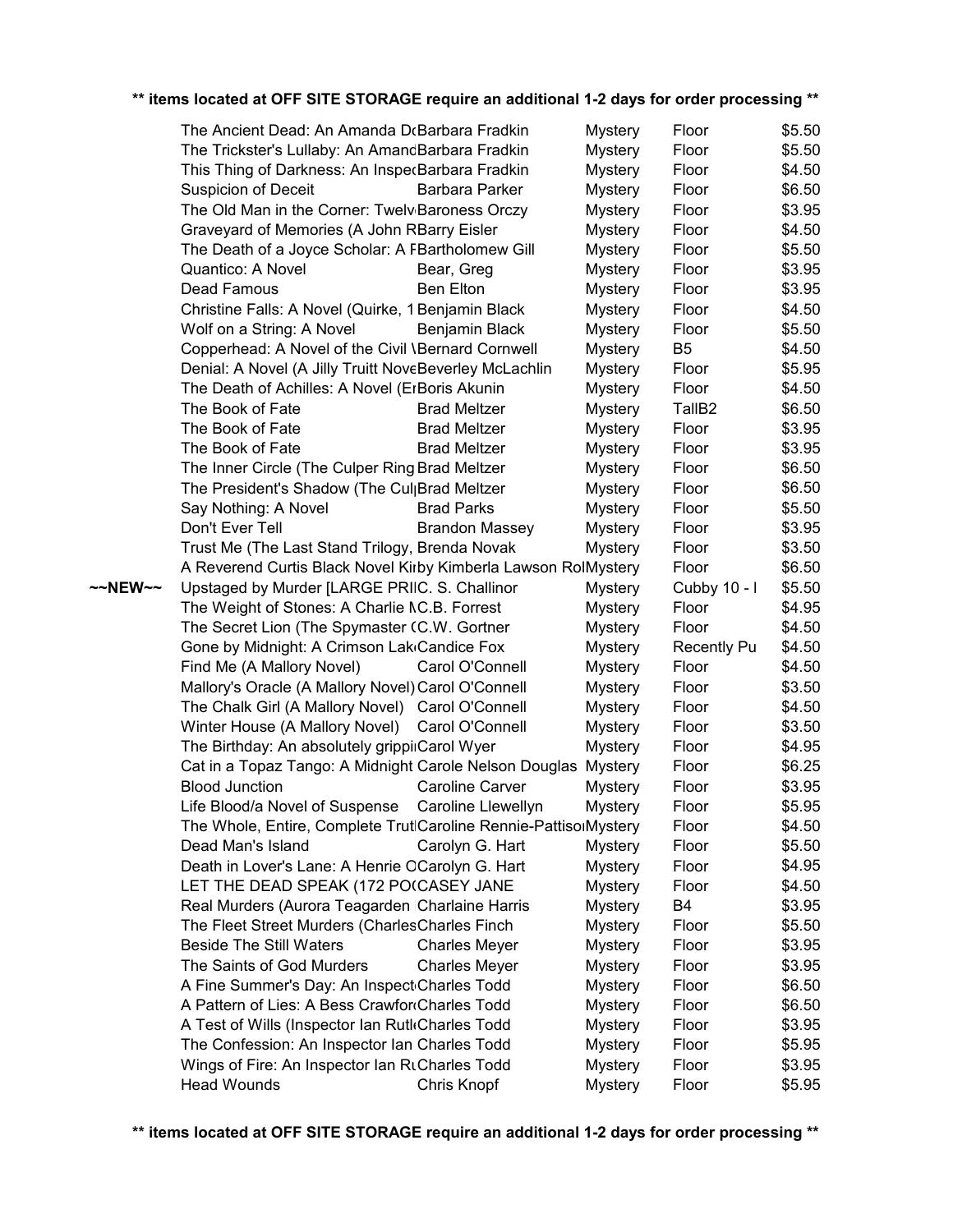|         | The Ancient Dead: An Amanda D(Barbara Fradkin                    |                        | <b>Mystery</b> | Floor              | \$5.50 |
|---------|------------------------------------------------------------------|------------------------|----------------|--------------------|--------|
|         | The Trickster's Lullaby: An AmandBarbara Fradkin                 |                        | <b>Mystery</b> | Floor              | \$5.50 |
|         | This Thing of Darkness: An InspecBarbara Fradkin                 |                        | <b>Mystery</b> | Floor              | \$4.50 |
|         | <b>Suspicion of Deceit</b>                                       | Barbara Parker         | <b>Mystery</b> | Floor              | \$6.50 |
|         | The Old Man in the Corner: Twelv <sub>Baroness</sub> Orczy       |                        | <b>Mystery</b> | Floor              | \$3.95 |
|         | Graveyard of Memories (A John RBarry Eisler                      |                        | <b>Mystery</b> | Floor              | \$4.50 |
|         | The Death of a Joyce Scholar: A FBartholomew Gill                |                        | <b>Mystery</b> | Floor              | \$5.50 |
|         | Quantico: A Novel                                                | Bear, Greg             | <b>Mystery</b> | Floor              | \$3.95 |
|         | Dead Famous                                                      | <b>Ben Elton</b>       | <b>Mystery</b> | Floor              | \$3.95 |
|         | Christine Falls: A Novel (Quirke, 1 Benjamin Black               |                        | <b>Mystery</b> | Floor              | \$4.50 |
|         | Wolf on a String: A Novel                                        | Benjamin Black         | <b>Mystery</b> | Floor              | \$5.50 |
|         | Copperhead: A Novel of the Civil \Bernard Cornwell               |                        | <b>Mystery</b> | B <sub>5</sub>     | \$4.50 |
|         | Denial: A Novel (A Jilly Truitt NoveBeverley McLachlin           |                        | <b>Mystery</b> | Floor              | \$5.95 |
|         | The Death of Achilles: A Novel (ErBoris Akunin                   |                        | <b>Mystery</b> | Floor              | \$4.50 |
|         | The Book of Fate                                                 | <b>Brad Meltzer</b>    | <b>Mystery</b> | TallB <sub>2</sub> | \$6.50 |
|         | The Book of Fate                                                 | <b>Brad Meltzer</b>    | <b>Mystery</b> | Floor              | \$3.95 |
|         | The Book of Fate                                                 | <b>Brad Meltzer</b>    | <b>Mystery</b> | Floor              | \$3.95 |
|         | The Inner Circle (The Culper Ring Brad Meltzer                   |                        | <b>Mystery</b> | Floor              | \$6.50 |
|         | The President's Shadow (The Cul <sub>l</sub> Brad Meltzer        |                        | <b>Mystery</b> | Floor              | \$6.50 |
|         | Say Nothing: A Novel                                             | <b>Brad Parks</b>      | <b>Mystery</b> | Floor              | \$5.50 |
|         | Don't Ever Tell                                                  | <b>Brandon Massey</b>  | <b>Mystery</b> | Floor              | \$3.95 |
|         | Trust Me (The Last Stand Trilogy, Brenda Novak                   |                        | <b>Mystery</b> | Floor              | \$3.50 |
|         | A Reverend Curtis Black Novel Kirby Kimberla Lawson RolMystery   |                        |                | Floor              | \$6.50 |
| ~~NEW~~ | Upstaged by Murder [LARGE PRIIC. S. Challinor                    |                        | <b>Mystery</b> | Cubby 10 - I       | \$5.50 |
|         | The Weight of Stones: A Charlie NC.B. Forrest                    |                        | <b>Mystery</b> | Floor              | \$4.95 |
|         | The Secret Lion (The Spymaster (C.W. Gortner                     |                        | <b>Mystery</b> | Floor              | \$4.50 |
|         | Gone by Midnight: A Crimson Lak Candice Fox                      |                        | <b>Mystery</b> | <b>Recently Pu</b> | \$4.50 |
|         | Find Me (A Mallory Novel)                                        | Carol O'Connell        | <b>Mystery</b> | Floor              | \$4.50 |
|         | Mallory's Oracle (A Mallory Novel) Carol O'Connell               |                        | <b>Mystery</b> | Floor              | \$3.50 |
|         | The Chalk Girl (A Mallory Novel) Carol O'Connell                 |                        | <b>Mystery</b> | Floor              | \$4.50 |
|         | Winter House (A Mallory Novel)                                   | Carol O'Connell        | <b>Mystery</b> | Floor              | \$3.50 |
|         | The Birthday: An absolutely grippiiCarol Wyer                    |                        | <b>Mystery</b> | Floor              | \$4.95 |
|         | Cat in a Topaz Tango: A Midnight Carole Nelson Douglas           |                        | <b>Mystery</b> | Floor              | \$6.25 |
|         | <b>Blood Junction</b>                                            | <b>Caroline Carver</b> | <b>Mystery</b> | Floor              | \$3.95 |
|         | Life Blood/a Novel of Suspense                                   | Caroline Llewellyn     | <b>Mystery</b> | Floor              | \$5.95 |
|         | The Whole, Entire, Complete TrutlCaroline Rennie-PattisolMystery |                        |                | Floor              | \$4.50 |
|         | Dead Man's Island                                                | Carolyn G. Hart        | <b>Mystery</b> | Floor              | \$5.50 |
|         | Death in Lover's Lane: A Henrie OCarolyn G. Hart                 |                        | <b>Mystery</b> | Floor              | \$4.95 |
|         | LET THE DEAD SPEAK (172 PO(CASEY JANE                            |                        | <b>Mystery</b> | Floor              | \$4.50 |
|         | Real Murders (Aurora Teagarden Charlaine Harris                  |                        | <b>Mystery</b> | B <sub>4</sub>     | \$3.95 |
|         | The Fleet Street Murders (CharlesCharles Finch                   |                        | <b>Mystery</b> | Floor              | \$5.50 |
|         | <b>Beside The Still Waters</b>                                   | <b>Charles Meyer</b>   | <b>Mystery</b> | Floor              | \$3.95 |
|         | The Saints of God Murders                                        | <b>Charles Meyer</b>   | <b>Mystery</b> | Floor              | \$3.95 |
|         | A Fine Summer's Day: An Inspect Charles Todd                     |                        | <b>Mystery</b> | Floor              | \$6.50 |
|         | A Pattern of Lies: A Bess Crawfor Charles Todd                   |                        | <b>Mystery</b> | Floor              | \$6.50 |
|         | A Test of Wills (Inspector Ian RutkCharles Todd                  |                        | <b>Mystery</b> | Floor              | \$3.95 |
|         | The Confession: An Inspector Ian Charles Todd                    |                        | <b>Mystery</b> | Floor              | \$5.95 |
|         | Wings of Fire: An Inspector Ian RtCharles Todd                   |                        | <b>Mystery</b> | Floor              | \$3.95 |
|         | <b>Head Wounds</b>                                               | Chris Knopf            | <b>Mystery</b> | Floor              | \$5.95 |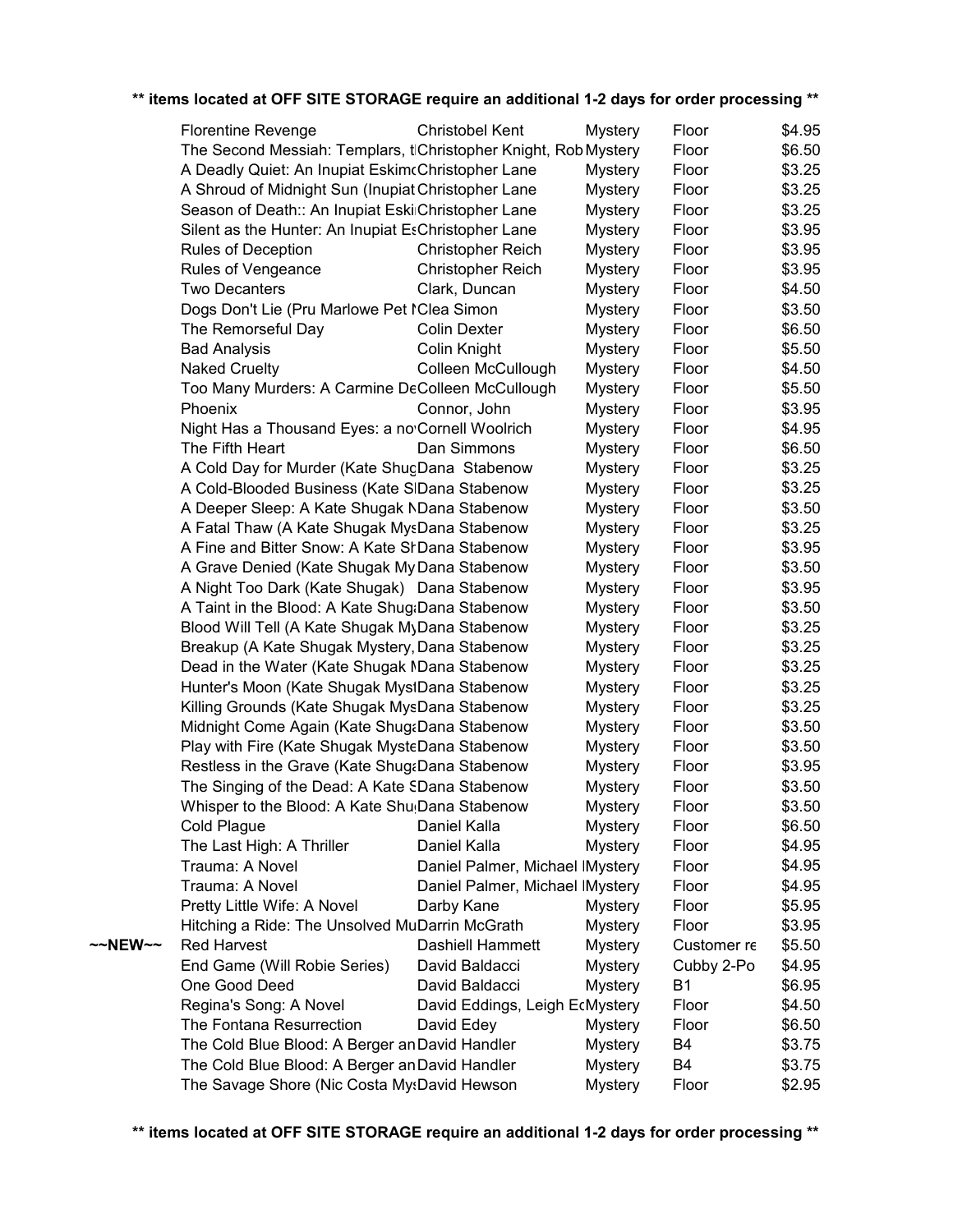|         | <b>Florentine Revenge</b>                                       | <b>Christobel Kent</b>          | <b>Mystery</b> | Floor       | \$4.95 |
|---------|-----------------------------------------------------------------|---------------------------------|----------------|-------------|--------|
|         | The Second Messiah: Templars, tlChristopher Knight, Rob Mystery |                                 |                | Floor       | \$6.50 |
|         | A Deadly Quiet: An Inupiat EskimcChristopher Lane               |                                 | <b>Mystery</b> | Floor       | \$3.25 |
|         | A Shroud of Midnight Sun (Inupiat Christopher Lane              |                                 | <b>Mystery</b> | Floor       | \$3.25 |
|         | Season of Death:: An Inupiat Eski Christopher Lane              |                                 | <b>Mystery</b> | Floor       | \$3.25 |
|         | Silent as the Hunter: An Inupiat EsChristopher Lane             |                                 | <b>Mystery</b> | Floor       | \$3.95 |
|         | Rules of Deception                                              | <b>Christopher Reich</b>        | <b>Mystery</b> | Floor       | \$3.95 |
|         | Rules of Vengeance                                              | <b>Christopher Reich</b>        | <b>Mystery</b> | Floor       | \$3.95 |
|         | <b>Two Decanters</b>                                            | Clark, Duncan                   | <b>Mystery</b> | Floor       | \$4.50 |
|         | Dogs Don't Lie (Pru Marlowe Pet IClea Simon                     |                                 | <b>Mystery</b> | Floor       | \$3.50 |
|         | The Remorseful Day                                              | <b>Colin Dexter</b>             | <b>Mystery</b> | Floor       | \$6.50 |
|         | <b>Bad Analysis</b>                                             | Colin Knight                    | <b>Mystery</b> | Floor       | \$5.50 |
|         | <b>Naked Cruelty</b>                                            | Colleen McCullough              | <b>Mystery</b> | Floor       | \$4.50 |
|         | Too Many Murders: A Carmine DeColleen McCullough                |                                 | <b>Mystery</b> | Floor       | \$5.50 |
|         | Phoenix                                                         | Connor, John                    | <b>Mystery</b> | Floor       | \$3.95 |
|         | Night Has a Thousand Eyes: a no Cornell Woolrich                |                                 | <b>Mystery</b> | Floor       | \$4.95 |
|         | The Fifth Heart                                                 | Dan Simmons                     | <b>Mystery</b> | Floor       | \$6.50 |
|         | A Cold Day for Murder (Kate ShugDana Stabenow                   |                                 | <b>Mystery</b> | Floor       | \$3.25 |
|         | A Cold-Blooded Business (Kate SIDana Stabenow                   |                                 | <b>Mystery</b> | Floor       | \$3.25 |
|         | A Deeper Sleep: A Kate Shugak NDana Stabenow                    |                                 | <b>Mystery</b> | Floor       | \$3.50 |
|         | A Fatal Thaw (A Kate Shugak MysDana Stabenow                    |                                 | <b>Mystery</b> | Floor       | \$3.25 |
|         | A Fine and Bitter Snow: A Kate SrDana Stabenow                  |                                 | <b>Mystery</b> | Floor       | \$3.95 |
|         | A Grave Denied (Kate Shugak My Dana Stabenow                    |                                 | <b>Mystery</b> | Floor       | \$3.50 |
|         | A Night Too Dark (Kate Shugak) Dana Stabenow                    |                                 | <b>Mystery</b> | Floor       | \$3.95 |
|         | A Taint in the Blood: A Kate Shug:Dana Stabenow                 |                                 | <b>Mystery</b> | Floor       | \$3.50 |
|         | Blood Will Tell (A Kate Shugak MyDana Stabenow                  |                                 | <b>Mystery</b> | Floor       | \$3.25 |
|         | Breakup (A Kate Shugak Mystery, Dana Stabenow                   |                                 | <b>Mystery</b> | Floor       | \$3.25 |
|         | Dead in the Water (Kate Shugak NDana Stabenow                   |                                 | <b>Mystery</b> | Floor       | \$3.25 |
|         | Hunter's Moon (Kate Shugak MystDana Stabenow                    |                                 | <b>Mystery</b> | Floor       | \$3.25 |
|         | Killing Grounds (Kate Shugak MysDana Stabenow                   |                                 | <b>Mystery</b> | Floor       | \$3.25 |
|         | Midnight Come Again (Kate Shug&Dana Stabenow                    |                                 | <b>Mystery</b> | Floor       | \$3.50 |
|         | Play with Fire (Kate Shugak MysteDana Stabenow                  |                                 | <b>Mystery</b> | Floor       | \$3.50 |
|         | Restless in the Grave (Kate Shug&Dana Stabenow                  |                                 | <b>Mystery</b> | Floor       | \$3.95 |
|         | The Singing of the Dead: A Kate SDana Stabenow                  |                                 | <b>Mystery</b> | Floor       | \$3.50 |
|         | Whisper to the Blood: A Kate Shu Dana Stabenow                  |                                 | <b>Mystery</b> | Floor       | \$3.50 |
|         | Cold Plague                                                     | Daniel Kalla                    | <b>Mystery</b> | Floor       | \$6.50 |
|         | The Last High: A Thriller                                       | Daniel Kalla                    | <b>Mystery</b> | Floor       | \$4.95 |
|         | Trauma: A Novel                                                 | Daniel Palmer, Michael IMystery |                | Floor       | \$4.95 |
|         | Trauma: A Novel                                                 | Daniel Palmer, Michael IMystery |                | Floor       | \$4.95 |
|         | Pretty Little Wife: A Novel                                     | Darby Kane                      | <b>Mystery</b> | Floor       | \$5.95 |
|         | Hitching a Ride: The Unsolved MuDarrin McGrath                  |                                 | <b>Mystery</b> | Floor       | \$3.95 |
| ~~NEW~~ | <b>Red Harvest</b>                                              | Dashiell Hammett                | <b>Mystery</b> | Customer re | \$5.50 |
|         | End Game (Will Robie Series)                                    | David Baldacci                  | <b>Mystery</b> | Cubby 2-Po  | \$4.95 |
|         | One Good Deed                                                   | David Baldacci                  | <b>Mystery</b> | <b>B1</b>   | \$6.95 |
|         | Regina's Song: A Novel                                          | David Eddings, Leigh EcMystery  |                | Floor       | \$4.50 |
|         | The Fontana Resurrection                                        | David Edey                      | <b>Mystery</b> | Floor       | \$6.50 |
|         | The Cold Blue Blood: A Berger an David Handler                  |                                 | <b>Mystery</b> | B4          | \$3.75 |
|         | The Cold Blue Blood: A Berger an David Handler                  |                                 | <b>Mystery</b> | B4          | \$3.75 |
|         | The Savage Shore (Nic Costa MysDavid Hewson                     |                                 | <b>Mystery</b> | Floor       | \$2.95 |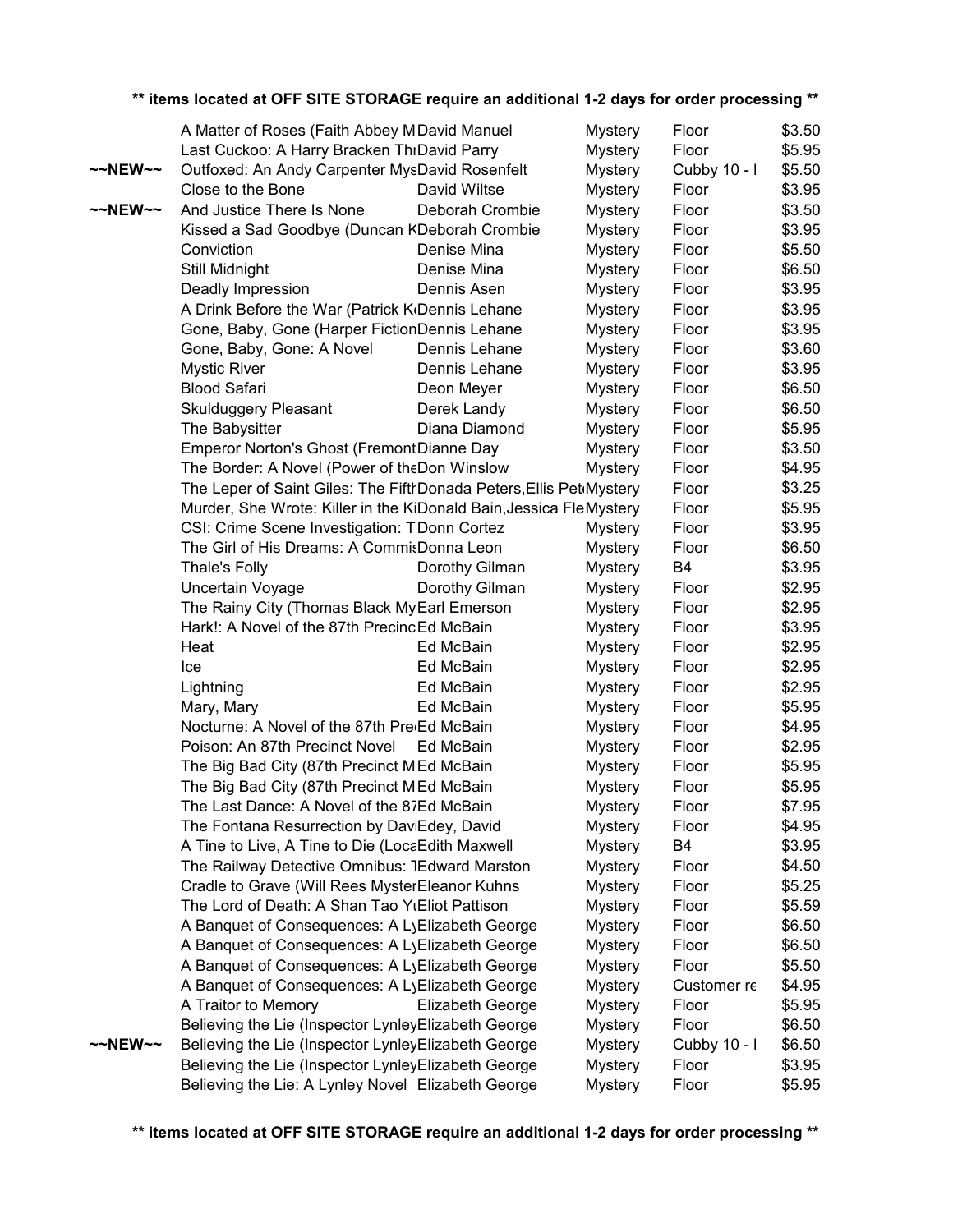|                     | A Matter of Roses (Faith Abbey MDavid Manuel                                                     |                  | <b>Mystery</b>                   | Floor          | \$3.50           |
|---------------------|--------------------------------------------------------------------------------------------------|------------------|----------------------------------|----------------|------------------|
|                     | Last Cuckoo: A Harry Bracken ThrDavid Parry                                                      |                  | <b>Mystery</b>                   | Floor          | \$5.95           |
| $\sim$ NEW $\sim$   | Outfoxed: An Andy Carpenter MysDavid Rosenfelt                                                   |                  | <b>Mystery</b>                   | Cubby 10 - I   | \$5.50           |
|                     | Close to the Bone                                                                                | David Wiltse     | <b>Mystery</b>                   | Floor          | \$3.95           |
| $~\sim$ -NEW $\sim$ | And Justice There Is None                                                                        | Deborah Crombie  | <b>Mystery</b>                   | Floor          | \$3.50           |
|                     | Kissed a Sad Goodbye (Duncan KDeborah Crombie                                                    |                  | <b>Mystery</b>                   | Floor          | \$3.95           |
|                     | Conviction                                                                                       | Denise Mina      | <b>Mystery</b>                   | Floor          | \$5.50           |
|                     | Still Midnight                                                                                   | Denise Mina      | <b>Mystery</b>                   | Floor          | \$6.50           |
|                     | Deadly Impression                                                                                | Dennis Asen      | <b>Mystery</b>                   | Floor          | \$3.95           |
|                     | A Drink Before the War (Patrick K <sub>I</sub> Dennis Lehane                                     |                  | <b>Mystery</b>                   | Floor          | \$3.95           |
|                     | Gone, Baby, Gone (Harper FictionDennis Lehane                                                    |                  | <b>Mystery</b>                   | Floor          | \$3.95           |
|                     | Gone, Baby, Gone: A Novel                                                                        | Dennis Lehane    | <b>Mystery</b>                   | Floor          | \$3.60           |
|                     | <b>Mystic River</b>                                                                              | Dennis Lehane    | <b>Mystery</b>                   | Floor          | \$3.95           |
|                     | <b>Blood Safari</b>                                                                              | Deon Meyer       | <b>Mystery</b>                   | Floor          | \$6.50           |
|                     | <b>Skulduggery Pleasant</b>                                                                      | Derek Landy      | <b>Mystery</b>                   | Floor          | \$6.50           |
|                     | The Babysitter                                                                                   | Diana Diamond    | <b>Mystery</b>                   | Floor          | \$5.95           |
|                     | Emperor Norton's Ghost (FremontDianne Day                                                        |                  | <b>Mystery</b>                   | Floor          | \$3.50           |
|                     | The Border: A Novel (Power of theDon Winslow                                                     |                  | <b>Mystery</b>                   | Floor          | \$4.95           |
|                     | The Leper of Saint Giles: The Fifth Donada Peters, Ellis Pet Mystery                             |                  |                                  | Floor          | \$3.25           |
|                     | Murder, She Wrote: Killer in the KiDonald Bain, Jessica FleMystery                               |                  |                                  | Floor          | \$5.95           |
|                     | CSI: Crime Scene Investigation: TDonn Cortez                                                     |                  | <b>Mystery</b>                   | Floor          | \$3.95           |
|                     | The Girl of His Dreams: A CommisDonna Leon                                                       |                  | <b>Mystery</b>                   | Floor          | \$6.50           |
|                     | Thale's Folly                                                                                    | Dorothy Gilman   | <b>Mystery</b>                   | <b>B4</b>      | \$3.95           |
|                     | Uncertain Voyage                                                                                 | Dorothy Gilman   | Mystery                          | Floor          | \$2.95           |
|                     | The Rainy City (Thomas Black MyEarl Emerson                                                      |                  | <b>Mystery</b>                   | Floor          | \$2.95           |
|                     | Hark!: A Novel of the 87th PrecincEd McBain                                                      |                  | <b>Mystery</b>                   | Floor          | \$3.95           |
|                     | Heat                                                                                             | Ed McBain        | <b>Mystery</b>                   | Floor          | \$2.95           |
|                     | Ice                                                                                              | Ed McBain        | <b>Mystery</b>                   | Floor          | \$2.95           |
|                     | Lightning                                                                                        | Ed McBain        | <b>Mystery</b>                   | Floor          | \$2.95           |
|                     | Mary, Mary                                                                                       | Ed McBain        | <b>Mystery</b>                   | Floor          | \$5.95           |
|                     | Nocturne: A Novel of the 87th Pre Ed McBain                                                      |                  | <b>Mystery</b>                   | Floor          | \$4.95           |
|                     | Poison: An 87th Precinct Novel Ed McBain                                                         |                  | <b>Mystery</b>                   | Floor          | \$2.95           |
|                     | The Big Bad City (87th Precinct MEd McBain                                                       |                  | <b>Mystery</b>                   | Floor          | \$5.95           |
|                     | The Big Bad City (87th Precinct MEd McBain                                                       |                  | <b>Mystery</b>                   | Floor          | \$5.95           |
|                     | The Last Dance: A Novel of the 87Ed McBain                                                       |                  | <b>Mystery</b>                   | Floor          | \$7.95           |
|                     | The Fontana Resurrection by DaviEdey, David                                                      |                  | <b>Mystery</b>                   | Floor          | \$4.95           |
|                     | A Tine to Live, A Tine to Die (LocaEdith Maxwell                                                 |                  | <b>Mystery</b>                   | B4             | \$3.95           |
|                     | The Railway Detective Omnibus: 1Edward Marston                                                   |                  | <b>Mystery</b>                   | Floor          | \$4.50           |
|                     | Cradle to Grave (Will Rees MysterEleanor Kuhns<br>The Lord of Death: A Shan Tao YiEliot Pattison |                  | <b>Mystery</b><br><b>Mystery</b> | Floor<br>Floor | \$5.25<br>\$5.59 |
|                     | A Banquet of Consequences: A LyElizabeth George                                                  |                  | <b>Mystery</b>                   | Floor          | \$6.50           |
|                     | A Banquet of Consequences: A LyElizabeth George                                                  |                  | <b>Mystery</b>                   | Floor          | \$6.50           |
|                     | A Banquet of Consequences: A LyElizabeth George                                                  |                  | <b>Mystery</b>                   | Floor          | \$5.50           |
|                     | A Banquet of Consequences: A LyElizabeth George                                                  |                  | <b>Mystery</b>                   | Customer re    | \$4.95           |
|                     | A Traitor to Memory                                                                              | Elizabeth George | <b>Mystery</b>                   | Floor          | \$5.95           |
|                     | Believing the Lie (Inspector LynleyElizabeth George                                              |                  | <b>Mystery</b>                   | Floor          | \$6.50           |
| $~\sim$ NEW $\sim$  | Believing the Lie (Inspector LynleyElizabeth George                                              |                  | <b>Mystery</b>                   | Cubby 10 - I   | \$6.50           |
|                     | Believing the Lie (Inspector LynleyElizabeth George                                              |                  | <b>Mystery</b>                   | Floor          | \$3.95           |
|                     | Believing the Lie: A Lynley Novel Elizabeth George                                               |                  | <b>Mystery</b>                   | Floor          | \$5.95           |
|                     |                                                                                                  |                  |                                  |                |                  |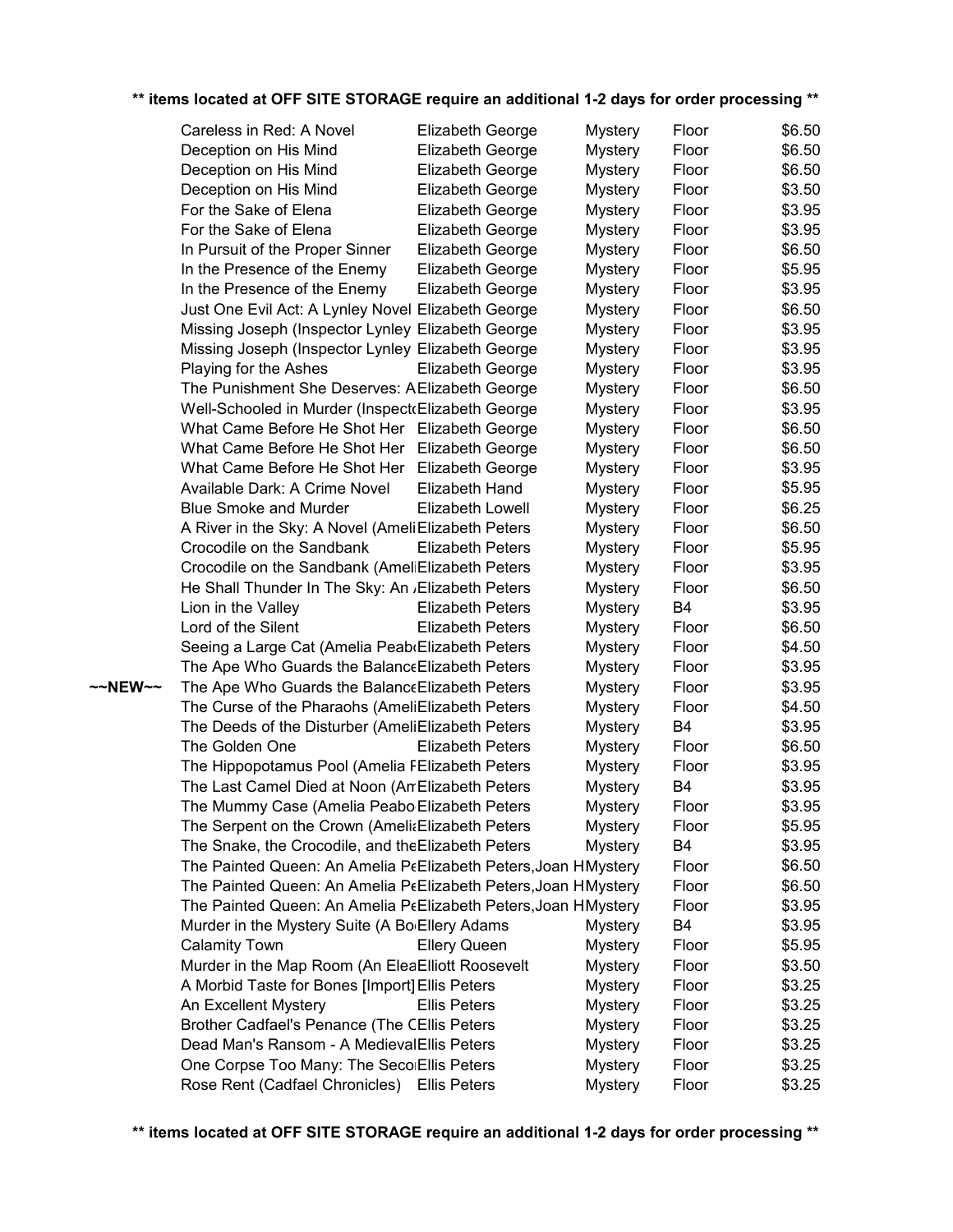|         | Careless in Red: A Novel                                       | Elizabeth George        | <b>Mystery</b> | Floor          | \$6.50 |
|---------|----------------------------------------------------------------|-------------------------|----------------|----------------|--------|
|         | Deception on His Mind                                          | Elizabeth George        | <b>Mystery</b> | Floor          | \$6.50 |
|         | Deception on His Mind                                          | Elizabeth George        | <b>Mystery</b> | Floor          | \$6.50 |
|         | Deception on His Mind                                          | Elizabeth George        | <b>Mystery</b> | Floor          | \$3.50 |
|         | For the Sake of Elena                                          | Elizabeth George        | <b>Mystery</b> | Floor          | \$3.95 |
|         | For the Sake of Elena                                          | Elizabeth George        | <b>Mystery</b> | Floor          | \$3.95 |
|         | In Pursuit of the Proper Sinner                                | Elizabeth George        | <b>Mystery</b> | Floor          | \$6.50 |
|         | In the Presence of the Enemy                                   | Elizabeth George        | <b>Mystery</b> | Floor          | \$5.95 |
|         | In the Presence of the Enemy                                   | Elizabeth George        | <b>Mystery</b> | Floor          | \$3.95 |
|         | Just One Evil Act: A Lynley Novel Elizabeth George             |                         | <b>Mystery</b> | Floor          | \$6.50 |
|         | Missing Joseph (Inspector Lynley Elizabeth George              |                         | <b>Mystery</b> | Floor          | \$3.95 |
|         | Missing Joseph (Inspector Lynley Elizabeth George              |                         | <b>Mystery</b> | Floor          | \$3.95 |
|         | Playing for the Ashes                                          | Elizabeth George        | <b>Mystery</b> | Floor          | \$3.95 |
|         | The Punishment She Deserves: A Elizabeth George                |                         | <b>Mystery</b> | Floor          | \$6.50 |
|         | Well-Schooled in Murder (Inspect(Elizabeth George              |                         | <b>Mystery</b> | Floor          | \$3.95 |
|         | What Came Before He Shot Her Elizabeth George                  |                         | <b>Mystery</b> | Floor          | \$6.50 |
|         | What Came Before He Shot Her                                   | <b>Elizabeth George</b> | <b>Mystery</b> | Floor          | \$6.50 |
|         | What Came Before He Shot Her Elizabeth George                  |                         | <b>Mystery</b> | Floor          | \$3.95 |
|         | Available Dark: A Crime Novel                                  | Elizabeth Hand          | <b>Mystery</b> | Floor          | \$5.95 |
|         | <b>Blue Smoke and Murder</b>                                   | <b>Elizabeth Lowell</b> | <b>Mystery</b> | Floor          | \$6.25 |
|         | A River in the Sky: A Novel (Ameli Elizabeth Peters            |                         | <b>Mystery</b> | Floor          | \$6.50 |
|         | Crocodile on the Sandbank                                      | <b>Elizabeth Peters</b> | <b>Mystery</b> | Floor          | \$5.95 |
|         | Crocodile on the Sandbank (AmeliElizabeth Peters               |                         | <b>Mystery</b> | Floor          | \$3.95 |
|         | He Shall Thunder In The Sky: An Elizabeth Peters               |                         | <b>Mystery</b> | Floor          | \$6.50 |
|         | Lion in the Valley                                             | <b>Elizabeth Peters</b> | <b>Mystery</b> | B4             | \$3.95 |
|         | Lord of the Silent                                             | <b>Elizabeth Peters</b> | <b>Mystery</b> | Floor          | \$6.50 |
|         | Seeing a Large Cat (Amelia Peab Elizabeth Peters               |                         | <b>Mystery</b> | Floor          | \$4.50 |
|         | The Ape Who Guards the Balance Elizabeth Peters                |                         | <b>Mystery</b> | Floor          | \$3.95 |
| ~~NEW~~ | The Ape Who Guards the Balance Elizabeth Peters                |                         | <b>Mystery</b> | Floor          | \$3.95 |
|         | The Curse of the Pharaohs (AmeliElizabeth Peters               |                         | <b>Mystery</b> | Floor          | \$4.50 |
|         | The Deeds of the Disturber (AmeliElizabeth Peters              |                         | <b>Mystery</b> | B <sub>4</sub> | \$3.95 |
|         | The Golden One                                                 | <b>Elizabeth Peters</b> | <b>Mystery</b> | Floor          | \$6.50 |
|         | The Hippopotamus Pool (Amelia FElizabeth Peters                |                         | <b>Mystery</b> | Floor          | \$3.95 |
|         | The Last Camel Died at Noon (An Elizabeth Peters               |                         | <b>Mystery</b> | <b>B4</b>      | \$3.95 |
|         | The Mummy Case (Amelia Peabo Elizabeth Peters                  |                         | <b>Mystery</b> | Floor          | \$3.95 |
|         | The Serpent on the Crown (AmeliaElizabeth Peters               |                         | <b>Mystery</b> | Floor          | \$5.95 |
|         | The Snake, the Crocodile, and the Elizabeth Peters             |                         | <b>Mystery</b> | B <sub>4</sub> | \$3.95 |
|         | The Painted Queen: An Amelia PeElizabeth Peters, Joan HMystery |                         |                | Floor          | \$6.50 |
|         | The Painted Queen: An Amelia PeElizabeth Peters, Joan HMystery |                         |                | Floor          | \$6.50 |
|         | The Painted Queen: An Amelia PEElizabeth Peters, Joan HMystery |                         |                | Floor          | \$3.95 |
|         | Murder in the Mystery Suite (A Bo <sub>'</sub> Ellery Adams    |                         | <b>Mystery</b> | B4             | \$3.95 |
|         | <b>Calamity Town</b>                                           | <b>Ellery Queen</b>     | <b>Mystery</b> | Floor          | \$5.95 |
|         | Murder in the Map Room (An EleaElliott Roosevelt               |                         | <b>Mystery</b> | Floor          | \$3.50 |
|         | A Morbid Taste for Bones [Import] Ellis Peters                 |                         | <b>Mystery</b> | Floor          | \$3.25 |
|         | An Excellent Mystery                                           | <b>Ellis Peters</b>     | <b>Mystery</b> | Floor          | \$3.25 |
|         | Brother Cadfael's Penance (The CEllis Peters                   |                         | <b>Mystery</b> | Floor          | \$3.25 |
|         | Dead Man's Ransom - A Medieval Ellis Peters                    |                         | <b>Mystery</b> | Floor          | \$3.25 |
|         | One Corpse Too Many: The SecolEllis Peters                     |                         | <b>Mystery</b> | Floor          | \$3.25 |
|         | Rose Rent (Cadfael Chronicles)                                 | <b>Ellis Peters</b>     | <b>Mystery</b> | Floor          | \$3.25 |
|         |                                                                |                         |                |                |        |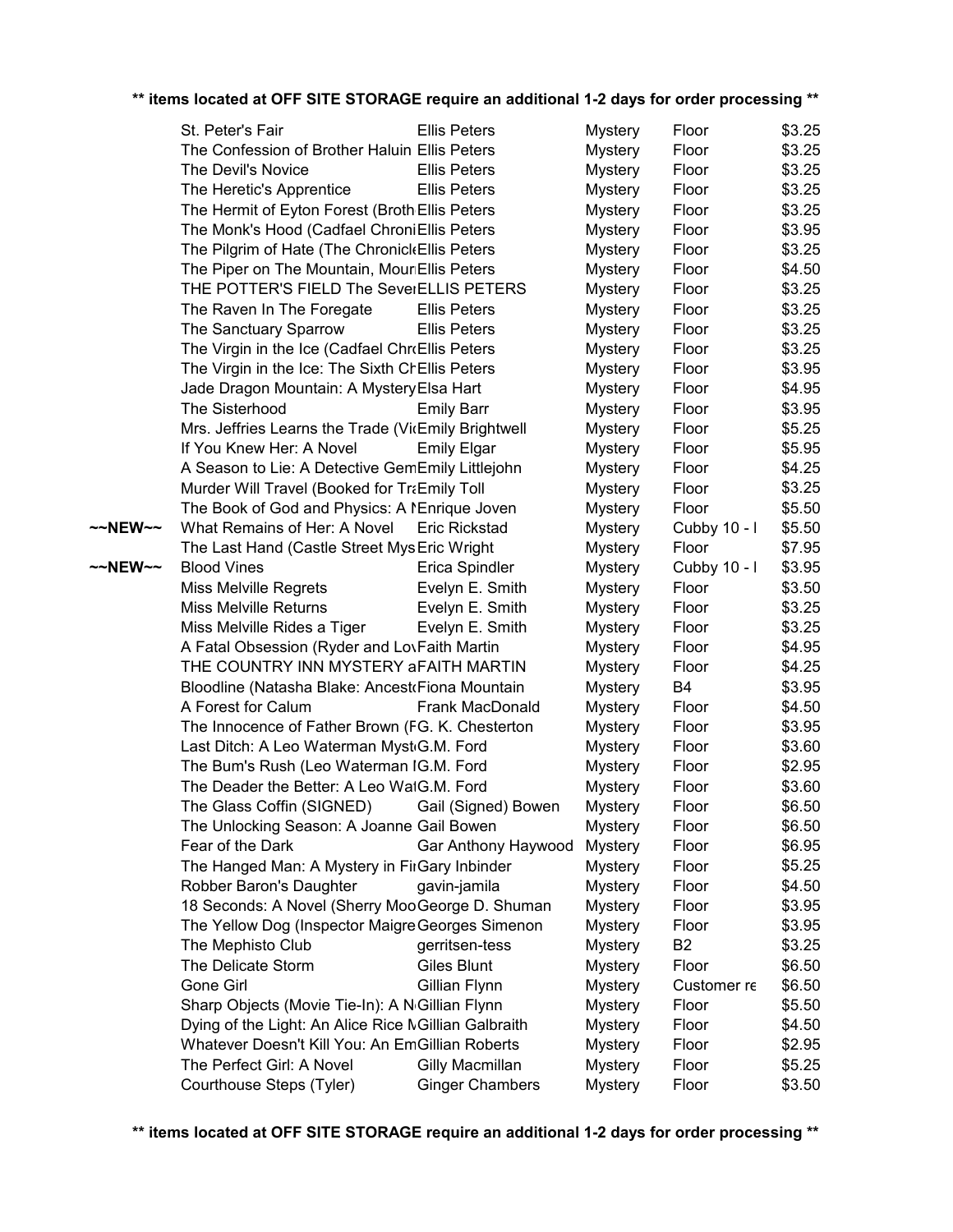|         | St. Peter's Fair                                            | <b>Ellis Peters</b>    | <b>Mystery</b> | Floor          | \$3.25 |
|---------|-------------------------------------------------------------|------------------------|----------------|----------------|--------|
|         | The Confession of Brother Haluin Ellis Peters               |                        | <b>Mystery</b> | Floor          | \$3.25 |
|         | The Devil's Novice                                          | <b>Ellis Peters</b>    | <b>Mystery</b> | Floor          | \$3.25 |
|         | The Heretic's Apprentice                                    | <b>Ellis Peters</b>    | <b>Mystery</b> | Floor          | \$3.25 |
|         | The Hermit of Eyton Forest (Broth Ellis Peters              |                        | <b>Mystery</b> | Floor          | \$3.25 |
|         | The Monk's Hood (Cadfael ChroniEllis Peters                 |                        | <b>Mystery</b> | Floor          | \$3.95 |
|         | The Pilgrim of Hate (The Chronick Ellis Peters              |                        | <b>Mystery</b> | Floor          | \$3.25 |
|         | The Piper on The Mountain, MounEllis Peters                 |                        | <b>Mystery</b> | Floor          | \$4.50 |
|         | THE POTTER'S FIELD The SeverELLIS PETERS                    |                        | <b>Mystery</b> | Floor          | \$3.25 |
|         | The Raven In The Foregate                                   | <b>Ellis Peters</b>    | <b>Mystery</b> | Floor          | \$3.25 |
|         | The Sanctuary Sparrow                                       | <b>Ellis Peters</b>    | <b>Mystery</b> | Floor          | \$3.25 |
|         | The Virgin in the Ice (Cadfael Chr(Ellis Peters             |                        | <b>Mystery</b> | Floor          | \$3.25 |
|         | The Virgin in the Ice: The Sixth ChEllis Peters             |                        | <b>Mystery</b> | Floor          | \$3.95 |
|         | Jade Dragon Mountain: A Mystery Elsa Hart                   |                        | <b>Mystery</b> | Floor          | \$4.95 |
|         | The Sisterhood                                              | <b>Emily Barr</b>      | <b>Mystery</b> | Floor          | \$3.95 |
|         | Mrs. Jeffries Learns the Trade (VicEmily Brightwell         |                        | <b>Mystery</b> | Floor          | \$5.25 |
|         | If You Knew Her: A Novel                                    | <b>Emily Elgar</b>     | <b>Mystery</b> | Floor          | \$5.95 |
|         | A Season to Lie: A Detective GemEmily Littlejohn            |                        | <b>Mystery</b> | Floor          | \$4.25 |
|         | Murder Will Travel (Booked for TraEmily Toll                |                        | <b>Mystery</b> | Floor          | \$3.25 |
|         | The Book of God and Physics: A NEnrique Joven               |                        | <b>Mystery</b> | Floor          | \$5.50 |
| ~~NEW~~ | What Remains of Her: A Novel                                | <b>Eric Rickstad</b>   | <b>Mystery</b> | Cubby 10 - I   | \$5.50 |
|         | The Last Hand (Castle Street Mys Eric Wright                |                        | <b>Mystery</b> | Floor          | \$7.95 |
| ~~NEW~~ | <b>Blood Vines</b>                                          | Erica Spindler         | <b>Mystery</b> | Cubby 10 - I   | \$3.95 |
|         | <b>Miss Melville Regrets</b>                                | Evelyn E. Smith        | <b>Mystery</b> | Floor          | \$3.50 |
|         | <b>Miss Melville Returns</b>                                | Evelyn E. Smith        | <b>Mystery</b> | Floor          | \$3.25 |
|         | Miss Melville Rides a Tiger                                 | Evelyn E. Smith        | <b>Mystery</b> | Floor          | \$3.25 |
|         | A Fatal Obsession (Ryder and LovFaith Martin                |                        | <b>Mystery</b> | Floor          | \$4.95 |
|         | THE COUNTRY INN MYSTERY AFAITH MARTIN                       |                        | <b>Mystery</b> | Floor          | \$4.25 |
|         | Bloodline (Natasha Blake: Ancest Fiona Mountain             |                        | <b>Mystery</b> | B <sub>4</sub> | \$3.95 |
|         | A Forest for Calum                                          | <b>Frank MacDonald</b> | <b>Mystery</b> | Floor          | \$4.50 |
|         | The Innocence of Father Brown (FG. K. Chesterton            |                        | <b>Mystery</b> | Floor          | \$3.95 |
|         | Last Ditch: A Leo Waterman Myst G.M. Ford                   |                        | <b>Mystery</b> | Floor          | \$3.60 |
|         | The Bum's Rush (Leo Waterman IG.M. Ford                     |                        | Mystery        | Floor          | \$2.95 |
|         | The Deader the Better: A Leo WatG.M. Ford                   |                        | <b>Mystery</b> | Floor          | \$3.60 |
|         | The Glass Coffin (SIGNED)                                   | Gail (Signed) Bowen    | <b>Mystery</b> | Floor          | \$6.50 |
|         | The Unlocking Season: A Joanne Gail Bowen                   |                        | <b>Mystery</b> | Floor          | \$6.50 |
|         | Fear of the Dark                                            | Gar Anthony Haywood    | <b>Mystery</b> | Floor          | \$6.95 |
|         | The Hanged Man: A Mystery in FirGary Inbinder               |                        | <b>Mystery</b> | Floor          | \$5.25 |
|         | Robber Baron's Daughter                                     | gavin-jamila           | <b>Mystery</b> | Floor          | \$4.50 |
|         | 18 Seconds: A Novel (Sherry MooGeorge D. Shuman             |                        | <b>Mystery</b> | Floor          | \$3.95 |
|         | The Yellow Dog (Inspector Maigre Georges Simenon            |                        | <b>Mystery</b> | Floor          | \$3.95 |
|         | The Mephisto Club                                           | gerritsen-tess         | <b>Mystery</b> | B <sub>2</sub> | \$3.25 |
|         | The Delicate Storm                                          | <b>Giles Blunt</b>     | <b>Mystery</b> | Floor          | \$6.50 |
|         | Gone Girl                                                   | Gillian Flynn          | <b>Mystery</b> | Customer re    | \$6.50 |
|         | Sharp Objects (Movie Tie-In): A N <sub>'Gillian Flynn</sub> |                        | <b>Mystery</b> | Floor          | \$5.50 |
|         | Dying of the Light: An Alice Rice MGillian Galbraith        |                        | <b>Mystery</b> | Floor          | \$4.50 |
|         | Whatever Doesn't Kill You: An EmGillian Roberts             |                        | <b>Mystery</b> | Floor          | \$2.95 |
|         | The Perfect Girl: A Novel                                   | Gilly Macmillan        | <b>Mystery</b> | Floor          | \$5.25 |
|         | Courthouse Steps (Tyler)                                    | <b>Ginger Chambers</b> | <b>Mystery</b> | Floor          | \$3.50 |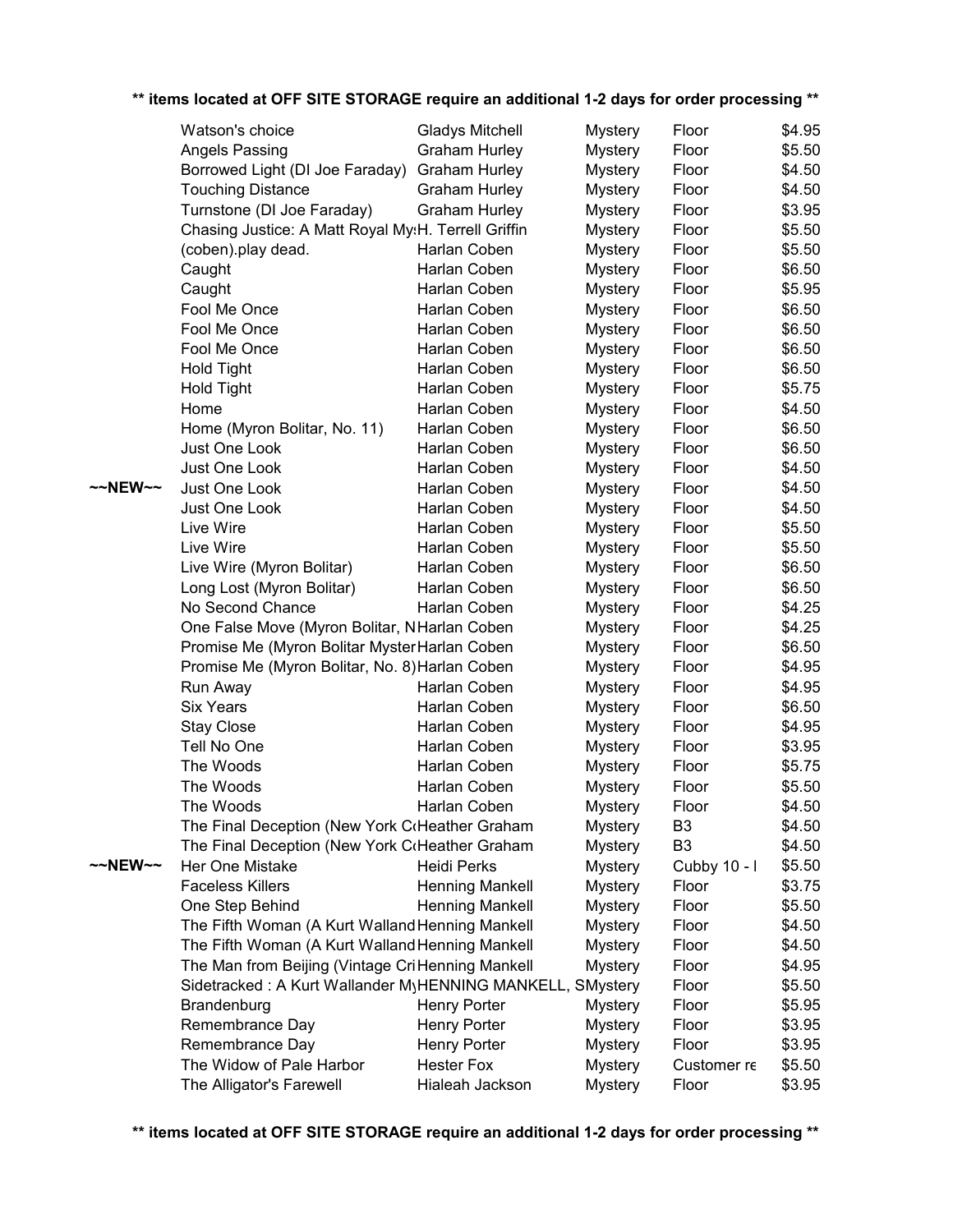|         | Watson's choice                                           | <b>Gladys Mitchell</b> | <b>Mystery</b> | Floor          | \$4.95 |
|---------|-----------------------------------------------------------|------------------------|----------------|----------------|--------|
|         | Angels Passing                                            | <b>Graham Hurley</b>   | <b>Mystery</b> | Floor          | \$5.50 |
|         | Borrowed Light (DI Joe Faraday)                           | <b>Graham Hurley</b>   | <b>Mystery</b> | Floor          | \$4.50 |
|         | <b>Touching Distance</b>                                  | <b>Graham Hurley</b>   | <b>Mystery</b> | Floor          | \$4.50 |
|         | Turnstone (DI Joe Faraday)                                | <b>Graham Hurley</b>   | <b>Mystery</b> | Floor          | \$3.95 |
|         | Chasing Justice: A Matt Royal My:H. Terrell Griffin       |                        | <b>Mystery</b> | Floor          | \$5.50 |
|         | (coben).play dead.                                        | Harlan Coben           | <b>Mystery</b> | Floor          | \$5.50 |
|         | Caught                                                    | Harlan Coben           | <b>Mystery</b> | Floor          | \$6.50 |
|         | Caught                                                    | Harlan Coben           | <b>Mystery</b> | Floor          | \$5.95 |
|         | Fool Me Once                                              | Harlan Coben           | <b>Mystery</b> | Floor          | \$6.50 |
|         | Fool Me Once                                              | Harlan Coben           | <b>Mystery</b> | Floor          | \$6.50 |
|         | Fool Me Once                                              | Harlan Coben           | <b>Mystery</b> | Floor          | \$6.50 |
|         | <b>Hold Tight</b>                                         | Harlan Coben           | <b>Mystery</b> | Floor          | \$6.50 |
|         | <b>Hold Tight</b>                                         | Harlan Coben           | <b>Mystery</b> | Floor          | \$5.75 |
|         | Home                                                      | Harlan Coben           | <b>Mystery</b> | Floor          | \$4.50 |
|         | Home (Myron Bolitar, No. 11)                              | Harlan Coben           | <b>Mystery</b> | Floor          | \$6.50 |
|         | Just One Look                                             | Harlan Coben           | <b>Mystery</b> | Floor          | \$6.50 |
|         | Just One Look                                             | Harlan Coben           | <b>Mystery</b> | Floor          | \$4.50 |
| ~~NEW~~ | Just One Look                                             | Harlan Coben           | <b>Mystery</b> | Floor          | \$4.50 |
|         | Just One Look                                             | Harlan Coben           | <b>Mystery</b> | Floor          | \$4.50 |
|         | Live Wire                                                 | Harlan Coben           | <b>Mystery</b> | Floor          | \$5.50 |
|         | Live Wire                                                 | Harlan Coben           | <b>Mystery</b> | Floor          | \$5.50 |
|         | Live Wire (Myron Bolitar)                                 | Harlan Coben           | <b>Mystery</b> | Floor          | \$6.50 |
|         | Long Lost (Myron Bolitar)                                 | Harlan Coben           | <b>Mystery</b> | Floor          | \$6.50 |
|         | No Second Chance                                          | Harlan Coben           | <b>Mystery</b> | Floor          | \$4.25 |
|         | One False Move (Myron Bolitar, NHarlan Coben              |                        | <b>Mystery</b> | Floor          | \$4.25 |
|         | Promise Me (Myron Bolitar Myster Harlan Coben             |                        | <b>Mystery</b> | Floor          | \$6.50 |
|         | Promise Me (Myron Bolitar, No. 8) Harlan Coben            |                        | <b>Mystery</b> | Floor          | \$4.95 |
|         | Run Away                                                  | Harlan Coben           | <b>Mystery</b> | Floor          | \$4.95 |
|         | <b>Six Years</b>                                          | Harlan Coben           | <b>Mystery</b> | Floor          | \$6.50 |
|         | <b>Stay Close</b>                                         | Harlan Coben           | <b>Mystery</b> | Floor          | \$4.95 |
|         | Tell No One                                               | Harlan Coben           | <b>Mystery</b> | Floor          | \$3.95 |
|         | The Woods                                                 | Harlan Coben           | <b>Mystery</b> | Floor          | \$5.75 |
|         | The Woods                                                 | Harlan Coben           | <b>Mystery</b> | Floor          | \$5.50 |
|         | The Woods                                                 | Harlan Coben           | <b>Mystery</b> | Floor          | \$4.50 |
|         | The Final Deception (New York CrHeather Graham            |                        | <b>Mystery</b> | B <sub>3</sub> | \$4.50 |
|         | The Final Deception (New York CrHeather Graham            |                        | <b>Mystery</b> | B <sub>3</sub> | \$4.50 |
| ~~NEW~~ | Her One Mistake                                           | <b>Heidi Perks</b>     | <b>Mystery</b> | Cubby 10 - I   | \$5.50 |
|         | <b>Faceless Killers</b>                                   | Henning Mankell        | <b>Mystery</b> | Floor          | \$3.75 |
|         | One Step Behind                                           | Henning Mankell        | <b>Mystery</b> | Floor          | \$5.50 |
|         | The Fifth Woman (A Kurt Walland Henning Mankell           |                        | <b>Mystery</b> | Floor          | \$4.50 |
|         | The Fifth Woman (A Kurt Walland Henning Mankell           |                        | <b>Mystery</b> | Floor          | \$4.50 |
|         | The Man from Beijing (Vintage Cri Henning Mankell         |                        | <b>Mystery</b> | Floor          | \$4.95 |
|         | Sidetracked: A Kurt Wallander MyHENNING MANKELL, SMystery |                        |                | Floor          | \$5.50 |
|         | Brandenburg                                               | <b>Henry Porter</b>    | <b>Mystery</b> | Floor          | \$5.95 |
|         | Remembrance Day                                           | <b>Henry Porter</b>    | <b>Mystery</b> | Floor          | \$3.95 |
|         | Remembrance Day                                           | <b>Henry Porter</b>    | <b>Mystery</b> | Floor          | \$3.95 |
|         | The Widow of Pale Harbor                                  | <b>Hester Fox</b>      | <b>Mystery</b> | Customer re    | \$5.50 |
|         | The Alligator's Farewell                                  | Hialeah Jackson        | <b>Mystery</b> | Floor          | \$3.95 |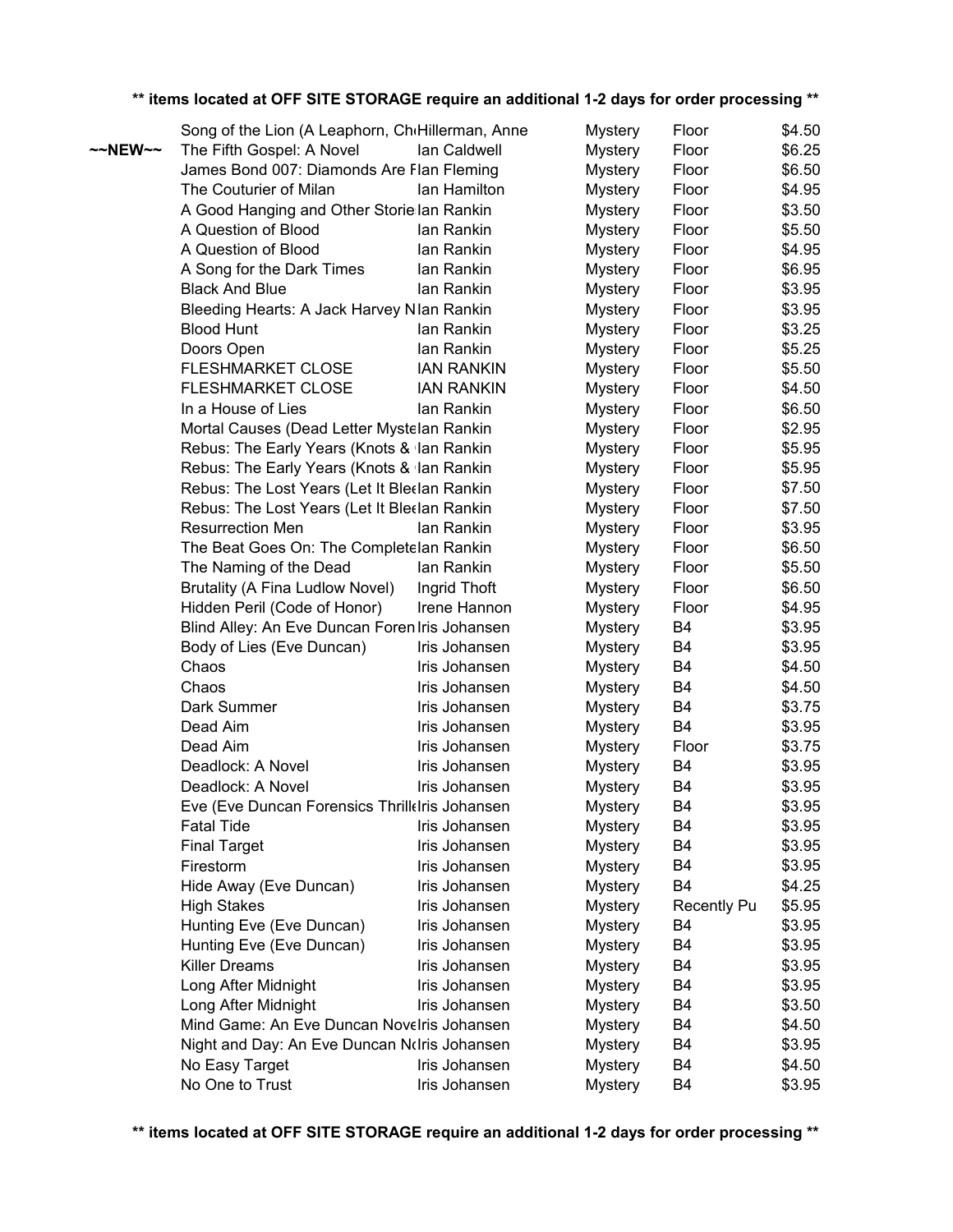| ** items located at OFF SITE STORAGE require an additional 1-2 days for order processing ** |  |  |  |
|---------------------------------------------------------------------------------------------|--|--|--|
|                                                                                             |  |  |  |

|                   | Song of the Lion (A Leaphorn, CheHillerman, Anne |                   | <b>Mystery</b> | Floor              | \$4.50 |
|-------------------|--------------------------------------------------|-------------------|----------------|--------------------|--------|
| $\sim$ NEW $\sim$ | The Fifth Gospel: A Novel                        | Ian Caldwell      | <b>Mystery</b> | Floor              | \$6.25 |
|                   | James Bond 007: Diamonds Are Flan Fleming        |                   | <b>Mystery</b> | Floor              | \$6.50 |
|                   | The Couturier of Milan                           | lan Hamilton      | <b>Mystery</b> | Floor              | \$4.95 |
|                   | A Good Hanging and Other Storie Ian Rankin       |                   | <b>Mystery</b> | Floor              | \$3.50 |
|                   | A Question of Blood                              | lan Rankin        | <b>Mystery</b> | Floor              | \$5.50 |
|                   | A Question of Blood                              | lan Rankin        | <b>Mystery</b> | Floor              | \$4.95 |
|                   | A Song for the Dark Times                        | lan Rankin        | <b>Mystery</b> | Floor              | \$6.95 |
|                   | <b>Black And Blue</b>                            | lan Rankin        | <b>Mystery</b> | Floor              | \$3.95 |
|                   | Bleeding Hearts: A Jack Harvey NIan Rankin       |                   | <b>Mystery</b> | Floor              | \$3.95 |
|                   | <b>Blood Hunt</b>                                | lan Rankin        | <b>Mystery</b> | Floor              | \$3.25 |
|                   | Doors Open                                       | lan Rankin        | <b>Mystery</b> | Floor              | \$5.25 |
|                   | <b>FLESHMARKET CLOSE</b>                         | <b>IAN RANKIN</b> | <b>Mystery</b> | Floor              | \$5.50 |
|                   | <b>FLESHMARKET CLOSE</b>                         | <b>IAN RANKIN</b> | <b>Mystery</b> | Floor              | \$4.50 |
|                   | In a House of Lies                               | lan Rankin        | <b>Mystery</b> | Floor              | \$6.50 |
|                   | Mortal Causes (Dead Letter Mystelan Rankin       |                   | <b>Mystery</b> | Floor              | \$2.95 |
|                   | Rebus: The Early Years (Knots & Ian Rankin       |                   | <b>Mystery</b> | Floor              | \$5.95 |
|                   | Rebus: The Early Years (Knots & Ian Rankin       |                   | <b>Mystery</b> | Floor              | \$5.95 |
|                   | Rebus: The Lost Years (Let It Bleelan Rankin     |                   | <b>Mystery</b> | Floor              | \$7.50 |
|                   | Rebus: The Lost Years (Let It Bleelan Rankin     |                   | <b>Mystery</b> | Floor              | \$7.50 |
|                   | <b>Resurrection Men</b>                          | lan Rankin        | <b>Mystery</b> | Floor              | \$3.95 |
|                   | The Beat Goes On: The Completelan Rankin         |                   | <b>Mystery</b> | Floor              | \$6.50 |
|                   | The Naming of the Dead                           | lan Rankin        | <b>Mystery</b> | Floor              | \$5.50 |
|                   | Brutality (A Fina Ludlow Novel)                  | Ingrid Thoft      | <b>Mystery</b> | Floor              | \$6.50 |
|                   | Hidden Peril (Code of Honor)                     | Irene Hannon      | <b>Mystery</b> | Floor              | \$4.95 |
|                   | Blind Alley: An Eve Duncan Foren Iris Johansen   |                   | <b>Mystery</b> | B <sub>4</sub>     | \$3.95 |
|                   | Body of Lies (Eve Duncan)                        | Iris Johansen     | <b>Mystery</b> | B4                 | \$3.95 |
|                   | Chaos                                            | Iris Johansen     | <b>Mystery</b> | B4                 | \$4.50 |
|                   | Chaos                                            | Iris Johansen     | <b>Mystery</b> | B4                 | \$4.50 |
|                   | Dark Summer                                      | Iris Johansen     | <b>Mystery</b> | B4                 | \$3.75 |
|                   | Dead Aim                                         | Iris Johansen     | <b>Mystery</b> | B4                 | \$3.95 |
|                   | Dead Aim                                         | Iris Johansen     | <b>Mystery</b> | Floor              | \$3.75 |
|                   | Deadlock: A Novel                                | Iris Johansen     | <b>Mystery</b> | B <sub>4</sub>     | \$3.95 |
|                   | Deadlock: A Novel                                | Iris Johansen     | <b>Mystery</b> | B4                 | \$3.95 |
|                   | Eve (Eve Duncan Forensics Thrillelris Johansen   |                   | <b>Mystery</b> | B <sub>4</sub>     | \$3.95 |
|                   | <b>Fatal Tide</b>                                | Iris Johansen     | <b>Mystery</b> | B4                 | \$3.95 |
|                   | <b>Final Target</b>                              | Iris Johansen     | <b>Mystery</b> | B4                 | \$3.95 |
|                   | Firestorm                                        | Iris Johansen     | <b>Mystery</b> | B4                 | \$3.95 |
|                   | Hide Away (Eve Duncan)                           | Iris Johansen     | <b>Mystery</b> | B4                 | \$4.25 |
|                   | <b>High Stakes</b>                               | Iris Johansen     | <b>Mystery</b> | <b>Recently Pu</b> | \$5.95 |
|                   | Hunting Eve (Eve Duncan)                         | Iris Johansen     | <b>Mystery</b> | B4                 | \$3.95 |
|                   | Hunting Eve (Eve Duncan)                         | Iris Johansen     | <b>Mystery</b> | B4                 | \$3.95 |
|                   | <b>Killer Dreams</b>                             | Iris Johansen     | <b>Mystery</b> | B4                 | \$3.95 |
|                   | Long After Midnight                              | Iris Johansen     | <b>Mystery</b> | B4                 | \$3.95 |
|                   | Long After Midnight                              | Iris Johansen     | <b>Mystery</b> | B4                 | \$3.50 |
|                   | Mind Game: An Eve Duncan Novelris Johansen       |                   | <b>Mystery</b> | B4                 | \$4.50 |
|                   | Night and Day: An Eve Duncan Nolris Johansen     |                   | <b>Mystery</b> | B4                 | \$3.95 |
|                   | No Easy Target                                   | Iris Johansen     | <b>Mystery</b> | B4                 | \$4.50 |
|                   | No One to Trust                                  | Iris Johansen     | <b>Mystery</b> | B4                 | \$3.95 |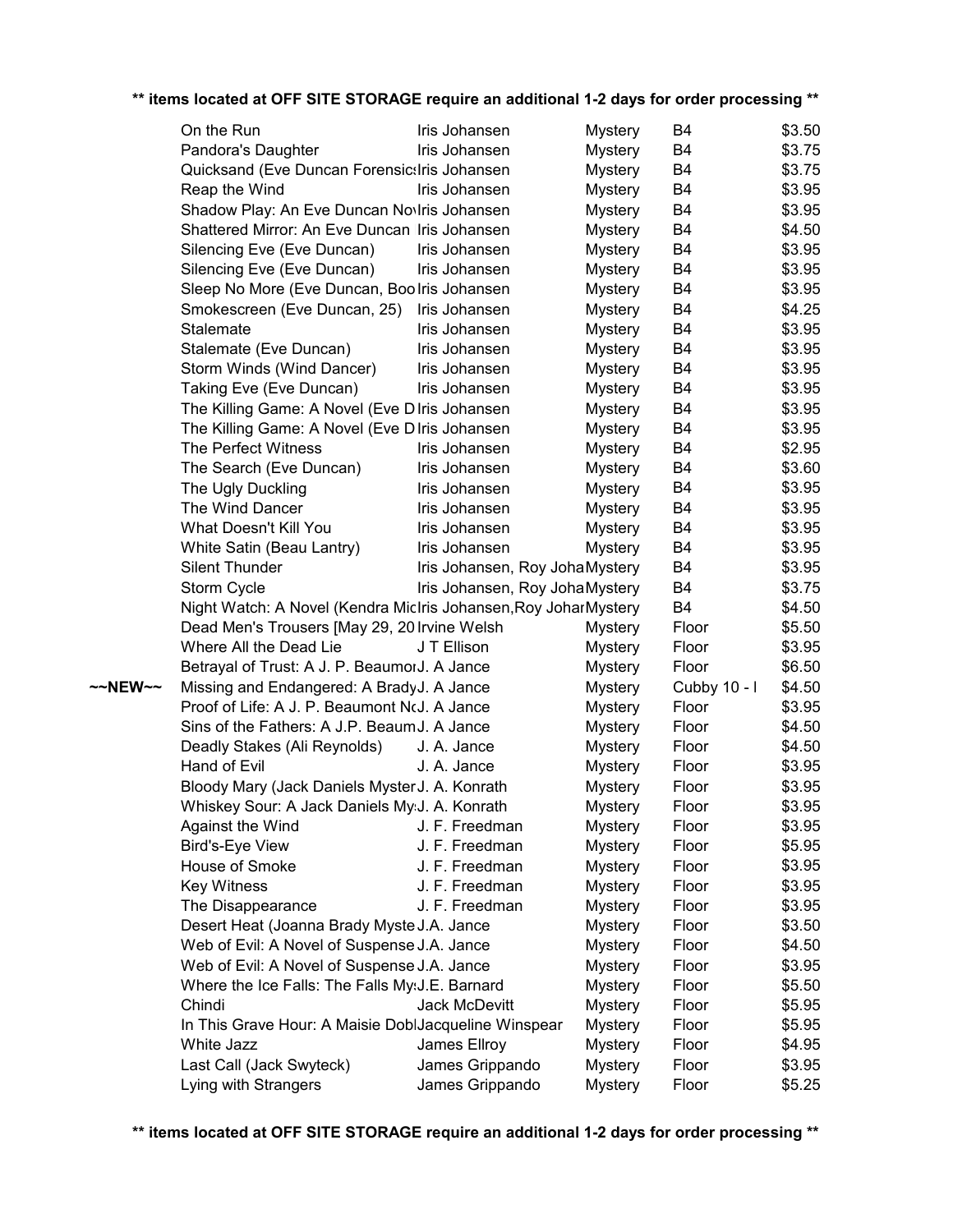|         | On the Run                                                       | Iris Johansen                  | <b>Mystery</b> | B4             | \$3.50 |
|---------|------------------------------------------------------------------|--------------------------------|----------------|----------------|--------|
|         | Pandora's Daughter                                               | Iris Johansen                  | <b>Mystery</b> | B <sub>4</sub> | \$3.75 |
|         | Quicksand (Eve Duncan Forensictiris Johansen                     |                                | <b>Mystery</b> | B4             | \$3.75 |
|         | Reap the Wind                                                    | Iris Johansen                  | <b>Mystery</b> | B4             | \$3.95 |
|         | Shadow Play: An Eve Duncan Noviris Johansen                      |                                | <b>Mystery</b> | B4             | \$3.95 |
|         | Shattered Mirror: An Eve Duncan Ilris Johansen                   |                                | <b>Mystery</b> | B4             | \$4.50 |
|         | Silencing Eve (Eve Duncan)                                       | Iris Johansen                  | <b>Mystery</b> | B4             | \$3.95 |
|         | Silencing Eve (Eve Duncan)                                       | Iris Johansen                  | <b>Mystery</b> | B4             | \$3.95 |
|         | Sleep No More (Eve Duncan, Boolris Johansen                      |                                | <b>Mystery</b> | B4             | \$3.95 |
|         | Smokescreen (Eve Duncan, 25)                                     | Iris Johansen                  | <b>Mystery</b> | B4             | \$4.25 |
|         | Stalemate                                                        | Iris Johansen                  | <b>Mystery</b> | B4             | \$3.95 |
|         | Stalemate (Eve Duncan)                                           | Iris Johansen                  | <b>Mystery</b> | <b>B4</b>      | \$3.95 |
|         | Storm Winds (Wind Dancer)                                        | Iris Johansen                  | <b>Mystery</b> | B4             | \$3.95 |
|         | Taking Eve (Eve Duncan)                                          | Iris Johansen                  | <b>Mystery</b> | B4             | \$3.95 |
|         | The Killing Game: A Novel (Eve D Iris Johansen                   |                                | <b>Mystery</b> | B4             | \$3.95 |
|         | The Killing Game: A Novel (Eve D Iris Johansen                   |                                | <b>Mystery</b> | B4             | \$3.95 |
|         | The Perfect Witness                                              | Iris Johansen                  | <b>Mystery</b> | B4             | \$2.95 |
|         | The Search (Eve Duncan)                                          | Iris Johansen                  | <b>Mystery</b> | B4             | \$3.60 |
|         | The Ugly Duckling                                                | Iris Johansen                  | <b>Mystery</b> | B4             | \$3.95 |
|         | The Wind Dancer                                                  | Iris Johansen                  | <b>Mystery</b> | B4             | \$3.95 |
|         | What Doesn't Kill You                                            | Iris Johansen                  | <b>Mystery</b> | B4             | \$3.95 |
|         | White Satin (Beau Lantry)                                        | Iris Johansen                  | <b>Mystery</b> | B4             | \$3.95 |
|         | <b>Silent Thunder</b>                                            | Iris Johansen, Roy JohaMystery |                | B4             | \$3.95 |
|         | Storm Cycle                                                      | Iris Johansen, Roy JohaMystery |                | B4             | \$3.75 |
|         | Night Watch: A Novel (Kendra MicIris Johansen, Roy Johar Mystery |                                |                | B4             | \$4.50 |
|         | Dead Men's Trousers [May 29, 20 Irvine Welsh                     |                                | <b>Mystery</b> | Floor          | \$5.50 |
|         | Where All the Dead Lie                                           | J T Ellison                    | <b>Mystery</b> | Floor          | \$3.95 |
|         | Betrayal of Trust: A J. P. BeaumorJ. A Jance                     |                                | <b>Mystery</b> | Floor          | \$6.50 |
| ~~NEW~~ | Missing and Endangered: A BradyJ. A Jance                        |                                | <b>Mystery</b> | Cubby 10 - I   | \$4.50 |
|         | Proof of Life: A J. P. Beaumont NcJ. A Jance                     |                                | <b>Mystery</b> | Floor          | \$3.95 |
|         | Sins of the Fathers: A J.P. Beaum J. A Jance                     |                                | <b>Mystery</b> | Floor          | \$4.50 |
|         | Deadly Stakes (Ali Reynolds)                                     | J. A. Jance                    | <b>Mystery</b> | Floor          | \$4.50 |
|         | Hand of Evil                                                     | J. A. Jance                    | <b>Mystery</b> | Floor          | \$3.95 |
|         | Bloody Mary (Jack Daniels Myster J. A. Konrath                   |                                | <b>Mystery</b> | Floor          | \$3.95 |
|         | Whiskey Sour: A Jack Daniels My: J. A. Konrath                   |                                | <b>Mystery</b> | Floor          | \$3.95 |
|         | Against the Wind                                                 | J. F. Freedman                 | <b>Mystery</b> | Floor          | \$3.95 |
|         | Bird's-Eye View                                                  | J. F. Freedman                 | <b>Mystery</b> | Floor          | \$5.95 |
|         | House of Smoke                                                   | J. F. Freedman                 | <b>Mystery</b> | Floor          | \$3.95 |
|         | <b>Key Witness</b>                                               | J. F. Freedman                 | <b>Mystery</b> | Floor          | \$3.95 |
|         | The Disappearance                                                | J. F. Freedman                 | <b>Mystery</b> | Floor          | \$3.95 |
|         | Desert Heat (Joanna Brady Myste J.A. Jance                       |                                | <b>Mystery</b> | Floor          | \$3.50 |
|         | Web of Evil: A Novel of Suspense J.A. Jance                      |                                | <b>Mystery</b> | Floor          | \$4.50 |
|         | Web of Evil: A Novel of Suspense J.A. Jance                      |                                | <b>Mystery</b> | Floor          | \$3.95 |
|         | Where the Ice Falls: The Falls My(J.E. Barnard                   |                                | <b>Mystery</b> | Floor          | \$5.50 |
|         | Chindi                                                           | Jack McDevitt                  | <b>Mystery</b> | Floor          | \$5.95 |
|         | In This Grave Hour: A Maisie DoblJacqueline Winspear             |                                | <b>Mystery</b> | Floor          | \$5.95 |
|         | White Jazz                                                       | James Ellroy                   | <b>Mystery</b> | Floor          | \$4.95 |
|         | Last Call (Jack Swyteck)                                         | James Grippando                | <b>Mystery</b> | Floor          | \$3.95 |
|         | Lying with Strangers                                             | James Grippando                | <b>Mystery</b> | Floor          | \$5.25 |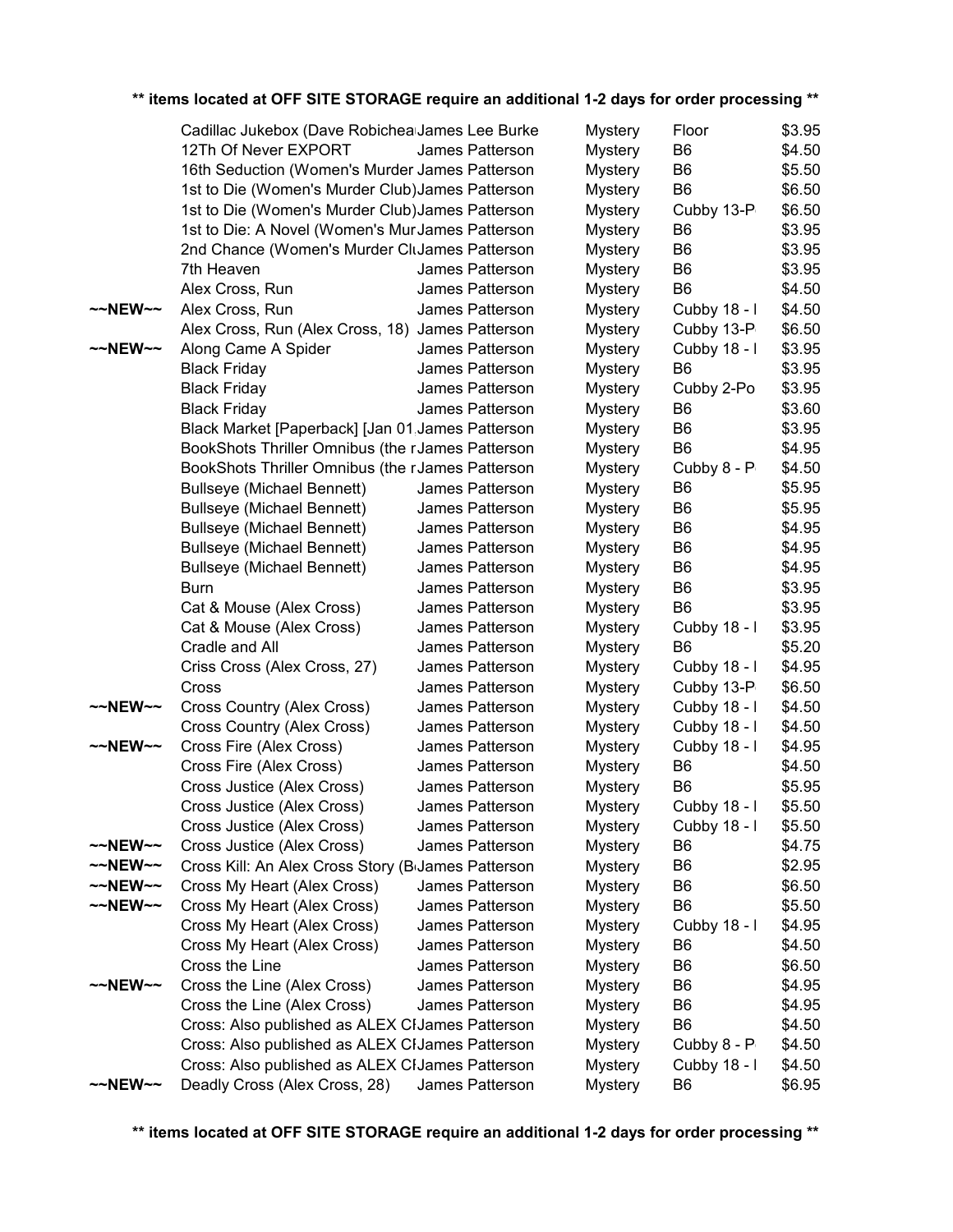|                     | Cadillac Jukebox (Dave Robichea James Lee Burke                 |                 | <b>Mystery</b> | Floor          | \$3.95 |
|---------------------|-----------------------------------------------------------------|-----------------|----------------|----------------|--------|
|                     | 12Th Of Never EXPORT                                            | James Patterson | <b>Mystery</b> | B <sub>6</sub> | \$4.50 |
|                     | 16th Seduction (Women's Murder James Patterson                  |                 | <b>Mystery</b> | B6             | \$5.50 |
|                     | 1st to Die (Women's Murder Club) James Patterson                |                 | <b>Mystery</b> | B <sub>6</sub> | \$6.50 |
|                     | 1st to Die (Women's Murder Club) James Patterson                |                 | <b>Mystery</b> | Cubby 13-P     | \$6.50 |
|                     | 1st to Die: A Novel (Women's MurJames Patterson                 |                 | <b>Mystery</b> | B <sub>6</sub> | \$3.95 |
|                     | 2nd Chance (Women's Murder CluJames Patterson                   |                 | <b>Mystery</b> | B <sub>6</sub> | \$3.95 |
|                     | 7th Heaven                                                      | James Patterson | <b>Mystery</b> | B <sub>6</sub> | \$3.95 |
|                     | Alex Cross, Run                                                 | James Patterson | <b>Mystery</b> | B <sub>6</sub> | \$4.50 |
| $~\sim$ NEW $~\sim$ | Alex Cross, Run                                                 | James Patterson | <b>Mystery</b> | Cubby 18 - I   | \$4.50 |
|                     | Alex Cross, Run (Alex Cross, 18) James Patterson                |                 | <b>Mystery</b> | Cubby 13-P     | \$6.50 |
| $\sim$ NEW $\sim$   | Along Came A Spider                                             | James Patterson | <b>Mystery</b> | Cubby 18 - I   | \$3.95 |
|                     | <b>Black Friday</b>                                             | James Patterson | <b>Mystery</b> | B <sub>6</sub> | \$3.95 |
|                     | <b>Black Friday</b>                                             | James Patterson | <b>Mystery</b> | Cubby 2-Po     | \$3.95 |
|                     | <b>Black Friday</b>                                             | James Patterson | <b>Mystery</b> | B6             | \$3.60 |
|                     | Black Market [Paperback] [Jan 01, James Patterson               |                 | <b>Mystery</b> | B <sub>6</sub> | \$3.95 |
|                     | BookShots Thriller Omnibus (the rJames Patterson                |                 | <b>Mystery</b> | B <sub>6</sub> | \$4.95 |
|                     | BookShots Thriller Omnibus (the rJames Patterson                |                 | <b>Mystery</b> | Cubby 8 - P    | \$4.50 |
|                     | <b>Bullseye (Michael Bennett)</b>                               | James Patterson | <b>Mystery</b> | B6             | \$5.95 |
|                     | <b>Bullseye (Michael Bennett)</b>                               | James Patterson | <b>Mystery</b> | B <sub>6</sub> | \$5.95 |
|                     | <b>Bullseye (Michael Bennett)</b>                               | James Patterson | <b>Mystery</b> | B6             | \$4.95 |
|                     | <b>Bullseye (Michael Bennett)</b>                               | James Patterson | <b>Mystery</b> | B <sub>6</sub> | \$4.95 |
|                     | <b>Bullseye (Michael Bennett)</b>                               | James Patterson | <b>Mystery</b> | B <sub>6</sub> | \$4.95 |
|                     | <b>Burn</b>                                                     | James Patterson | <b>Mystery</b> | B <sub>6</sub> | \$3.95 |
|                     | Cat & Mouse (Alex Cross)                                        | James Patterson | <b>Mystery</b> | B <sub>6</sub> | \$3.95 |
|                     | Cat & Mouse (Alex Cross)                                        | James Patterson | <b>Mystery</b> | Cubby 18 - I   | \$3.95 |
|                     | Cradle and All                                                  | James Patterson | <b>Mystery</b> | B <sub>6</sub> | \$5.20 |
|                     | Criss Cross (Alex Cross, 27)                                    | James Patterson | <b>Mystery</b> | Cubby 18 - I   | \$4.95 |
|                     | Cross                                                           | James Patterson | <b>Mystery</b> | Cubby 13-P     | \$6.50 |
| $~\sim$ NEW $~\sim$ | Cross Country (Alex Cross)                                      | James Patterson | <b>Mystery</b> | Cubby 18 - I   | \$4.50 |
|                     | Cross Country (Alex Cross)                                      | James Patterson | <b>Mystery</b> | Cubby 18 - I   | \$4.50 |
| $\sim$ NEW $\sim$   | Cross Fire (Alex Cross)                                         | James Patterson | <b>Mystery</b> | Cubby 18 - I   | \$4.95 |
|                     | Cross Fire (Alex Cross)                                         | James Patterson | <b>Mystery</b> | B6             | \$4.50 |
|                     | Cross Justice (Alex Cross)                                      | James Patterson | <b>Mystery</b> | B <sub>6</sub> | \$5.95 |
|                     | Cross Justice (Alex Cross)                                      | James Patterson | <b>Mystery</b> | Cubby 18 - I   | \$5.50 |
|                     | Cross Justice (Alex Cross)                                      | James Patterson | <b>Mystery</b> | Cubby 18 - I   | \$5.50 |
| $\sim$ NEW $\sim$   | Cross Justice (Alex Cross)                                      | James Patterson | <b>Mystery</b> | B <sub>6</sub> | \$4.75 |
| ~~NEW~~             | Cross Kill: An Alex Cross Story (B <sub>I</sub> James Patterson |                 | <b>Mystery</b> | B6             | \$2.95 |
| $~\sim$ NEW $~\sim$ | Cross My Heart (Alex Cross)                                     | James Patterson | <b>Mystery</b> | B6             | \$6.50 |
| $~\sim$ NEW $~\sim$ | Cross My Heart (Alex Cross)                                     | James Patterson | <b>Mystery</b> | B <sub>6</sub> | \$5.50 |
|                     | Cross My Heart (Alex Cross)                                     | James Patterson | <b>Mystery</b> | Cubby 18 - I   | \$4.95 |
|                     | Cross My Heart (Alex Cross)                                     | James Patterson | <b>Mystery</b> | B6             | \$4.50 |
|                     | Cross the Line                                                  | James Patterson | <b>Mystery</b> | B6             | \$6.50 |
| $\sim$ NEW $\sim$   | Cross the Line (Alex Cross)                                     | James Patterson | <b>Mystery</b> | B6             | \$4.95 |
|                     | Cross the Line (Alex Cross)                                     | James Patterson | <b>Mystery</b> | B <sub>6</sub> | \$4.95 |
|                     | Cross: Also published as ALEX CIJames Patterson                 |                 | <b>Mystery</b> | B <sub>6</sub> | \$4.50 |
|                     | Cross: Also published as ALEX CIJames Patterson                 |                 | <b>Mystery</b> | Cubby 8 - P    | \$4.50 |
|                     | Cross: Also published as ALEX CIJames Patterson                 |                 | <b>Mystery</b> | Cubby 18 - I   | \$4.50 |
| $~\sim$ NEW $~\sim$ | Deadly Cross (Alex Cross, 28)                                   | James Patterson | <b>Mystery</b> | B <sub>6</sub> | \$6.95 |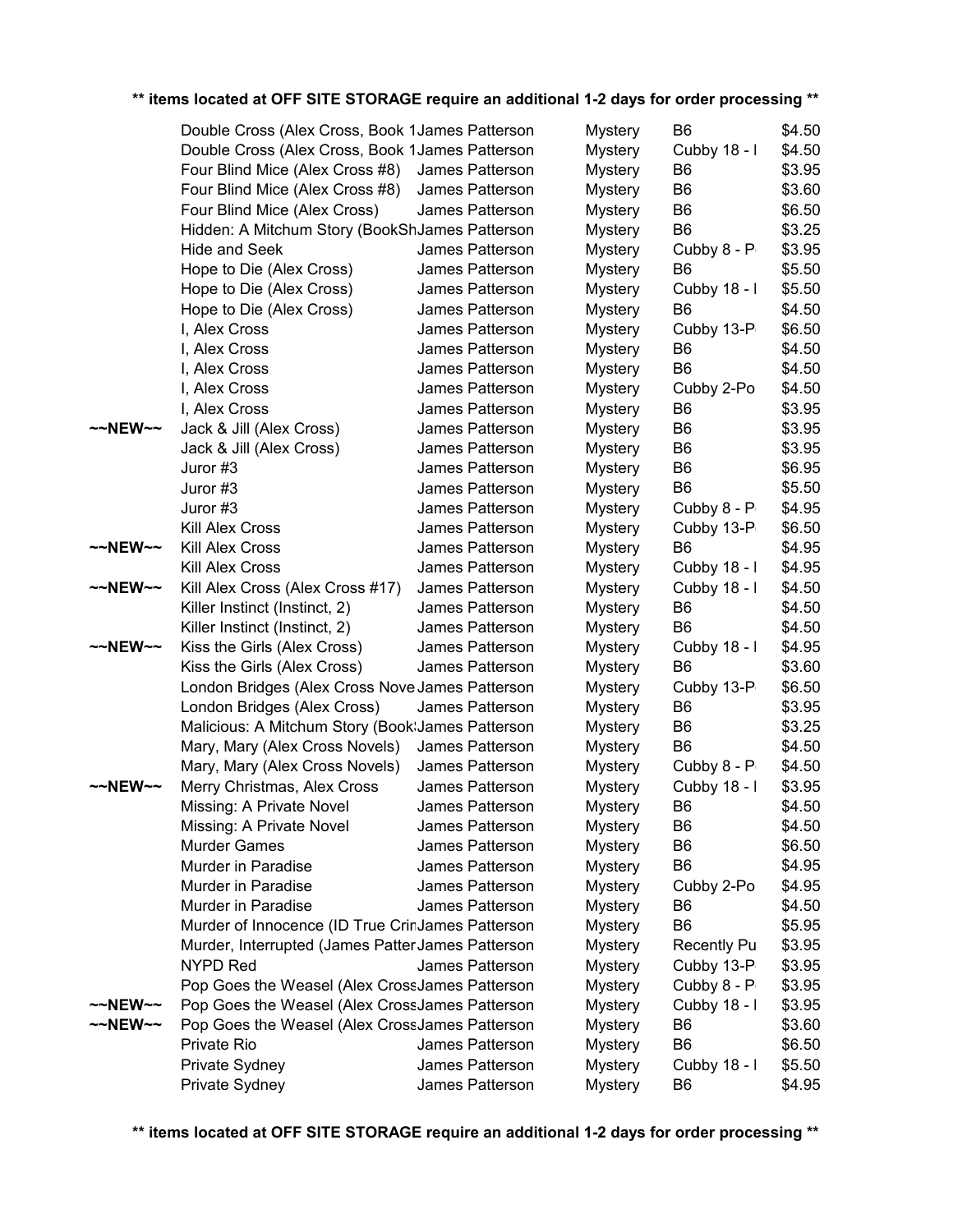|                   | Double Cross (Alex Cross, Book 1 James Patterson                                                 |                 | <b>Mystery</b> | B <sub>6</sub>     | \$4.50 |
|-------------------|--------------------------------------------------------------------------------------------------|-----------------|----------------|--------------------|--------|
|                   | Double Cross (Alex Cross, Book 1 James Patterson                                                 |                 | <b>Mystery</b> | Cubby 18 - I       | \$4.50 |
|                   | Four Blind Mice (Alex Cross #8)                                                                  | James Patterson | <b>Mystery</b> | B <sub>6</sub>     | \$3.95 |
|                   | Four Blind Mice (Alex Cross #8)                                                                  | James Patterson | <b>Mystery</b> | B <sub>6</sub>     | \$3.60 |
|                   | Four Blind Mice (Alex Cross)                                                                     | James Patterson | <b>Mystery</b> | B <sub>6</sub>     | \$6.50 |
|                   | Hidden: A Mitchum Story (BookShJames Patterson                                                   |                 | <b>Mystery</b> | B <sub>6</sub>     | \$3.25 |
|                   | <b>Hide and Seek</b>                                                                             | James Patterson | <b>Mystery</b> | Cubby 8 - P        | \$3.95 |
|                   | Hope to Die (Alex Cross)                                                                         | James Patterson | <b>Mystery</b> | B <sub>6</sub>     | \$5.50 |
|                   | Hope to Die (Alex Cross)                                                                         | James Patterson | <b>Mystery</b> | Cubby 18 - I       | \$5.50 |
|                   | Hope to Die (Alex Cross)                                                                         | James Patterson | <b>Mystery</b> | B <sub>6</sub>     | \$4.50 |
|                   | I, Alex Cross                                                                                    | James Patterson | <b>Mystery</b> | Cubby 13-P         | \$6.50 |
|                   | I, Alex Cross                                                                                    | James Patterson | <b>Mystery</b> | B <sub>6</sub>     | \$4.50 |
|                   | I, Alex Cross                                                                                    | James Patterson | <b>Mystery</b> | B <sub>6</sub>     | \$4.50 |
|                   | I, Alex Cross                                                                                    | James Patterson | <b>Mystery</b> | Cubby 2-Po         | \$4.50 |
|                   | I, Alex Cross                                                                                    | James Patterson | <b>Mystery</b> | B <sub>6</sub>     | \$3.95 |
| ~~NEW~~           | Jack & Jill (Alex Cross)                                                                         | James Patterson | <b>Mystery</b> | B <sub>6</sub>     | \$3.95 |
|                   | Jack & Jill (Alex Cross)                                                                         | James Patterson | <b>Mystery</b> | B <sub>6</sub>     | \$3.95 |
|                   | Juror #3                                                                                         | James Patterson | <b>Mystery</b> | B <sub>6</sub>     | \$6.95 |
|                   | Juror #3                                                                                         | James Patterson | <b>Mystery</b> | B <sub>6</sub>     | \$5.50 |
|                   | Juror #3                                                                                         | James Patterson | <b>Mystery</b> | Cubby 8 - P        | \$4.95 |
|                   | Kill Alex Cross                                                                                  | James Patterson | <b>Mystery</b> | Cubby 13-P         | \$6.50 |
| ~~NEW~~           | <b>Kill Alex Cross</b>                                                                           | James Patterson | <b>Mystery</b> | B <sub>6</sub>     | \$4.95 |
|                   | <b>Kill Alex Cross</b>                                                                           | James Patterson | <b>Mystery</b> | Cubby 18 - I       | \$4.95 |
| ~~NEW~~           | Kill Alex Cross (Alex Cross #17)                                                                 | James Patterson | <b>Mystery</b> | Cubby 18 - I       | \$4.50 |
|                   | Killer Instinct (Instinct, 2)                                                                    | James Patterson | <b>Mystery</b> | B <sub>6</sub>     | \$4.50 |
|                   | Killer Instinct (Instinct, 2)                                                                    | James Patterson | <b>Mystery</b> | B <sub>6</sub>     | \$4.50 |
| $\sim$ NEW $\sim$ | Kiss the Girls (Alex Cross)                                                                      | James Patterson | <b>Mystery</b> | Cubby 18 - I       | \$4.95 |
|                   | Kiss the Girls (Alex Cross)                                                                      | James Patterson | <b>Mystery</b> | B <sub>6</sub>     | \$3.60 |
|                   | London Bridges (Alex Cross Nove James Patterson                                                  |                 | <b>Mystery</b> | Cubby 13-P         | \$6.50 |
|                   | London Bridges (Alex Cross)                                                                      | James Patterson | <b>Mystery</b> | B <sub>6</sub>     | \$3.95 |
|                   | Malicious: A Mitchum Story (Book: James Patterson                                                |                 | <b>Mystery</b> | B <sub>6</sub>     | \$3.25 |
|                   | Mary, Mary (Alex Cross Novels)                                                                   | James Patterson | <b>Mystery</b> | B <sub>6</sub>     | \$4.50 |
|                   | Mary, Mary (Alex Cross Novels)                                                                   | James Patterson | <b>Mystery</b> | Cubby 8 - P        | \$4.50 |
| ~~NEW~~           | Merry Christmas, Alex Cross                                                                      | James Patterson | <b>Mystery</b> | Cubby 18 - I       | \$3.95 |
|                   | Missing: A Private Novel                                                                         | James Patterson | <b>Mystery</b> | B <sub>6</sub>     | \$4.50 |
|                   | Missing: A Private Novel                                                                         | James Patterson | <b>Mystery</b> | B <sub>6</sub>     | \$4.50 |
|                   | <b>Murder Games</b>                                                                              | James Patterson | <b>Mystery</b> | B <sub>6</sub>     | \$6.50 |
|                   | Murder in Paradise                                                                               | James Patterson | <b>Mystery</b> | B <sub>6</sub>     | \$4.95 |
|                   | Murder in Paradise                                                                               | James Patterson | <b>Mystery</b> | Cubby 2-Po         | \$4.95 |
|                   | Murder in Paradise                                                                               | James Patterson | <b>Mystery</b> | B <sub>6</sub>     | \$4.50 |
|                   | Murder of Innocence (ID True CrinJames Patterson                                                 |                 | <b>Mystery</b> | B <sub>6</sub>     | \$5.95 |
|                   | Murder, Interrupted (James Patter James Patterson                                                |                 | <b>Mystery</b> | <b>Recently Pu</b> | \$3.95 |
|                   | <b>NYPD Red</b>                                                                                  | James Patterson | <b>Mystery</b> | Cubby 13-P         | \$3.95 |
|                   |                                                                                                  |                 |                | Cubby 8 - P        | \$3.95 |
| ~~NEW~~           | Pop Goes the Weasel (Alex CrossJames Patterson<br>Pop Goes the Weasel (Alex CrossJames Patterson |                 | Mystery        | Cubby 18 - I       | \$3.95 |
| ~~NEW~~           |                                                                                                  |                 | <b>Mystery</b> | B <sub>6</sub>     | \$3.60 |
|                   | Pop Goes the Weasel (Alex CrossJames Patterson<br>Private Rio                                    | James Patterson | <b>Mystery</b> | B <sub>6</sub>     |        |
|                   |                                                                                                  |                 | <b>Mystery</b> |                    | \$6.50 |
|                   | Private Sydney                                                                                   | James Patterson | <b>Mystery</b> | Cubby 18 - I       | \$5.50 |
|                   | Private Sydney                                                                                   | James Patterson | <b>Mystery</b> | B <sub>6</sub>     | \$4.95 |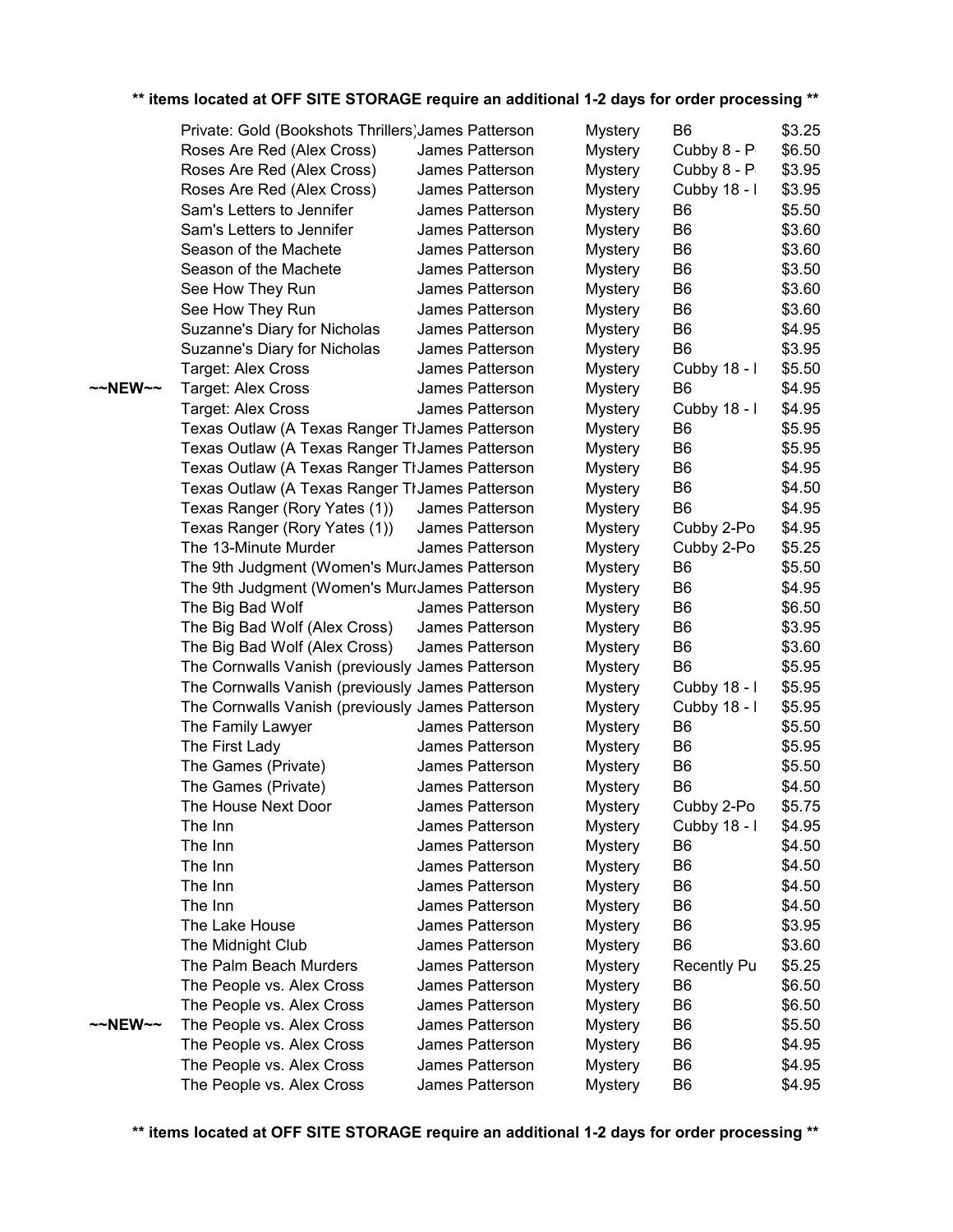|         | Private: Gold (Bookshots Thrillers) James Patterson |                 | Mystery        | B <sub>6</sub>     | \$3.25 |
|---------|-----------------------------------------------------|-----------------|----------------|--------------------|--------|
|         | Roses Are Red (Alex Cross)                          | James Patterson | <b>Mystery</b> | Cubby 8 - P        | \$6.50 |
|         | Roses Are Red (Alex Cross)                          | James Patterson | <b>Mystery</b> | Cubby 8 - P        | \$3.95 |
|         | Roses Are Red (Alex Cross)                          | James Patterson | Mystery        | Cubby 18 - I       | \$3.95 |
|         | Sam's Letters to Jennifer                           | James Patterson | Mystery        | B <sub>6</sub>     | \$5.50 |
|         | Sam's Letters to Jennifer                           | James Patterson | <b>Mystery</b> | B <sub>6</sub>     | \$3.60 |
|         | Season of the Machete                               | James Patterson | <b>Mystery</b> | B <sub>6</sub>     | \$3.60 |
|         | Season of the Machete                               | James Patterson | <b>Mystery</b> | B <sub>6</sub>     | \$3.50 |
|         | See How They Run                                    | James Patterson |                | B <sub>6</sub>     | \$3.60 |
|         |                                                     |                 | <b>Mystery</b> |                    |        |
|         | See How They Run                                    | James Patterson | <b>Mystery</b> | B <sub>6</sub>     | \$3.60 |
|         | Suzanne's Diary for Nicholas                        | James Patterson | <b>Mystery</b> | B <sub>6</sub>     | \$4.95 |
|         | Suzanne's Diary for Nicholas                        | James Patterson | <b>Mystery</b> | B <sub>6</sub>     | \$3.95 |
|         | Target: Alex Cross                                  | James Patterson | <b>Mystery</b> | Cubby 18 - I       | \$5.50 |
| ~~NEW~~ | Target: Alex Cross                                  | James Patterson | <b>Mystery</b> | B <sub>6</sub>     | \$4.95 |
|         | Target: Alex Cross                                  | James Patterson | <b>Mystery</b> | Cubby 18 - I       | \$4.95 |
|         | Texas Outlaw (A Texas Ranger TI James Patterson     |                 | <b>Mystery</b> | B <sub>6</sub>     | \$5.95 |
|         | Texas Outlaw (A Texas Ranger TI James Patterson     |                 | <b>Mystery</b> | B <sub>6</sub>     | \$5.95 |
|         | Texas Outlaw (A Texas Ranger TI James Patterson     |                 | <b>Mystery</b> | B <sub>6</sub>     | \$4.95 |
|         | Texas Outlaw (A Texas Ranger TI James Patterson     |                 | <b>Mystery</b> | B <sub>6</sub>     | \$4.50 |
|         | Texas Ranger (Rory Yates (1))                       | James Patterson | <b>Mystery</b> | B <sub>6</sub>     | \$4.95 |
|         | Texas Ranger (Rory Yates (1))                       | James Patterson | <b>Mystery</b> | Cubby 2-Po         | \$4.95 |
|         | The 13-Minute Murder                                | James Patterson | <b>Mystery</b> | Cubby 2-Po         | \$5.25 |
|         | The 9th Judgment (Women's Murdames Patterson        |                 | <b>Mystery</b> | B <sub>6</sub>     | \$5.50 |
|         | The 9th Judgment (Women's Murdames Patterson        |                 | <b>Mystery</b> | B <sub>6</sub>     | \$4.95 |
|         | The Big Bad Wolf                                    | James Patterson | <b>Mystery</b> | B <sub>6</sub>     | \$6.50 |
|         | The Big Bad Wolf (Alex Cross)                       | James Patterson | <b>Mystery</b> | B <sub>6</sub>     | \$3.95 |
|         | The Big Bad Wolf (Alex Cross)                       | James Patterson | <b>Mystery</b> | B <sub>6</sub>     | \$3.60 |
|         | The Cornwalls Vanish (previously James Patterson    |                 | <b>Mystery</b> | B <sub>6</sub>     | \$5.95 |
|         | The Cornwalls Vanish (previously James Patterson    |                 | <b>Mystery</b> | Cubby 18 - I       | \$5.95 |
|         | The Cornwalls Vanish (previously James Patterson    |                 | <b>Mystery</b> | Cubby 18 - I       | \$5.95 |
|         | The Family Lawyer                                   | James Patterson | <b>Mystery</b> | B <sub>6</sub>     | \$5.50 |
|         | The First Lady                                      | James Patterson | <b>Mystery</b> | B <sub>6</sub>     | \$5.95 |
|         | The Games (Private)                                 | James Patterson | <b>Mystery</b> | B <sub>6</sub>     | \$5.50 |
|         | The Games (Private)                                 | James Patterson |                | B <sub>6</sub>     |        |
|         |                                                     |                 | <b>Mystery</b> |                    | \$4.50 |
|         | The House Next Door                                 | James Patterson | <b>Mystery</b> | Cubby 2-Po         | \$5.75 |
|         | The Inn                                             | James Patterson | <b>Mystery</b> | Cubby 18 - I       | \$4.95 |
|         | The Inn                                             | James Patterson | <b>Mystery</b> | B <sub>6</sub>     | \$4.50 |
|         | The Inn                                             | James Patterson | <b>Mystery</b> | B <sub>6</sub>     | \$4.50 |
|         | The Inn                                             | James Patterson | <b>Mystery</b> | B6                 | \$4.50 |
|         | The Inn                                             | James Patterson | <b>Mystery</b> | B <sub>6</sub>     | \$4.50 |
|         | The Lake House                                      | James Patterson | <b>Mystery</b> | B <sub>6</sub>     | \$3.95 |
|         | The Midnight Club                                   | James Patterson | <b>Mystery</b> | B <sub>6</sub>     | \$3.60 |
|         | The Palm Beach Murders                              | James Patterson | <b>Mystery</b> | <b>Recently Pu</b> | \$5.25 |
|         | The People vs. Alex Cross                           | James Patterson | <b>Mystery</b> | B <sub>6</sub>     | \$6.50 |
|         | The People vs. Alex Cross                           | James Patterson | <b>Mystery</b> | B <sub>6</sub>     | \$6.50 |
| ~~NEW~~ | The People vs. Alex Cross                           | James Patterson | <b>Mystery</b> | B <sub>6</sub>     | \$5.50 |
|         | The People vs. Alex Cross                           | James Patterson | <b>Mystery</b> | B <sub>6</sub>     | \$4.95 |
|         | The People vs. Alex Cross                           | James Patterson | <b>Mystery</b> | B <sub>6</sub>     | \$4.95 |
|         | The People vs. Alex Cross                           | James Patterson | <b>Mystery</b> | B <sub>6</sub>     | \$4.95 |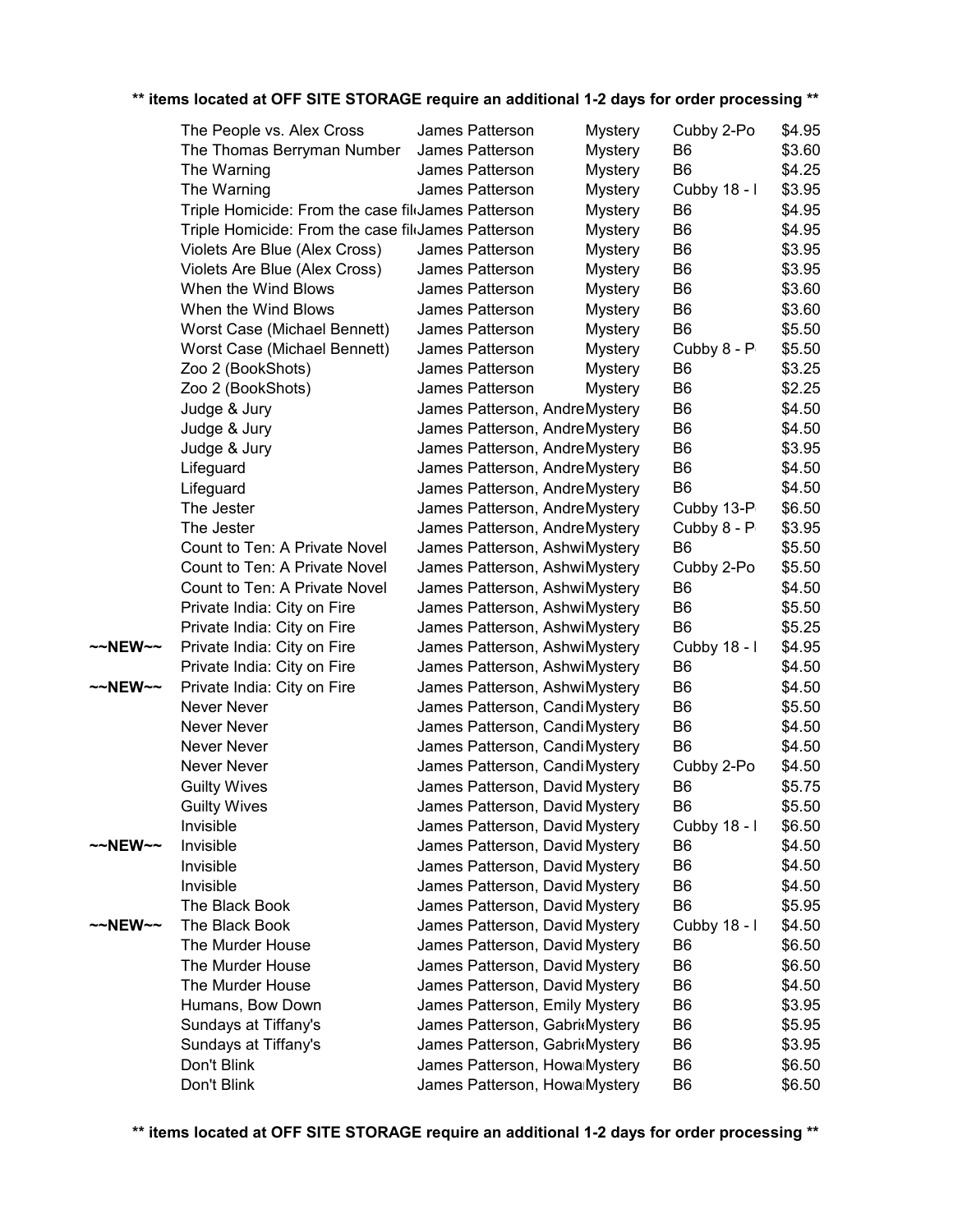|         |                                                    |                                    |                | Cubby 2-Po     | \$4.95 |
|---------|----------------------------------------------------|------------------------------------|----------------|----------------|--------|
|         | The People vs. Alex Cross                          | James Patterson<br>James Patterson | <b>Mystery</b> | B <sub>6</sub> | \$3.60 |
|         | The Thomas Berryman Number                         | James Patterson                    | <b>Mystery</b> | B <sub>6</sub> |        |
|         | The Warning                                        |                                    | <b>Mystery</b> |                | \$4.25 |
|         | The Warning                                        | James Patterson                    | <b>Mystery</b> | Cubby 18 - I   | \$3.95 |
|         | Triple Homicide: From the case fil James Patterson |                                    | <b>Mystery</b> | B <sub>6</sub> | \$4.95 |
|         | Triple Homicide: From the case fil James Patterson |                                    | <b>Mystery</b> | B <sub>6</sub> | \$4.95 |
|         | Violets Are Blue (Alex Cross)                      | James Patterson                    | <b>Mystery</b> | B <sub>6</sub> | \$3.95 |
|         | Violets Are Blue (Alex Cross)                      | James Patterson                    | <b>Mystery</b> | B <sub>6</sub> | \$3.95 |
|         | When the Wind Blows                                | James Patterson                    | <b>Mystery</b> | B <sub>6</sub> | \$3.60 |
|         | When the Wind Blows                                | James Patterson                    | <b>Mystery</b> | B <sub>6</sub> | \$3.60 |
|         | Worst Case (Michael Bennett)                       | James Patterson                    | <b>Mystery</b> | B <sub>6</sub> | \$5.50 |
|         | Worst Case (Michael Bennett)                       | James Patterson                    | <b>Mystery</b> | Cubby 8 - P    | \$5.50 |
|         | Zoo 2 (BookShots)                                  | James Patterson                    | <b>Mystery</b> | B <sub>6</sub> | \$3.25 |
|         | Zoo 2 (BookShots)                                  | James Patterson                    | <b>Mystery</b> | B <sub>6</sub> | \$2.25 |
|         | Judge & Jury                                       | James Patterson, AndreMystery      |                | B <sub>6</sub> | \$4.50 |
|         | Judge & Jury                                       | James Patterson, AndreMystery      |                | B <sub>6</sub> | \$4.50 |
|         | Judge & Jury                                       | James Patterson, AndreMystery      |                | B <sub>6</sub> | \$3.95 |
|         | Lifeguard                                          | James Patterson, AndreMystery      |                | B <sub>6</sub> | \$4.50 |
|         | Lifeguard                                          | James Patterson, AndreMystery      |                | B <sub>6</sub> | \$4.50 |
|         | The Jester                                         | James Patterson, AndreMystery      |                | Cubby 13-P     | \$6.50 |
|         | The Jester                                         | James Patterson, AndreMystery      |                | Cubby 8 - P    | \$3.95 |
|         | Count to Ten: A Private Novel                      | James Patterson, AshwiMystery      |                | B <sub>6</sub> | \$5.50 |
|         | Count to Ten: A Private Novel                      | James Patterson, AshwiMystery      |                | Cubby 2-Po     | \$5.50 |
|         | Count to Ten: A Private Novel                      | James Patterson, AshwiMystery      |                | B <sub>6</sub> | \$4.50 |
|         | Private India: City on Fire                        | James Patterson, AshwiMystery      |                | B <sub>6</sub> | \$5.50 |
|         | Private India: City on Fire                        | James Patterson, AshwiMystery      |                | B <sub>6</sub> | \$5.25 |
| ~~NEW~~ | Private India: City on Fire                        | James Patterson, AshwiMystery      |                | Cubby 18 - I   | \$4.95 |
|         | Private India: City on Fire                        | James Patterson, AshwiMystery      |                | B <sub>6</sub> | \$4.50 |
| ~~NEW~~ | Private India: City on Fire                        | James Patterson, AshwiMystery      |                | B <sub>6</sub> | \$4.50 |
|         | Never Never                                        | James Patterson, Candi Mystery     |                | B <sub>6</sub> | \$5.50 |
|         | Never Never                                        | James Patterson, Candi Mystery     |                | B <sub>6</sub> | \$4.50 |
|         | Never Never                                        | James Patterson, Candi Mystery     |                | B <sub>6</sub> | \$4.50 |
|         | Never Never                                        | James Patterson, Candi Mystery     |                | Cubby 2-Po     | \$4.50 |
|         | <b>Guilty Wives</b>                                | James Patterson, David Mystery     |                | B <sub>6</sub> | \$5.75 |
|         | <b>Guilty Wives</b>                                | James Patterson, David Mystery     |                | B <sub>6</sub> | \$5.50 |
|         | Invisible                                          |                                    |                | Cubby 18 - I   | \$6.50 |
| ~~NEW~~ | Invisible                                          | James Patterson, David Mystery     |                |                | \$4.50 |
|         | Invisible                                          | James Patterson, David Mystery     |                | B6             |        |
|         |                                                    | James Patterson, David Mystery     |                | B <sub>6</sub> | \$4.50 |
|         | Invisible<br>The Black Book                        | James Patterson, David Mystery     |                | B <sub>6</sub> | \$4.50 |
|         |                                                    | James Patterson, David Mystery     |                | B <sub>6</sub> | \$5.95 |
| ~~NEW~~ | The Black Book                                     | James Patterson, David Mystery     |                | Cubby 18 - I   | \$4.50 |
|         | The Murder House                                   | James Patterson, David Mystery     |                | B <sub>6</sub> | \$6.50 |
|         | The Murder House                                   | James Patterson, David Mystery     |                | B <sub>6</sub> | \$6.50 |
|         | The Murder House                                   | James Patterson, David Mystery     |                | B <sub>6</sub> | \$4.50 |
|         | Humans, Bow Down                                   | James Patterson, Emily Mystery     |                | B <sub>6</sub> | \$3.95 |
|         | Sundays at Tiffany's                               | James Patterson, Gabri Mystery     |                | B <sub>6</sub> | \$5.95 |
|         | Sundays at Tiffany's                               | James Patterson, Gabri Mystery     |                | B <sub>6</sub> | \$3.95 |
|         | Don't Blink                                        | James Patterson, Howa Mystery      |                | B <sub>6</sub> | \$6.50 |
|         | Don't Blink                                        | James Patterson, Howa Mystery      |                | B <sub>6</sub> | \$6.50 |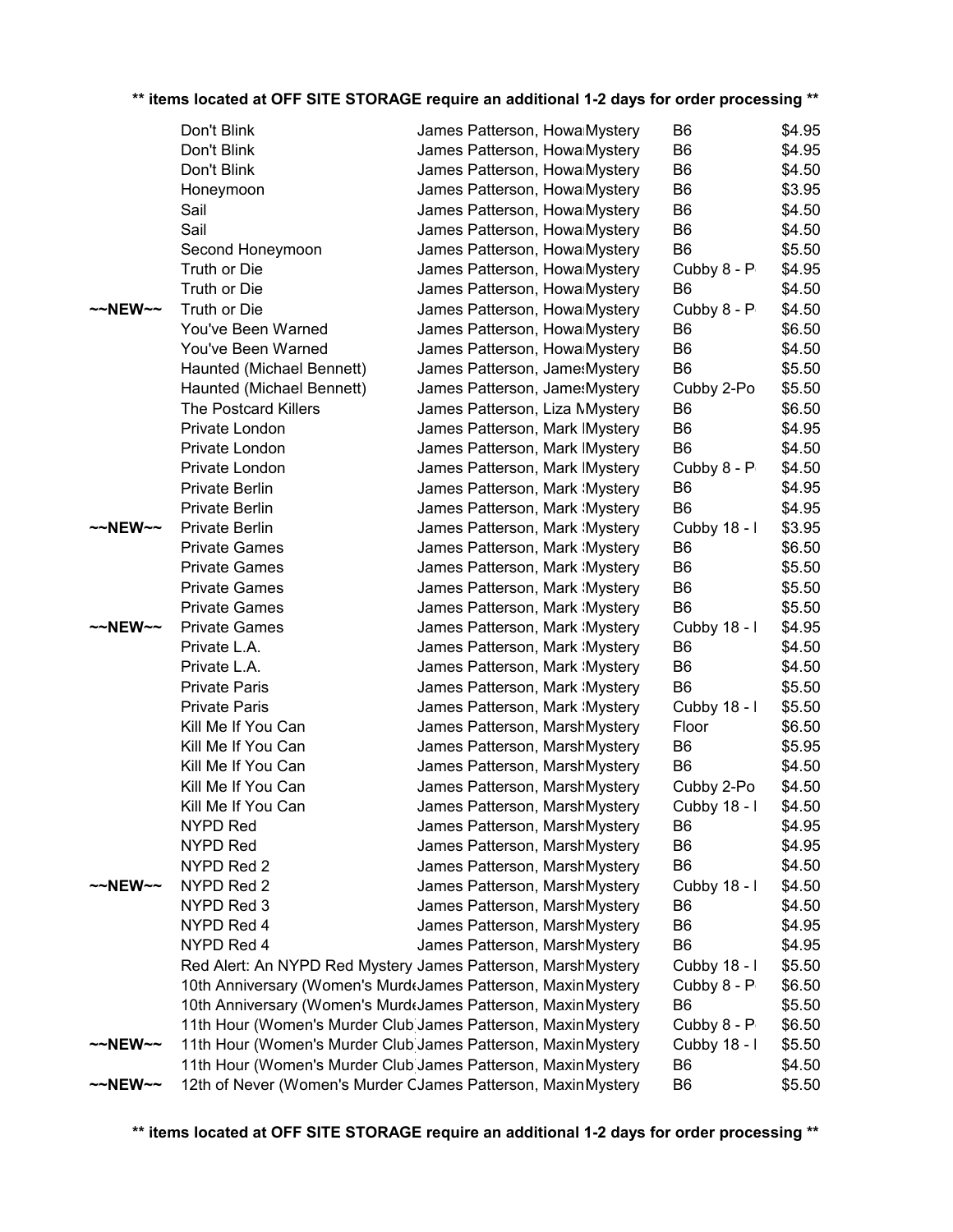|         | Don't Blink                                                   | James Patterson, Howa Mystery   | B6             | \$4.95 |
|---------|---------------------------------------------------------------|---------------------------------|----------------|--------|
|         | Don't Blink                                                   | James Patterson, Howa Mystery   | B <sub>6</sub> | \$4.95 |
|         | Don't Blink                                                   | James Patterson, Howa Mystery   | B <sub>6</sub> | \$4.50 |
|         | Honeymoon                                                     | James Patterson, Howa Mystery   | B <sub>6</sub> | \$3.95 |
|         | Sail                                                          | James Patterson, Howa Mystery   | B <sub>6</sub> | \$4.50 |
|         | Sail                                                          | James Patterson, Howa Mystery   | B <sub>6</sub> | \$4.50 |
|         | Second Honeymoon                                              | James Patterson, Howa Mystery   | B <sub>6</sub> | \$5.50 |
|         | Truth or Die                                                  | James Patterson, Howa Mystery   | Cubby 8 - P    | \$4.95 |
|         | Truth or Die                                                  | James Patterson, Howa Mystery   | B <sub>6</sub> | \$4.50 |
| ~~NEW~~ | Truth or Die                                                  | James Patterson, Howa Mystery   | Cubby 8 - P    | \$4.50 |
|         | You've Been Warned                                            | James Patterson, Howa Mystery   | B <sub>6</sub> | \$6.50 |
|         | You've Been Warned                                            | James Patterson, Howa Mystery   | B <sub>6</sub> | \$4.50 |
|         | Haunted (Michael Bennett)                                     | James Patterson, Jame: Mystery  | B <sub>6</sub> | \$5.50 |
|         | Haunted (Michael Bennett)                                     | James Patterson, Jame: Mystery  | Cubby 2-Po     | \$5.50 |
|         | <b>The Postcard Killers</b>                                   | James Patterson, Liza Mystery   | B <sub>6</sub> | \$6.50 |
|         | Private London                                                | James Patterson, Mark IMystery  | B <sub>6</sub> | \$4.95 |
|         | Private London                                                | James Patterson, Mark IMystery  | B <sub>6</sub> | \$4.50 |
|         | Private London                                                | James Patterson, Mark IMystery  | Cubby 8 - P    | \$4.50 |
|         | Private Berlin                                                | James Patterson, Mark : Mystery | B <sub>6</sub> | \$4.95 |
|         | Private Berlin                                                | James Patterson, Mark : Mystery | B <sub>6</sub> | \$4.95 |
| ~~NEW~~ | <b>Private Berlin</b>                                         | James Patterson, Mark : Mystery | Cubby 18 - I   | \$3.95 |
|         | <b>Private Games</b>                                          | James Patterson, Mark : Mystery | B <sub>6</sub> | \$6.50 |
|         | <b>Private Games</b>                                          | James Patterson, Mark : Mystery | B <sub>6</sub> | \$5.50 |
|         | <b>Private Games</b>                                          | James Patterson, Mark : Mystery | B <sub>6</sub> | \$5.50 |
|         | <b>Private Games</b>                                          | James Patterson, Mark : Mystery | B <sub>6</sub> | \$5.50 |
| ~~NEW~~ | <b>Private Games</b>                                          | James Patterson, Mark : Mystery | Cubby 18 - I   | \$4.95 |
|         | Private L.A.                                                  | James Patterson, Mark \Mystery  | B <sub>6</sub> | \$4.50 |
|         | Private L.A.                                                  | James Patterson, Mark : Mystery | B <sub>6</sub> | \$4.50 |
|         | <b>Private Paris</b>                                          | James Patterson, Mark : Mystery | B <sub>6</sub> | \$5.50 |
|         | <b>Private Paris</b>                                          | James Patterson, Mark : Mystery | Cubby 18 - I   | \$5.50 |
|         | Kill Me If You Can                                            | James Patterson, MarshMystery   | Floor          | \$6.50 |
|         | Kill Me If You Can                                            | James Patterson, MarshMystery   | B <sub>6</sub> | \$5.95 |
|         | Kill Me If You Can                                            | James Patterson, MarshMystery   | B <sub>6</sub> | \$4.50 |
|         | Kill Me If You Can                                            | James Patterson, MarshMystery   | Cubby 2-Po     | \$4.50 |
|         | Kill Me If You Can                                            | James Patterson, MarshMystery   | Cubby 18 - I   | \$4.50 |
|         | <b>NYPD Red</b>                                               | James Patterson, MarshMystery   | B6             | \$4.95 |
|         | <b>NYPD Red</b>                                               | James Patterson, MarshMystery   | B <sub>6</sub> | \$4.95 |
|         | NYPD Red 2                                                    | James Patterson, MarshMystery   | B <sub>6</sub> | \$4.50 |
| ~~NEW~~ | NYPD Red 2                                                    | James Patterson, MarshMystery   | Cubby 18 - I   | \$4.50 |
|         | NYPD Red 3                                                    | James Patterson, MarshMystery   | B6             | \$4.50 |
|         | NYPD Red 4                                                    | James Patterson, MarshMystery   | B <sub>6</sub> | \$4.95 |
|         | NYPD Red 4                                                    | James Patterson, MarshMystery   | B <sub>6</sub> | \$4.95 |
|         | Red Alert: An NYPD Red Mystery James Patterson, MarshMystery  |                                 | Cubby 18 - I   | \$5.50 |
|         | 10th Anniversary (Women's Murd James Patterson, Maxin Mystery |                                 | Cubby 8 - P    | \$6.50 |
|         | 10th Anniversary (Women's MurdtJames Patterson, MaxinMystery  |                                 | B <sub>6</sub> | \$5.50 |
|         | 11th Hour (Women's Murder Club James Patterson, Maxin Mystery |                                 | Cubby 8 - P    | \$6.50 |
| ~~NEW~~ | 11th Hour (Women's Murder Club James Patterson, Maxin Mystery |                                 | Cubby 18 - I   | \$5.50 |
|         | 11th Hour (Women's Murder Club James Patterson, Maxin Mystery |                                 | B <sub>6</sub> | \$4.50 |
| ~~NEW~~ | 12th of Never (Women's Murder CJames Patterson, Maxin Mystery |                                 | B <sub>6</sub> | \$5.50 |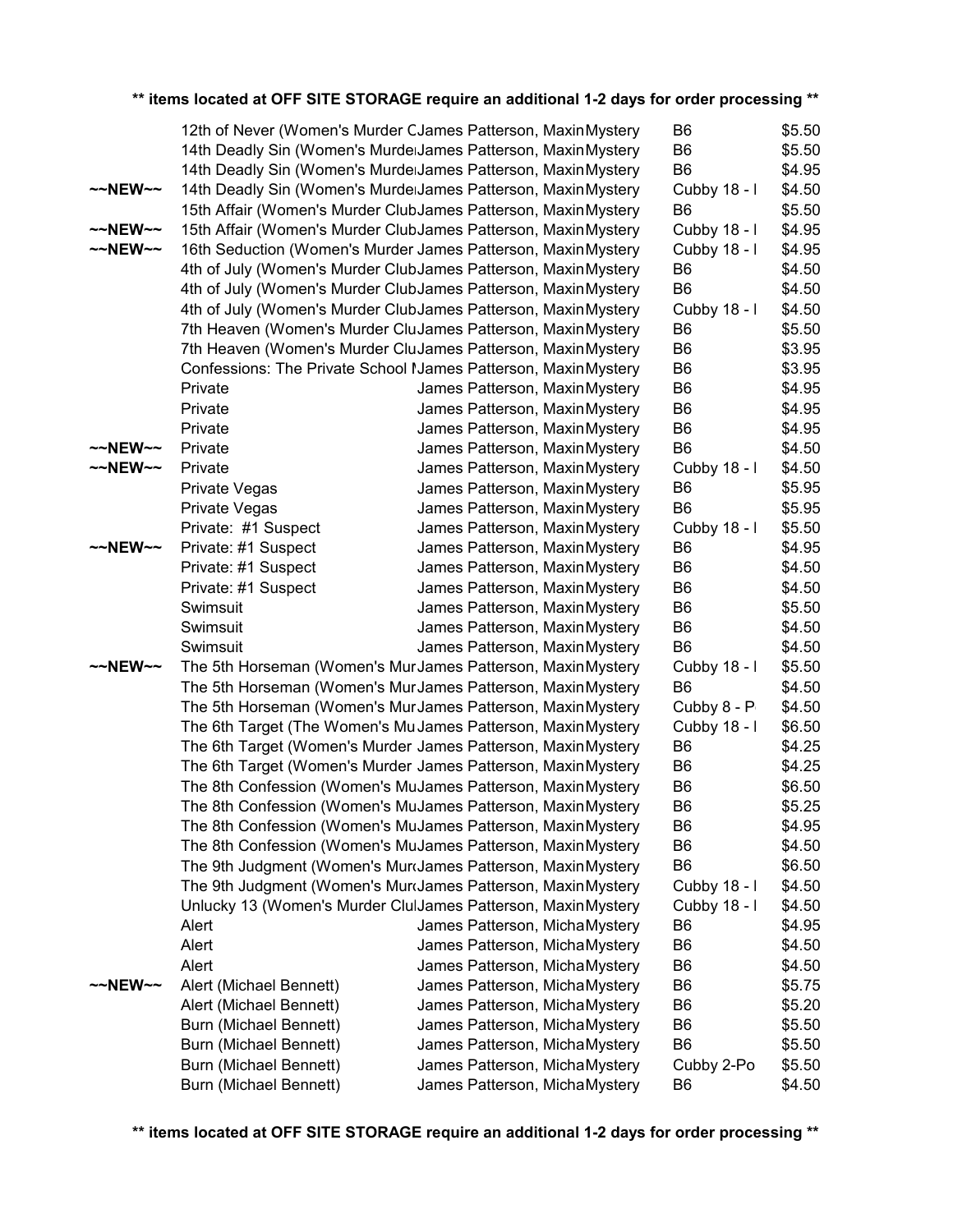|                     | 12th of Never (Women's Murder CJames Patterson, Maxin Mystery  |                                | B6             | \$5.50 |
|---------------------|----------------------------------------------------------------|--------------------------------|----------------|--------|
|                     | 14th Deadly Sin (Women's MurdelJames Patterson, Maxin Mystery  |                                | B <sub>6</sub> | \$5.50 |
|                     | 14th Deadly Sin (Women's MurdelJames Patterson, Maxin Mystery  |                                | B <sub>6</sub> | \$4.95 |
| $\sim$ NEW $\sim$   | 14th Deadly Sin (Women's MurdelJames Patterson, Maxin Mystery  |                                | Cubby 18 - I   | \$4.50 |
|                     | 15th Affair (Women's Murder ClubJames Patterson, Maxin Mystery |                                | B <sub>6</sub> | \$5.50 |
| $~\sim$ NEW $~\sim$ | 15th Affair (Women's Murder ClubJames Patterson, Maxin Mystery |                                | Cubby 18 - I   | \$4.95 |
| $~\sim$ NEW $~\sim$ | 16th Seduction (Women's Murder James Patterson, Maxin Mystery  |                                | Cubby 18 - I   | \$4.95 |
|                     | 4th of July (Women's Murder ClubJames Patterson, Maxin Mystery |                                | B6             | \$4.50 |
|                     | 4th of July (Women's Murder ClubJames Patterson, Maxin Mystery |                                | B <sub>6</sub> | \$4.50 |
|                     | 4th of July (Women's Murder ClubJames Patterson, Maxin Mystery |                                | Cubby 18 - I   | \$4.50 |
|                     | 7th Heaven (Women's Murder CluJames Patterson, Maxin Mystery   |                                | B <sub>6</sub> | \$5.50 |
|                     | 7th Heaven (Women's Murder CluJames Patterson, Maxin Mystery   |                                | B <sub>6</sub> | \$3.95 |
|                     | Confessions: The Private School Names Patterson, Maxin Mystery |                                | B <sub>6</sub> | \$3.95 |
|                     | Private                                                        | James Patterson, MaxinMystery  | B <sub>6</sub> | \$4.95 |
|                     | Private                                                        | James Patterson, MaxinMystery  | B <sub>6</sub> | \$4.95 |
|                     | Private                                                        | James Patterson, MaxinMystery  | B <sub>6</sub> | \$4.95 |
| $~\sim$ NEW $~\sim$ | Private                                                        | James Patterson, Maxin Mystery | B <sub>6</sub> | \$4.50 |
| $\sim$ NEW $\sim$   | Private                                                        | James Patterson, MaxinMystery  | Cubby 18 - I   | \$4.50 |
|                     | Private Vegas                                                  | James Patterson, MaxinMystery  | B <sub>6</sub> | \$5.95 |
|                     | Private Vegas                                                  | James Patterson, MaxinMystery  | B <sub>6</sub> | \$5.95 |
|                     | Private: #1 Suspect                                            | James Patterson, Maxin Mystery | Cubby 18 - I   | \$5.50 |
| $\sim$ NEW $\sim$   | Private: #1 Suspect                                            | James Patterson, Maxin Mystery | B <sub>6</sub> | \$4.95 |
|                     | Private: #1 Suspect                                            | James Patterson, MaxinMystery  | B <sub>6</sub> | \$4.50 |
|                     | Private: #1 Suspect                                            | James Patterson, MaxinMystery  | B <sub>6</sub> | \$4.50 |
|                     | Swimsuit                                                       | James Patterson, MaxinMystery  | B <sub>6</sub> | \$5.50 |
|                     | Swimsuit                                                       | James Patterson, MaxinMystery  | B <sub>6</sub> | \$4.50 |
|                     | Swimsuit                                                       | James Patterson, Maxin Mystery | B <sub>6</sub> | \$4.50 |
| $\sim$ NEW $\sim$   | The 5th Horseman (Women's MurJames Patterson, Maxin Mystery    |                                | Cubby 18 - I   | \$5.50 |
|                     | The 5th Horseman (Women's MurJames Patterson, Maxin Mystery    |                                | B <sub>6</sub> | \$4.50 |
|                     | The 5th Horseman (Women's MurJames Patterson, MaxinMystery     |                                | Cubby 8 - P    | \$4.50 |
|                     | The 6th Target (The Women's Mu James Patterson, Maxin Mystery  |                                | Cubby 18 - I   | \$6.50 |
|                     | The 6th Target (Women's Murder James Patterson, Maxin Mystery  |                                | B <sub>6</sub> | \$4.25 |
|                     | The 6th Target (Women's Murder James Patterson, MaxinMystery   |                                | B <sub>6</sub> | \$4.25 |
|                     | The 8th Confession (Women's MuJames Patterson, Maxin Mystery   |                                | B <sub>6</sub> | \$6.50 |
|                     | The 8th Confession (Women's MuJames Patterson, Maxin Mystery   |                                | B <sub>6</sub> | \$5.25 |
|                     | The 8th Confession (Women's MuJames Patterson, Maxin Mystery   |                                | B6             | \$4.95 |
|                     | The 8th Confession (Women's MuJames Patterson, Maxin Mystery   |                                | B <sub>6</sub> | \$4.50 |
|                     | The 9th Judgment (Women's Murdames Patterson, Maxin Mystery    |                                | B <sub>6</sub> | \$6.50 |
|                     | The 9th Judgment (Women's Murdames Patterson, Maxin Mystery    |                                | Cubby 18 - I   | \$4.50 |
|                     | Unlucky 13 (Women's Murder ClulJames Patterson, MaxinMystery   |                                | Cubby 18 - I   | \$4.50 |
|                     | Alert                                                          | James Patterson, MichaMystery  | B <sub>6</sub> | \$4.95 |
|                     | Alert                                                          | James Patterson, MichaMystery  | B <sub>6</sub> | \$4.50 |
|                     | Alert                                                          | James Patterson, MichaMystery  | B <sub>6</sub> | \$4.50 |
| ~~NEW~~             | Alert (Michael Bennett)                                        | James Patterson, MichaMystery  | B <sub>6</sub> | \$5.75 |
|                     | Alert (Michael Bennett)                                        | James Patterson, MichaMystery  | B <sub>6</sub> | \$5.20 |
|                     | Burn (Michael Bennett)                                         | James Patterson, MichaMystery  | B <sub>6</sub> | \$5.50 |
|                     | Burn (Michael Bennett)                                         | James Patterson, MichaMystery  | B <sub>6</sub> | \$5.50 |
|                     | Burn (Michael Bennett)                                         | James Patterson, MichaMystery  | Cubby 2-Po     | \$5.50 |
|                     | Burn (Michael Bennett)                                         | James Patterson, MichaMystery  | B <sub>6</sub> | \$4.50 |
|                     |                                                                |                                |                |        |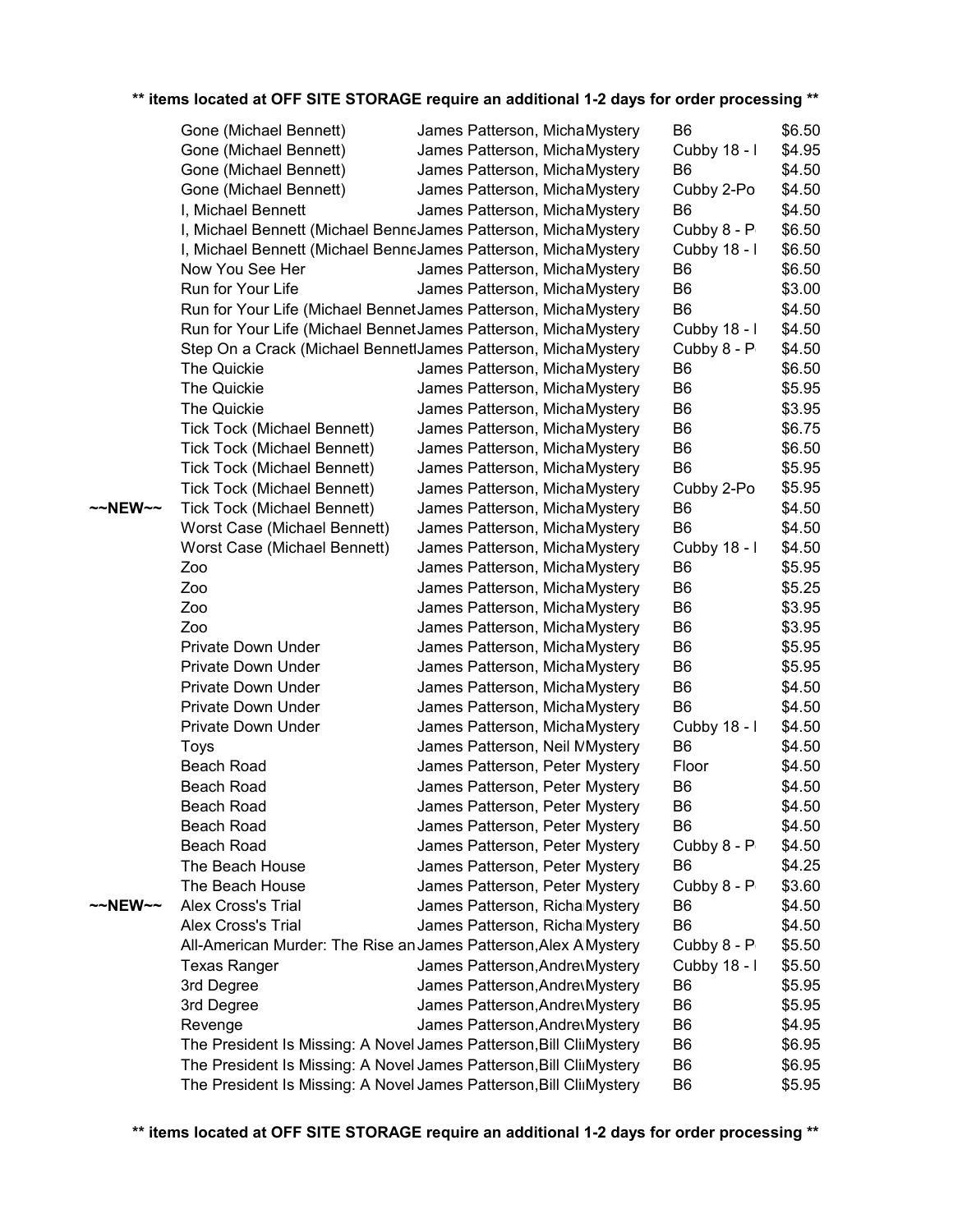|         | Gone (Michael Bennett)                                              | James Patterson, MichaMystery  | B <sub>6</sub>                   | \$6.50           |
|---------|---------------------------------------------------------------------|--------------------------------|----------------------------------|------------------|
|         | Gone (Michael Bennett)                                              | James Patterson, MichaMystery  | Cubby 18 - I                     | \$4.95           |
|         | Gone (Michael Bennett)                                              | James Patterson, MichaMystery  | B <sub>6</sub>                   | \$4.50           |
|         | Gone (Michael Bennett)                                              | James Patterson, MichaMystery  | Cubby 2-Po                       | \$4.50           |
|         | I, Michael Bennett                                                  | James Patterson, MichaMystery  | B <sub>6</sub>                   | \$4.50           |
|         | I, Michael Bennett (Michael BenneJames Patterson, MichaMystery      |                                | Cubby 8 - P                      | \$6.50           |
|         | I, Michael Bennett (Michael BenneJames Patterson, MichaMystery      |                                | Cubby 18 - I                     | \$6.50           |
|         | Now You See Her                                                     | James Patterson, MichaMystery  | B <sub>6</sub>                   | \$6.50           |
|         | Run for Your Life                                                   | James Patterson, MichaMystery  | B <sub>6</sub>                   | \$3.00           |
|         | Run for Your Life (Michael Bennet James Patterson, Micha Mystery    |                                | B <sub>6</sub>                   | \$4.50           |
|         | Run for Your Life (Michael Bennet James Patterson, Micha Mystery    |                                | Cubby 18 - I                     | \$4.50           |
|         | Step On a Crack (Michael BennettJames Patterson, MichaMystery       |                                | Cubby 8 - P                      | \$4.50           |
|         | The Quickie                                                         | James Patterson, Micha Mystery | B <sub>6</sub>                   | \$6.50           |
|         | The Quickie                                                         | James Patterson, MichaMystery  | B <sub>6</sub>                   | \$5.95           |
|         | The Quickie                                                         | James Patterson, MichaMystery  | B <sub>6</sub>                   | \$3.95           |
|         | <b>Tick Tock (Michael Bennett)</b>                                  | James Patterson, MichaMystery  | B <sub>6</sub>                   | \$6.75           |
|         | <b>Tick Tock (Michael Bennett)</b>                                  | James Patterson, MichaMystery  | B <sub>6</sub>                   | \$6.50           |
|         | <b>Tick Tock (Michael Bennett)</b>                                  | James Patterson, MichaMystery  | B <sub>6</sub>                   | \$5.95           |
|         | Tick Tock (Michael Bennett)                                         | James Patterson, MichaMystery  | Cubby 2-Po                       | \$5.95           |
| ~~NEW~~ | <b>Tick Tock (Michael Bennett)</b>                                  | James Patterson, MichaMystery  | B <sub>6</sub>                   | \$4.50           |
|         | Worst Case (Michael Bennett)                                        | James Patterson, MichaMystery  | B <sub>6</sub>                   | \$4.50           |
|         | Worst Case (Michael Bennett)                                        |                                | Cubby 18 - I                     | \$4.50           |
|         |                                                                     | James Patterson, MichaMystery  |                                  |                  |
|         | Zoo                                                                 | James Patterson, MichaMystery  | B <sub>6</sub><br>B <sub>6</sub> | \$5.95<br>\$5.25 |
|         | Zoo                                                                 | James Patterson, MichaMystery  |                                  |                  |
|         | Zoo                                                                 | James Patterson, MichaMystery  | B <sub>6</sub>                   | \$3.95           |
|         | Zoo                                                                 | James Patterson, MichaMystery  | B <sub>6</sub>                   | \$3.95           |
|         | <b>Private Down Under</b>                                           | James Patterson, MichaMystery  | B <sub>6</sub>                   | \$5.95           |
|         | <b>Private Down Under</b>                                           | James Patterson, MichaMystery  | B <sub>6</sub>                   | \$5.95           |
|         | Private Down Under                                                  | James Patterson, MichaMystery  | B <sub>6</sub>                   | \$4.50           |
|         | <b>Private Down Under</b>                                           | James Patterson, MichaMystery  | B <sub>6</sub>                   | \$4.50           |
|         | <b>Private Down Under</b>                                           | James Patterson, MichaMystery  | Cubby 18 - I                     | \$4.50           |
|         | Toys                                                                | James Patterson, Neil MMystery | B <sub>6</sub>                   | \$4.50           |
|         | <b>Beach Road</b>                                                   | James Patterson, Peter Mystery | Floor                            | \$4.50           |
|         | <b>Beach Road</b>                                                   | James Patterson, Peter Mystery | B <sub>6</sub>                   | \$4.50           |
|         | Beach Road                                                          | James Patterson, Peter Mystery | B <sub>6</sub>                   | \$4.50           |
|         | Beach Road                                                          | James Patterson, Peter Mystery | B <sub>6</sub>                   | \$4.50           |
|         | <b>Beach Road</b>                                                   | James Patterson, Peter Mystery | Cubby 8 - P                      | \$4.50           |
|         | The Beach House                                                     | James Patterson, Peter Mystery | B <sub>6</sub>                   | \$4.25           |
|         | The Beach House                                                     | James Patterson, Peter Mystery | Cubby 8 - P                      | \$3.60           |
| ~~NEW~~ | Alex Cross's Trial                                                  | James Patterson, Richa Mystery | B <sub>6</sub>                   | \$4.50           |
|         | Alex Cross's Trial                                                  | James Patterson, Richa Mystery | B <sub>6</sub>                   | \$4.50           |
|         | All-American Murder: The Rise an James Patterson, Alex A Mystery    |                                | Cubby 8 - P                      | \$5.50           |
|         | <b>Texas Ranger</b>                                                 | James Patterson, Andre Mystery | Cubby 18 - I                     | \$5.50           |
|         | 3rd Degree                                                          | James Patterson, Andre Mystery | B <sub>6</sub>                   | \$5.95           |
|         | 3rd Degree                                                          | James Patterson, Andre Mystery | B <sub>6</sub>                   | \$5.95           |
|         | Revenge                                                             | James Patterson, Andre Mystery | B <sub>6</sub>                   | \$4.95           |
|         | The President Is Missing: A Novel James Patterson, Bill ClinMystery |                                | B <sub>6</sub>                   | \$6.95           |
|         | The President Is Missing: A Novel James Patterson, Bill ClinMystery |                                | B <sub>6</sub>                   | \$6.95           |
|         | The President Is Missing: A Novel James Patterson, Bill ClinMystery |                                | B <sub>6</sub>                   | \$5.95           |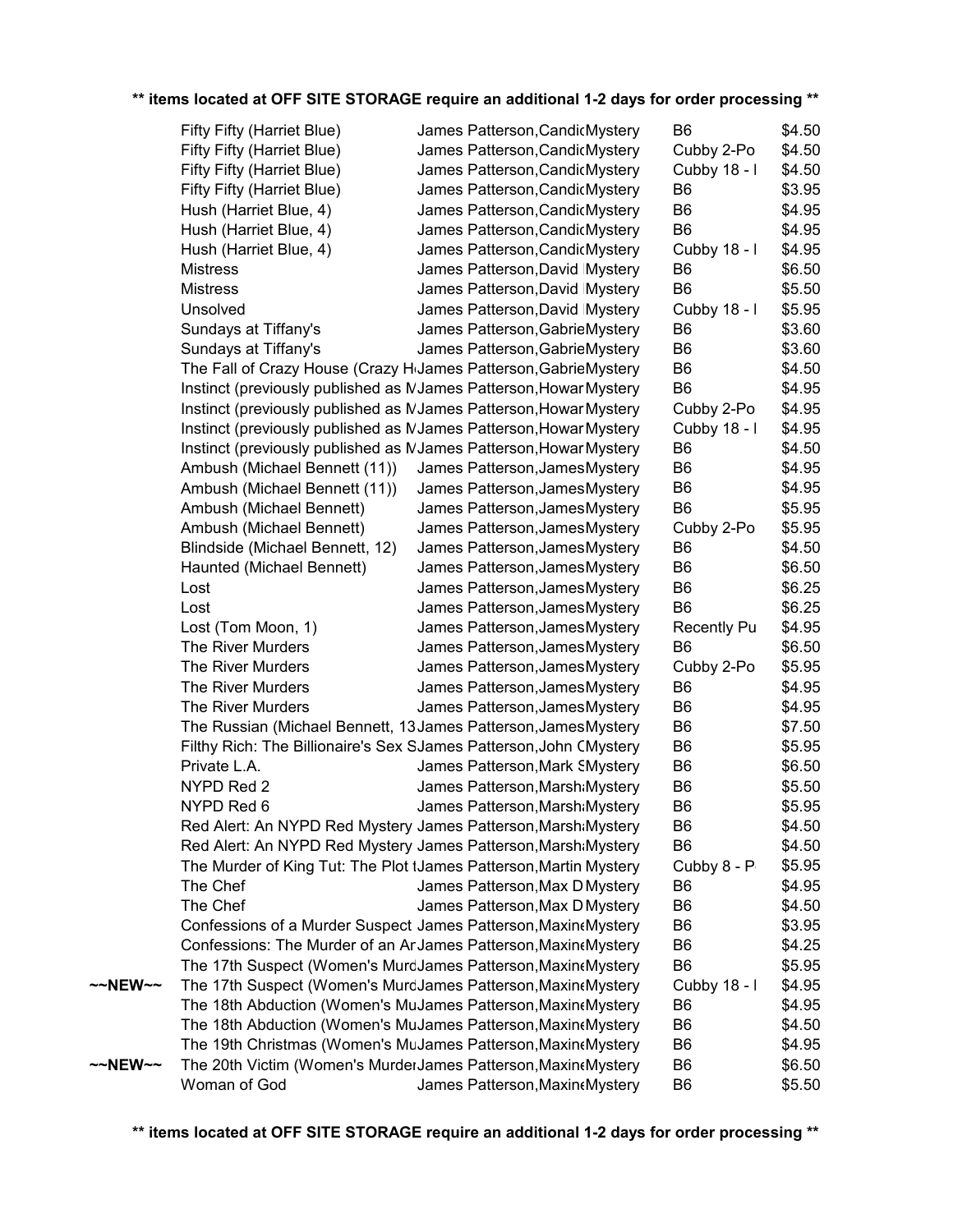|         | Fifty Fifty (Harriet Blue)                                                   | James Patterson, Candic Mystery | B <sub>6</sub>     | \$4.50 |  |
|---------|------------------------------------------------------------------------------|---------------------------------|--------------------|--------|--|
|         | Fifty Fifty (Harriet Blue)                                                   | James Patterson, CandicMystery  | Cubby 2-Po         | \$4.50 |  |
|         | Fifty Fifty (Harriet Blue)                                                   | James Patterson, CandicMystery  | Cubby 18 - I       | \$4.50 |  |
|         | Fifty Fifty (Harriet Blue)                                                   | James Patterson, CandicMystery  | B <sub>6</sub>     | \$3.95 |  |
|         | Hush (Harriet Blue, 4)                                                       | James Patterson, CandicMystery  | B <sub>6</sub>     | \$4.95 |  |
|         | Hush (Harriet Blue, 4)                                                       | James Patterson, CandicMystery  | B <sub>6</sub>     | \$4.95 |  |
|         | Hush (Harriet Blue, 4)                                                       | James Patterson, CandicMystery  | Cubby 18 - I       | \$4.95 |  |
|         | <b>Mistress</b>                                                              | James Patterson, David Mystery  | B <sub>6</sub>     | \$6.50 |  |
|         | <b>Mistress</b>                                                              | James Patterson, David Mystery  | B <sub>6</sub>     | \$5.50 |  |
|         | Unsolved                                                                     | James Patterson, David Mystery  | Cubby 18 - I       | \$5.95 |  |
|         | Sundays at Tiffany's                                                         | James Patterson, GabrieMystery  | B <sub>6</sub>     | \$3.60 |  |
|         | Sundays at Tiffany's                                                         | James Patterson, GabrieMystery  | B <sub>6</sub>     | \$3.60 |  |
|         | The Fall of Crazy House (Crazy H <sub>'</sub> James Patterson, GabrieMystery |                                 | B <sub>6</sub>     | \$4.50 |  |
|         | Instinct (previously published as MJames Patterson, Howar Mystery            |                                 | B <sub>6</sub>     | \$4.95 |  |
|         | Instinct (previously published as MJames Patterson, Howar Mystery            |                                 | Cubby 2-Po         | \$4.95 |  |
|         | Instinct (previously published as MJames Patterson, Howar Mystery            |                                 | Cubby 18 - I       | \$4.95 |  |
|         | Instinct (previously published as MJames Patterson, Howar Mystery            |                                 | B <sub>6</sub>     | \$4.50 |  |
|         | Ambush (Michael Bennett (11))                                                | James Patterson, James Mystery  | B <sub>6</sub>     | \$4.95 |  |
|         | Ambush (Michael Bennett (11))                                                | James Patterson, James Mystery  | B <sub>6</sub>     | \$4.95 |  |
|         | Ambush (Michael Bennett)                                                     | James Patterson, James Mystery  | B <sub>6</sub>     | \$5.95 |  |
|         | Ambush (Michael Bennett)                                                     | James Patterson, James Mystery  | Cubby 2-Po         | \$5.95 |  |
|         | Blindside (Michael Bennett, 12)                                              | James Patterson, James Mystery  | B <sub>6</sub>     | \$4.50 |  |
|         | Haunted (Michael Bennett)                                                    | James Patterson, James Mystery  | B <sub>6</sub>     | \$6.50 |  |
|         | Lost                                                                         | James Patterson, James Mystery  | B <sub>6</sub>     | \$6.25 |  |
|         | Lost                                                                         | James Patterson, James Mystery  | B <sub>6</sub>     | \$6.25 |  |
|         | Lost (Tom Moon, 1)                                                           | James Patterson, James Mystery  | <b>Recently Pu</b> | \$4.95 |  |
|         | The River Murders                                                            | James Patterson, James Mystery  | B <sub>6</sub>     | \$6.50 |  |
|         | The River Murders                                                            | James Patterson, James Mystery  | Cubby 2-Po         | \$5.95 |  |
|         | The River Murders                                                            | James Patterson, James Mystery  | B <sub>6</sub>     | \$4.95 |  |
|         | The River Murders                                                            | James Patterson, James Mystery  | B <sub>6</sub>     | \$4.95 |  |
|         | The Russian (Michael Bennett, 13 James Patterson, James Mystery              |                                 | B <sub>6</sub>     | \$7.50 |  |
|         | Filthy Rich: The Billionaire's Sex SJames Patterson, John CMystery           |                                 | B <sub>6</sub>     | \$5.95 |  |
|         | Private L.A.                                                                 | James Patterson, Mark SMystery  | B <sub>6</sub>     | \$6.50 |  |
|         | NYPD Red 2                                                                   | James Patterson, Marsh Mystery  | B <sub>6</sub>     | \$5.50 |  |
|         | NYPD Red 6                                                                   |                                 | B <sub>6</sub>     | \$5.95 |  |
|         |                                                                              | James Patterson, Marsh Mystery  |                    |        |  |
|         | Red Alert: An NYPD Red Mystery James Patterson, Marsh Mystery                |                                 | B <sub>6</sub>     | \$4.50 |  |
|         | Red Alert: An NYPD Red Mystery James Patterson, Marsh Mystery                |                                 | B <sub>6</sub>     | \$4.50 |  |
|         | The Murder of King Tut: The Plot tJames Patterson, Martin Mystery            |                                 | Cubby 8 - P        | \$5.95 |  |
|         | The Chef                                                                     | James Patterson, Max D Mystery  | B <sub>6</sub>     | \$4.95 |  |
|         | The Chef                                                                     | James Patterson, Max D Mystery  | B <sub>6</sub>     | \$4.50 |  |
|         | Confessions of a Murder Suspect James Patterson, Maxine Mystery              |                                 | B <sub>6</sub>     | \$3.95 |  |
|         | Confessions: The Murder of an ArJames Patterson, Maxine Mystery              |                                 | B <sub>6</sub>     | \$4.25 |  |
|         | The 17th Suspect (Women's MurdJames Patterson, Maxine Mystery                |                                 | B <sub>6</sub>     | \$5.95 |  |
| ~~NEW~~ | The 17th Suspect (Women's MurdJames Patterson, Maxine Mystery                |                                 | Cubby 18 - I       | \$4.95 |  |
|         | The 18th Abduction (Women's MuJames Patterson, Maxine Mystery                |                                 | B <sub>6</sub>     | \$4.95 |  |
|         | The 18th Abduction (Women's MuJames Patterson, Maxint Mystery                |                                 | B <sub>6</sub>     | \$4.50 |  |
|         | The 19th Christmas (Women's MuJames Patterson, Maxint Mystery                |                                 | B <sub>6</sub>     | \$4.95 |  |
| ~~NEW~~ | The 20th Victim (Women's MurderJames Patterson, Maxine Mystery               |                                 | B <sub>6</sub>     | \$6.50 |  |
|         | Woman of God                                                                 | James Patterson, Maxin «Mystery | B <sub>6</sub>     | \$5.50 |  |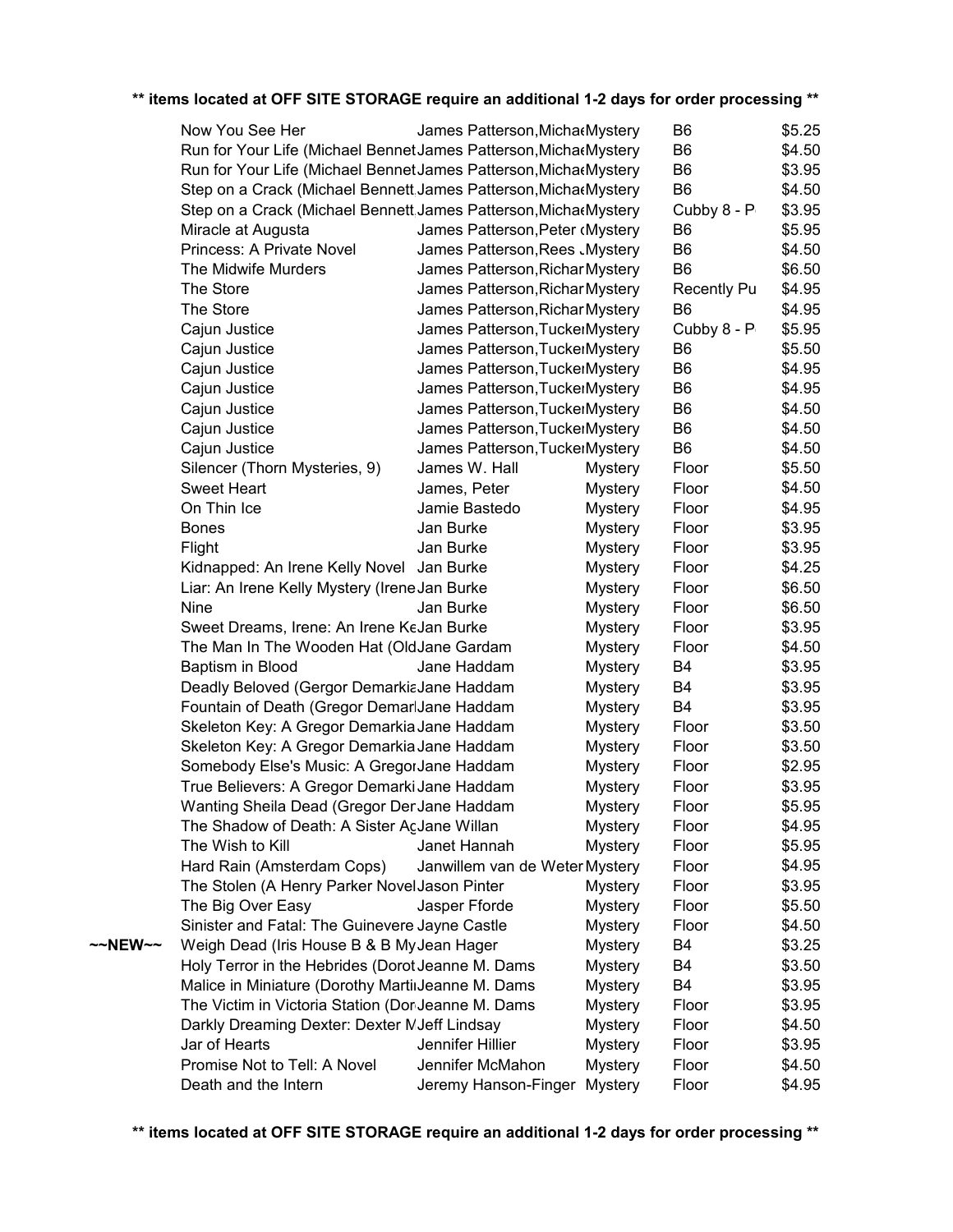|         | Now You See Her                                                  | James Patterson, Micha Mystery  |                | B <sub>6</sub>     | \$5.25 |
|---------|------------------------------------------------------------------|---------------------------------|----------------|--------------------|--------|
|         | Run for Your Life (Michael Bennet James Patterson, Micha Mystery |                                 |                | B <sub>6</sub>     | \$4.50 |
|         | Run for Your Life (Michael Bennet James Patterson, MichaeMystery |                                 |                | B <sub>6</sub>     | \$3.95 |
|         | Step on a Crack (Michael Bennett James Patterson, Micha Mystery  |                                 |                | B <sub>6</sub>     | \$4.50 |
|         | Step on a Crack (Michael Bennett James Patterson, MichaeMystery  |                                 |                | Cubby 8 - P        | \$3.95 |
|         | Miracle at Augusta                                               | James Patterson, Peter (Mystery |                | B <sub>6</sub>     | \$5.95 |
|         | Princess: A Private Novel                                        | James Patterson, Rees Mystery   |                | B <sub>6</sub>     | \$4.50 |
|         | The Midwife Murders                                              | James Patterson, Richar Mystery |                | B <sub>6</sub>     | \$6.50 |
|         | The Store                                                        | James Patterson, Richar Mystery |                | <b>Recently Pu</b> | \$4.95 |
|         | The Store                                                        | James Patterson, Richar Mystery |                | B <sub>6</sub>     | \$4.95 |
|         | Cajun Justice                                                    | James Patterson, TuckerMystery  |                | Cubby 8 - P        | \$5.95 |
|         | Cajun Justice                                                    | James Patterson, TuckerMystery  |                | B <sub>6</sub>     | \$5.50 |
|         | Cajun Justice                                                    | James Patterson, TuckerMystery  |                | B <sub>6</sub>     | \$4.95 |
|         | Cajun Justice                                                    | James Patterson, TuckerMystery  |                | B <sub>6</sub>     | \$4.95 |
|         | Cajun Justice                                                    | James Patterson, TuckerMystery  |                | B <sub>6</sub>     | \$4.50 |
|         | Cajun Justice                                                    | James Patterson, TuckerMystery  |                | B <sub>6</sub>     | \$4.50 |
|         | Cajun Justice                                                    | James Patterson, TuckerMystery  |                | B <sub>6</sub>     | \$4.50 |
|         | Silencer (Thorn Mysteries, 9)                                    | James W. Hall                   | <b>Mystery</b> | Floor              | \$5.50 |
|         | Sweet Heart                                                      | James, Peter                    | <b>Mystery</b> | Floor              | \$4.50 |
|         | On Thin Ice                                                      | Jamie Bastedo                   | <b>Mystery</b> | Floor              | \$4.95 |
|         | <b>Bones</b>                                                     | Jan Burke                       | <b>Mystery</b> | Floor              | \$3.95 |
|         | Flight                                                           | Jan Burke                       | <b>Mystery</b> | Floor              | \$3.95 |
|         | Kidnapped: An Irene Kelly Novel Jan Burke                        |                                 | <b>Mystery</b> | Floor              | \$4.25 |
|         | Liar: An Irene Kelly Mystery (Irene Jan Burke                    |                                 | <b>Mystery</b> | Floor              | \$6.50 |
|         | <b>Nine</b>                                                      | Jan Burke                       | <b>Mystery</b> | Floor              | \$6.50 |
|         | Sweet Dreams, Irene: An Irene KeJan Burke                        |                                 | <b>Mystery</b> | Floor              | \$3.95 |
|         | The Man In The Wooden Hat (OldJane Gardam                        |                                 | <b>Mystery</b> | Floor              | \$4.50 |
|         | Baptism in Blood                                                 | Jane Haddam                     | <b>Mystery</b> | B <sub>4</sub>     | \$3.95 |
|         | Deadly Beloved (Gergor DemarkiaJane Haddam                       |                                 | <b>Mystery</b> | B4                 | \$3.95 |
|         | Fountain of Death (Gregor DemarlJane Haddam                      |                                 | <b>Mystery</b> | B4                 | \$3.95 |
|         | Skeleton Key: A Gregor Demarkia Jane Haddam                      |                                 | <b>Mystery</b> | Floor              | \$3.50 |
|         | Skeleton Key: A Gregor Demarkia Jane Haddam                      |                                 | <b>Mystery</b> | Floor              | \$3.50 |
|         | Somebody Else's Music: A GregorJane Haddam                       |                                 | <b>Mystery</b> | Floor              | \$2.95 |
|         | True Believers: A Gregor Demarki Jane Haddam                     |                                 | <b>Mystery</b> | Floor              | \$3.95 |
|         | Wanting Sheila Dead (Gregor DenJane Haddam                       |                                 | <b>Mystery</b> | Floor              | \$5.95 |
|         | The Shadow of Death: A Sister AçJane Willan                      |                                 | <b>Mystery</b> | Floor              | \$4.95 |
|         | The Wish to Kill                                                 | Janet Hannah                    | <b>Mystery</b> | Floor              | \$5.95 |
|         | Hard Rain (Amsterdam Cops)                                       | Janwillem van de Weter Mystery  |                | Floor              | \$4.95 |
|         | The Stolen (A Henry Parker Novel Jason Pinter                    |                                 | <b>Mystery</b> | Floor              | \$3.95 |
|         | The Big Over Easy                                                | Jasper Fforde                   | <b>Mystery</b> | Floor              | \$5.50 |
|         | Sinister and Fatal: The Guinevere Jayne Castle                   |                                 | <b>Mystery</b> | Floor              | \$4.50 |
| ~~NEW~~ | Weigh Dead (Iris House B & B My Jean Hager                       |                                 | <b>Mystery</b> | B4                 | \$3.25 |
|         | Holy Terror in the Hebrides (Dorot Jeanne M. Dams                |                                 | <b>Mystery</b> | B4                 | \$3.50 |
|         | Malice in Miniature (Dorothy MartinJeanne M. Dams                |                                 | <b>Mystery</b> | B4                 | \$3.95 |
|         | The Victim in Victoria Station (Dor Jeanne M. Dams               |                                 | <b>Mystery</b> | Floor              | \$3.95 |
|         | Darkly Dreaming Dexter: Dexter MJeff Lindsay                     |                                 | <b>Mystery</b> | Floor              | \$4.50 |
|         | Jar of Hearts                                                    | Jennifer Hillier                | <b>Mystery</b> | Floor              | \$3.95 |
|         | Promise Not to Tell: A Novel                                     | Jennifer McMahon                | <b>Mystery</b> | Floor              | \$4.50 |
|         | Death and the Intern                                             | Jeremy Hanson-Finger Mystery    |                | Floor              | \$4.95 |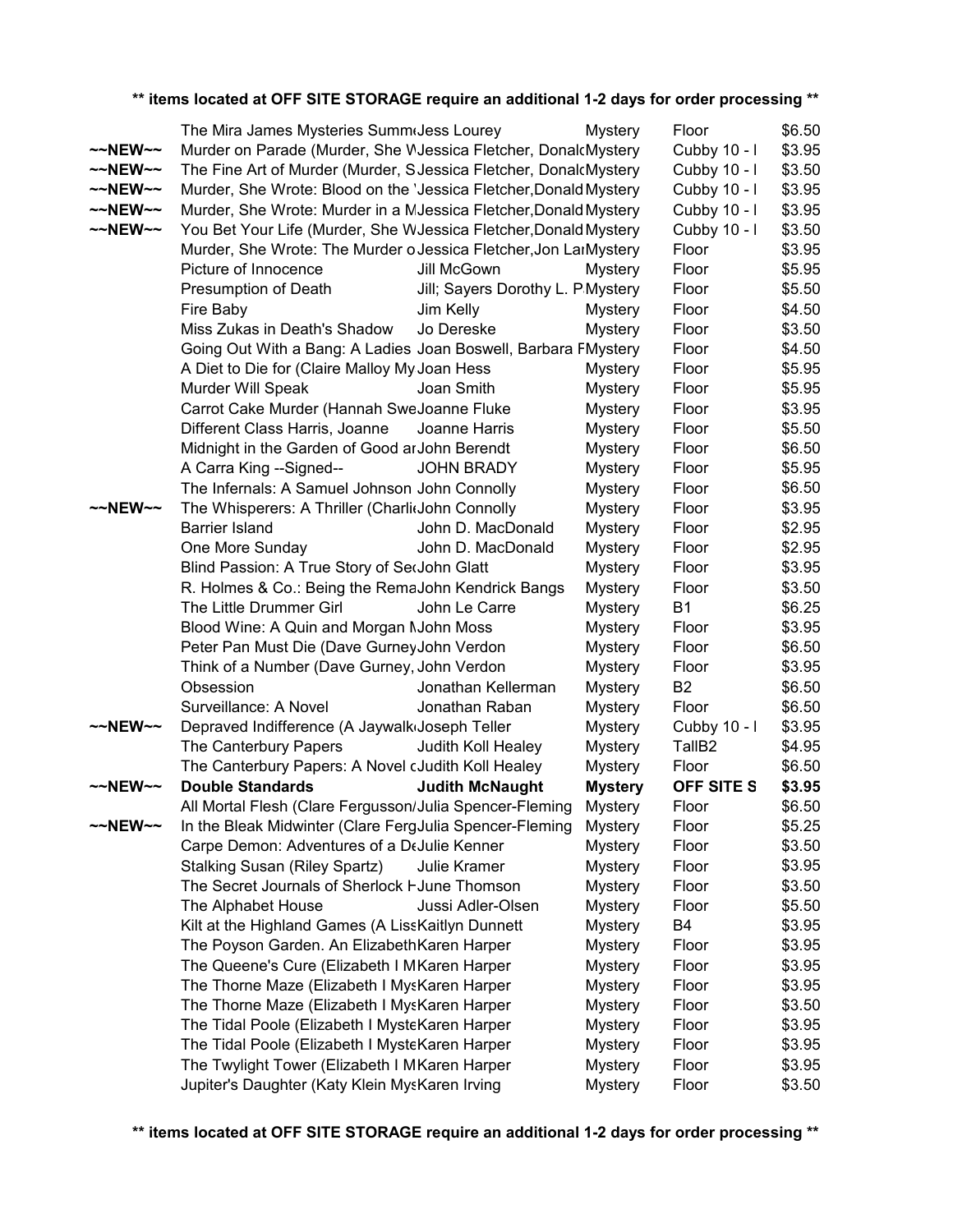|                     | The Mira James Mysteries Summ(Jess Lourey                         |                                   | <b>Mystery</b> | Floor              | \$6.50 |
|---------------------|-------------------------------------------------------------------|-----------------------------------|----------------|--------------------|--------|
| $~\sim$ -NEW $\sim$ | Murder on Parade (Murder, She WJessica Fletcher, DonalcMystery    |                                   |                | Cubby 10 - I       | \$3.95 |
| $\sim$ NEW $\sim$   | The Fine Art of Murder (Murder, S Jessica Fletcher, DonalcMystery |                                   |                | Cubby 10 - I       | \$3.50 |
| $\sim$ NEW $\sim$   | Murder, She Wrote: Blood on the 'Jessica Fletcher, Donald Mystery |                                   |                | Cubby 10 - I       | \$3.95 |
| $\sim$ NEW $\sim$   | Murder, She Wrote: Murder in a MJessica Fletcher, Donald Mystery  |                                   |                | Cubby 10 - I       | \$3.95 |
| $\sim$ NEW $\sim$   | You Bet Your Life (Murder, She WJessica Fletcher, Donald Mystery  |                                   |                | Cubby 10 - I       | \$3.50 |
|                     | Murder, She Wrote: The Murder o Jessica Fletcher, Jon LarMystery  |                                   |                | Floor              | \$3.95 |
|                     | Picture of Innocence                                              | Jill McGown                       | <b>Mystery</b> | Floor              | \$5.95 |
|                     | Presumption of Death                                              | Jill; Sayers Dorothy L. P Mystery |                | Floor              | \$5.50 |
|                     | Fire Baby                                                         | Jim Kelly                         | Mystery        | Floor              | \$4.50 |
|                     | Miss Zukas in Death's Shadow                                      | Jo Dereske                        | <b>Mystery</b> | Floor              | \$3.50 |
|                     | Going Out With a Bang: A Ladies Joan Boswell, Barbara FMystery    |                                   |                | Floor              | \$4.50 |
|                     | A Diet to Die for (Claire Malloy My Joan Hess                     |                                   | Mystery        | Floor              | \$5.95 |
|                     | Murder Will Speak                                                 | Joan Smith                        | Mystery        | Floor              | \$5.95 |
|                     | Carrot Cake Murder (Hannah SweJoanne Fluke                        |                                   | Mystery        | Floor              | \$3.95 |
|                     | Different Class Harris, Joanne                                    | Joanne Harris                     | Mystery        | Floor              | \$5.50 |
|                     | Midnight in the Garden of Good ar John Berendt                    |                                   | Mystery        | Floor              | \$6.50 |
|                     | A Carra King -- Signed--                                          | <b>JOHN BRADY</b>                 | Mystery        | Floor              | \$5.95 |
|                     | The Infernals: A Samuel Johnson John Connolly                     |                                   | <b>Mystery</b> | Floor              | \$6.50 |
| $~\sim$ NEW $~\sim$ | The Whisperers: A Thriller (CharlitJohn Connolly                  |                                   | Mystery        | Floor              | \$3.95 |
|                     | <b>Barrier Island</b>                                             | John D. MacDonald                 | Mystery        | Floor              | \$2.95 |
|                     | One More Sunday                                                   | John D. MacDonald                 | <b>Mystery</b> | Floor              | \$2.95 |
|                     | Blind Passion: A True Story of SecJohn Glatt                      |                                   | <b>Mystery</b> | Floor              | \$3.95 |
|                     | R. Holmes & Co.: Being the RemaJohn Kendrick Bangs                |                                   | Mystery        | Floor              | \$3.50 |
|                     | The Little Drummer Girl                                           | John Le Carre                     | Mystery        | <b>B1</b>          | \$6.25 |
|                     | Blood Wine: A Quin and Morgan NJohn Moss                          |                                   | <b>Mystery</b> | Floor              | \$3.95 |
|                     | Peter Pan Must Die (Dave GurneyJohn Verdon                        |                                   | Mystery        | Floor              | \$6.50 |
|                     | Think of a Number (Dave Gurney, John Verdon                       |                                   | Mystery        | Floor              | \$3.95 |
|                     | Obsession                                                         | Jonathan Kellerman                | Mystery        | B <sub>2</sub>     | \$6.50 |
|                     | Surveillance: A Novel                                             | Jonathan Raban                    | Mystery        | Floor              | \$6.50 |
| $~\sim$ NEW $~\sim$ | Depraved Indifference (A Jaywalk Joseph Teller                    |                                   | <b>Mystery</b> | Cubby 10 - I       | \$3.95 |
|                     | The Canterbury Papers                                             | Judith Koll Healey                | Mystery        | TallB <sub>2</sub> | \$4.95 |
|                     | The Canterbury Papers: A Novel cJudith Koll Healey                |                                   | Mystery        | Floor              | \$6.50 |
| $~\sim$ NEW $~\sim$ | <b>Double Standards</b>                                           | <b>Judith McNaught</b>            | <b>Mystery</b> | OFF SITE S         | \$3.95 |
|                     | All Mortal Flesh (Clare Fergusson/Julia Spencer-Fleming           |                                   | Mystery        | Floor              | \$6.50 |
| $\sim$ NEW $\sim$   | In the Bleak Midwinter (Clare FergJulia Spencer-Fleming           |                                   | <b>Mystery</b> | Floor              | \$5.25 |
|                     | Carpe Demon: Adventures of a DeJulie Kenner                       |                                   | <b>Mystery</b> | Floor              | \$3.50 |
|                     | <b>Stalking Susan (Riley Spartz)</b>                              | Julie Kramer                      | Mystery        | Floor              | \$3.95 |
|                     | The Secret Journals of Sherlock HJune Thomson                     |                                   | <b>Mystery</b> | Floor              | \$3.50 |
|                     | The Alphabet House                                                | Jussi Adler-Olsen                 | <b>Mystery</b> | Floor              | \$5.50 |
|                     | Kilt at the Highland Games (A LissKaitlyn Dunnett                 |                                   | <b>Mystery</b> | B4                 | \$3.95 |
|                     | The Poyson Garden. An Elizabeth Karen Harper                      |                                   | Mystery        | Floor              | \$3.95 |
|                     | The Queene's Cure (Elizabeth I MKaren Harper                      |                                   | Mystery        | Floor              | \$3.95 |
|                     | The Thorne Maze (Elizabeth I MysKaren Harper                      |                                   | <b>Mystery</b> | Floor              | \$3.95 |
|                     | The Thorne Maze (Elizabeth I MysKaren Harper                      |                                   | <b>Mystery</b> | Floor              | \$3.50 |
|                     | The Tidal Poole (Elizabeth I MysteKaren Harper                    |                                   | <b>Mystery</b> | Floor              | \$3.95 |
|                     | The Tidal Poole (Elizabeth I MysteKaren Harper                    |                                   | <b>Mystery</b> | Floor              | \$3.95 |
|                     | The Twylight Tower (Elizabeth I MKaren Harper                     |                                   | Mystery        | Floor              | \$3.95 |
|                     | Jupiter's Daughter (Katy Klein MysKaren Irving                    |                                   | Mystery        | Floor              | \$3.50 |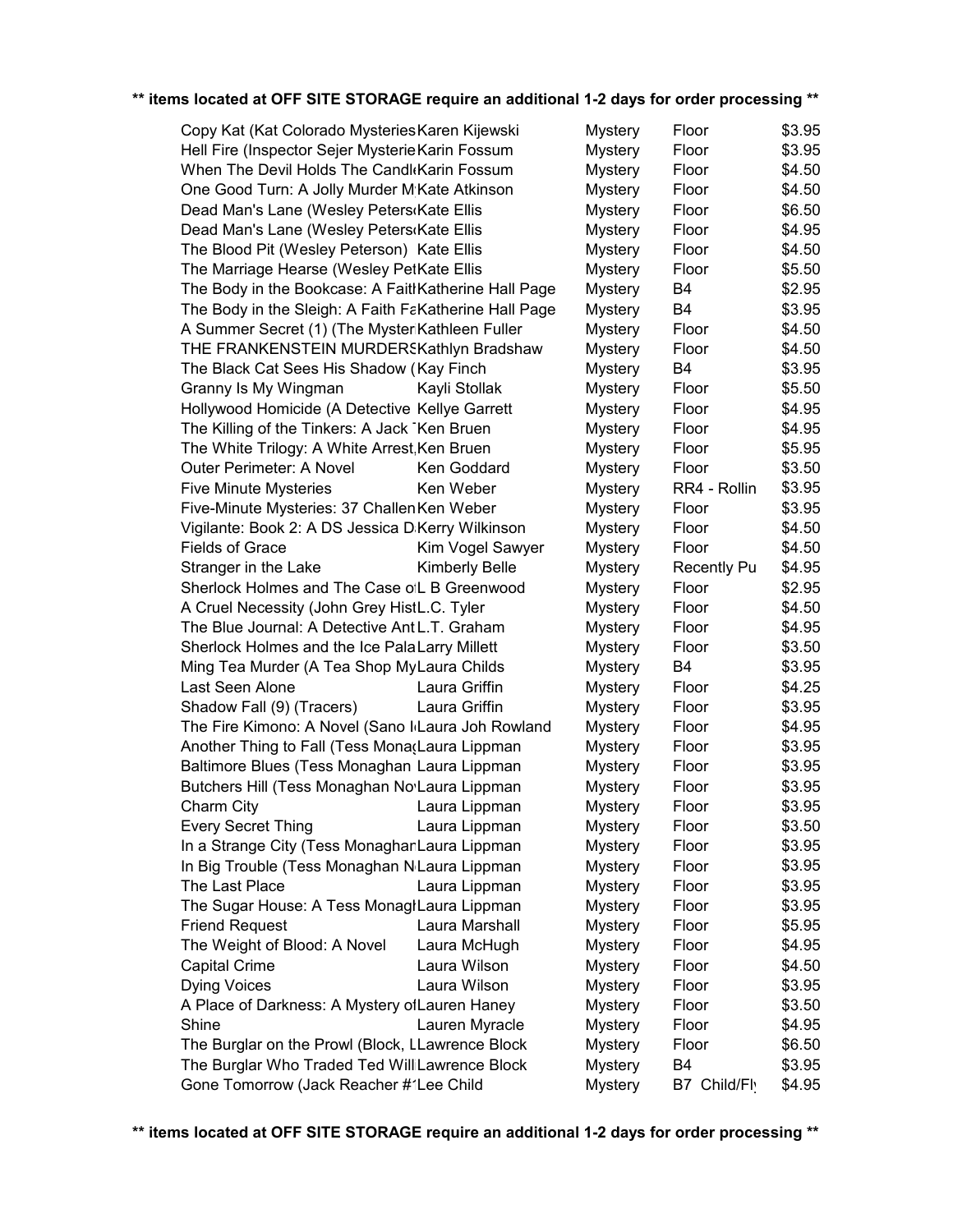| Copy Kat (Kat Colorado Mysteries Karen Kijewski       | Mystery               | Floor          | \$3.95             |        |
|-------------------------------------------------------|-----------------------|----------------|--------------------|--------|
| Hell Fire (Inspector Sejer Mysterie Karin Fossum      | <b>Mystery</b>        | Floor          | \$3.95             |        |
| When The Devil Holds The Candl Karin Fossum           | <b>Mystery</b>        | Floor          | \$4.50             |        |
| One Good Turn: A Jolly Murder M Kate Atkinson         |                       | <b>Mystery</b> | Floor              | \$4.50 |
| Dead Man's Lane (Wesley Peters Kate Ellis             |                       | <b>Mystery</b> | Floor              | \$6.50 |
| Dead Man's Lane (Wesley Peters Kate Ellis             |                       | <b>Mystery</b> | Floor              | \$4.95 |
| The Blood Pit (Wesley Peterson) Kate Ellis            |                       | <b>Mystery</b> | Floor              | \$4.50 |
| The Marriage Hearse (Wesley PetKate Ellis             |                       | <b>Mystery</b> | Floor              | \$5.50 |
| The Body in the Bookcase: A FaitlKatherine Hall Page  |                       | <b>Mystery</b> | B4                 | \$2.95 |
| The Body in the Sleigh: A Faith FaKatherine Hall Page |                       | <b>Mystery</b> | <b>B4</b>          | \$3.95 |
| A Summer Secret (1) (The MysteriKathleen Fuller       |                       | <b>Mystery</b> | Floor              | \$4.50 |
| THE FRANKENSTEIN MURDERSKathlyn Bradshaw              |                       | <b>Mystery</b> | Floor              | \$4.50 |
| The Black Cat Sees His Shadow (Kay Finch              |                       | <b>Mystery</b> | <b>B4</b>          | \$3.95 |
| Granny Is My Wingman                                  | Kayli Stollak         | <b>Mystery</b> | Floor              | \$5.50 |
| Hollywood Homicide (A Detective Kellye Garrett        |                       | <b>Mystery</b> | Floor              | \$4.95 |
| The Killing of the Tinkers: A Jack Ken Bruen          |                       | <b>Mystery</b> | Floor              | \$4.95 |
| The White Trilogy: A White Arrest, Ken Bruen          |                       | <b>Mystery</b> | Floor              | \$5.95 |
| Outer Perimeter: A Novel                              | Ken Goddard           | <b>Mystery</b> | Floor              | \$3.50 |
| <b>Five Minute Mysteries</b>                          | Ken Weber             | <b>Mystery</b> | RR4 - Rollin       | \$3.95 |
| Five-Minute Mysteries: 37 Challen Ken Weber           |                       | <b>Mystery</b> | Floor              | \$3.95 |
| Vigilante: Book 2: A DS Jessica D Kerry Wilkinson     |                       | <b>Mystery</b> | Floor              | \$4.50 |
| <b>Fields of Grace</b>                                | Kim Vogel Sawyer      | <b>Mystery</b> | Floor              | \$4.50 |
| Stranger in the Lake                                  | <b>Kimberly Belle</b> | <b>Mystery</b> | <b>Recently Pu</b> | \$4.95 |
| Sherlock Holmes and The Case oil B Greenwood          |                       | <b>Mystery</b> | Floor              | \$2.95 |
| A Cruel Necessity (John Grey HistL.C. Tyler           |                       | <b>Mystery</b> | Floor              | \$4.50 |
| The Blue Journal: A Detective AntlL.T. Graham         |                       | <b>Mystery</b> | Floor              | \$4.95 |
| Sherlock Holmes and the Ice PalaLarry Millett         |                       | <b>Mystery</b> | Floor              | \$3.50 |
| Ming Tea Murder (A Tea Shop MyLaura Childs            |                       | <b>Mystery</b> | <b>B4</b>          | \$3.95 |
| Last Seen Alone                                       | Laura Griffin         | <b>Mystery</b> | Floor              | \$4.25 |
| Shadow Fall (9) (Tracers)                             | Laura Griffin         | <b>Mystery</b> | Floor              | \$3.95 |
| The Fire Kimono: A Novel (Sano I Laura Joh Rowland    |                       | <b>Mystery</b> | Floor              | \$4.95 |
| Another Thing to Fall (Tess Mona(Laura Lippman        |                       | <b>Mystery</b> | Floor              | \$3.95 |
| Baltimore Blues (Tess Monaghan Laura Lippman          |                       | <b>Mystery</b> | Floor              | \$3.95 |
| Butchers Hill (Tess Monaghan No Laura Lippman         |                       | <b>Mystery</b> | Floor              | \$3.95 |
| Charm City                                            | Laura Lippman         | Mystery        | Floor              | \$3.95 |
| <b>Every Secret Thing</b>                             | Laura Lippman         | <b>Mystery</b> | Floor              | \$3.50 |
| In a Strange City (Tess MonaghanLaura Lippman         |                       | <b>Mystery</b> | Floor              | \$3.95 |
| In Big Trouble (Tess Monaghan N Laura Lippman         |                       | <b>Mystery</b> | Floor              | \$3.95 |
| The Last Place                                        | Laura Lippman         | <b>Mystery</b> | Floor              | \$3.95 |
| The Sugar House: A Tess MonaglLaura Lippman           |                       | <b>Mystery</b> | Floor              | \$3.95 |
| <b>Friend Request</b>                                 | Laura Marshall        | <b>Mystery</b> | Floor              | \$5.95 |
| The Weight of Blood: A Novel                          | Laura McHugh          | <b>Mystery</b> | Floor              | \$4.95 |
| Capital Crime                                         | Laura Wilson          | <b>Mystery</b> | Floor              | \$4.50 |
| <b>Dying Voices</b>                                   | Laura Wilson          | <b>Mystery</b> | Floor              | \$3.95 |
| A Place of Darkness: A Mystery of Lauren Haney        |                       | <b>Mystery</b> | Floor              | \$3.50 |
| Shine                                                 | Lauren Myracle        | <b>Mystery</b> | Floor              | \$4.95 |
| The Burglar on the Prowl (Block, LLawrence Block      |                       | <b>Mystery</b> | Floor              | \$6.50 |
| The Burglar Who Traded Ted WilliLawrence Block        |                       | Mystery        | B4                 | \$3.95 |
| Gone Tomorrow (Jack Reacher #1Lee Child               |                       | <b>Mystery</b> | B7 Child/Fly       | \$4.95 |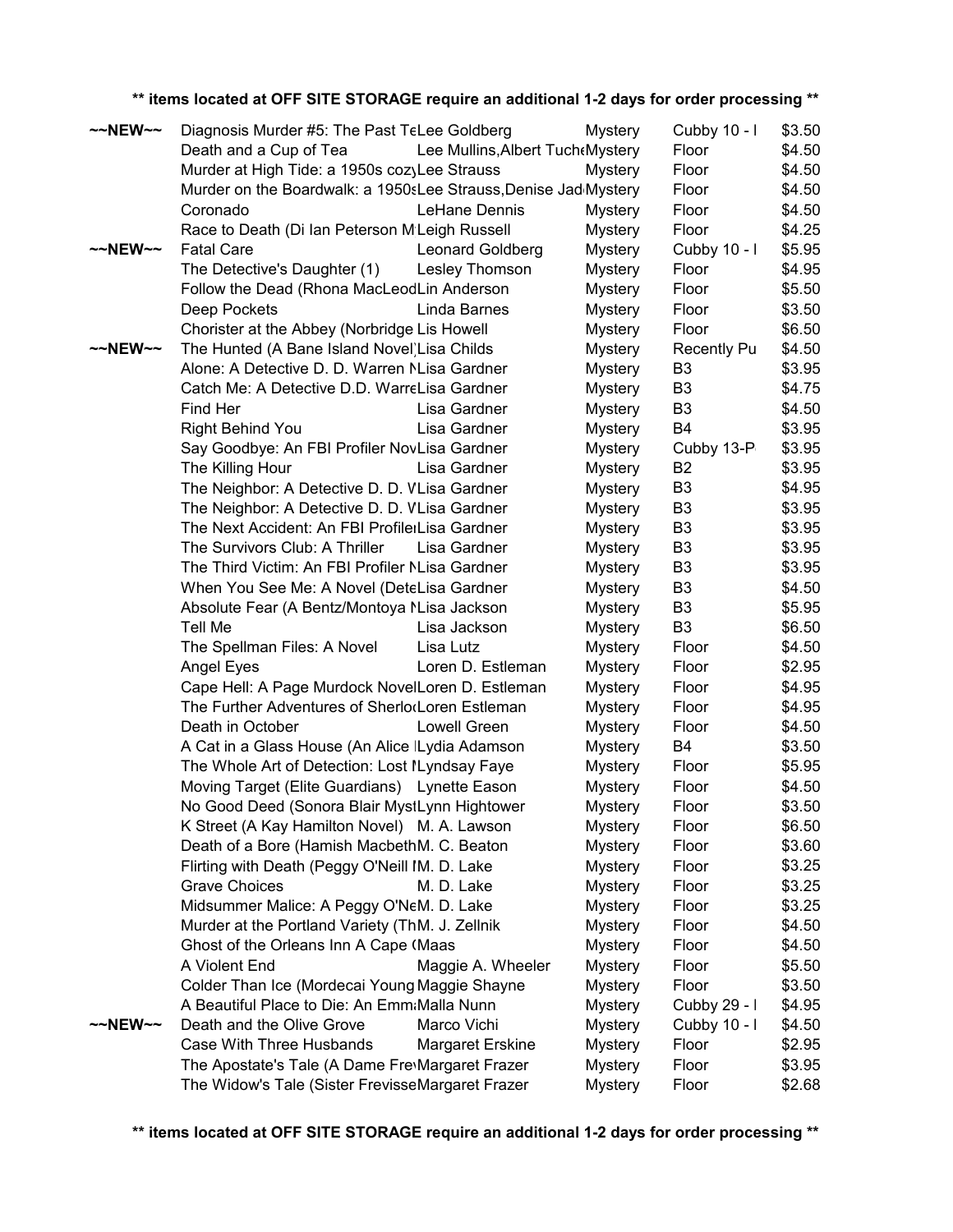| ~~NEW~~             | Diagnosis Murder #5: The Past TeLee Goldberg                                                        |                                   | <b>Mystery</b> | Cubby 10 - I          | \$3.50           |
|---------------------|-----------------------------------------------------------------------------------------------------|-----------------------------------|----------------|-----------------------|------------------|
|                     | Death and a Cup of Tea                                                                              | Lee Mullins, Albert Tuch (Mystery |                | Floor                 | \$4.50           |
|                     | Murder at High Tide: a 1950s cozyLee Strauss                                                        |                                   | <b>Mystery</b> | Floor                 | \$4.50           |
|                     | Murder on the Boardwalk: a 1950sLee Strauss, Denise Jad Mystery                                     |                                   |                | Floor                 | \$4.50           |
|                     | Coronado                                                                                            | LeHane Dennis                     | <b>Mystery</b> | Floor                 | \$4.50           |
|                     | Race to Death (Di Ian Peterson M Leigh Russell                                                      |                                   | <b>Mystery</b> | Floor                 | \$4.25           |
| $\sim$ NEW $\sim$   | <b>Fatal Care</b>                                                                                   | <b>Leonard Goldberg</b>           | <b>Mystery</b> | Cubby 10 - I          | \$5.95           |
|                     | The Detective's Daughter (1)                                                                        | Lesley Thomson                    | <b>Mystery</b> | Floor                 | \$4.95           |
|                     | Follow the Dead (Rhona MacLeodLin Anderson                                                          |                                   | <b>Mystery</b> | Floor                 | \$5.50           |
|                     | Deep Pockets                                                                                        | Linda Barnes                      | <b>Mystery</b> | Floor                 | \$3.50           |
|                     | Chorister at the Abbey (Norbridge Lis Howell                                                        |                                   | <b>Mystery</b> | Floor                 | \$6.50           |
| $~\sim$ NEW $~\sim$ | The Hunted (A Bane Island Novel) Lisa Childs                                                        |                                   | <b>Mystery</b> | <b>Recently Pu</b>    | \$4.50           |
|                     | Alone: A Detective D. D. Warren NLisa Gardner                                                       |                                   | <b>Mystery</b> | B <sub>3</sub>        | \$3.95           |
|                     | Catch Me: A Detective D.D. WarreLisa Gardner                                                        |                                   | <b>Mystery</b> | B <sub>3</sub>        | \$4.75           |
|                     | Find Her                                                                                            | Lisa Gardner                      | <b>Mystery</b> | B <sub>3</sub>        | \$4.50           |
|                     | Right Behind You                                                                                    | Lisa Gardner                      | <b>Mystery</b> | B4                    | \$3.95           |
|                     | Say Goodbye: An FBI Profiler NovLisa Gardner                                                        |                                   | <b>Mystery</b> | Cubby 13-P            | \$3.95           |
|                     | The Killing Hour                                                                                    | Lisa Gardner                      | <b>Mystery</b> | B <sub>2</sub>        | \$3.95           |
|                     | The Neighbor: A Detective D. D. VLisa Gardner                                                       |                                   | <b>Mystery</b> | B <sub>3</sub>        | \$4.95           |
|                     | The Neighbor: A Detective D. D. VLisa Gardner                                                       |                                   | <b>Mystery</b> | B <sub>3</sub>        | \$3.95           |
|                     | The Next Accident: An FBI ProfilerLisa Gardner                                                      |                                   | <b>Mystery</b> | B <sub>3</sub>        | \$3.95           |
|                     | The Survivors Club: A Thriller                                                                      | Lisa Gardner                      | <b>Mystery</b> | B <sub>3</sub>        | \$3.95           |
|                     | The Third Victim: An FBI Profiler NLisa Gardner                                                     |                                   | <b>Mystery</b> | B <sub>3</sub>        | \$3.95           |
|                     | When You See Me: A Novel (DeteLisa Gardner                                                          |                                   | <b>Mystery</b> | B <sub>3</sub>        | \$4.50           |
|                     | Absolute Fear (A Bentz/Montoya NLisa Jackson                                                        |                                   | <b>Mystery</b> | B <sub>3</sub>        | \$5.95           |
|                     | Tell Me                                                                                             | Lisa Jackson                      | <b>Mystery</b> | B <sub>3</sub>        | \$6.50           |
|                     | The Spellman Files: A Novel                                                                         | Lisa Lutz                         | <b>Mystery</b> | Floor                 | \$4.50           |
|                     | Angel Eyes                                                                                          | Loren D. Estleman                 | <b>Mystery</b> | Floor                 | \$2.95           |
|                     | Cape Hell: A Page Murdock NovelLoren D. Estleman                                                    |                                   | <b>Mystery</b> | Floor                 | \$4.95           |
|                     | The Further Adventures of Sherlo(Loren Estleman                                                     |                                   | <b>Mystery</b> | Floor                 | \$4.95           |
|                     | Death in October                                                                                    | Lowell Green                      | <b>Mystery</b> | Floor                 | \$4.50           |
|                     | A Cat in a Glass House (An Alice ILydia Adamson                                                     |                                   | <b>Mystery</b> | B4                    | \$3.50           |
|                     | The Whole Art of Detection: Lost ILyndsay Faye                                                      |                                   | <b>Mystery</b> | Floor                 | \$5.95           |
|                     | Moving Target (Elite Guardians) Lynette Eason                                                       |                                   | <b>Mystery</b> | Floor                 | \$4.50           |
|                     | No Good Deed (Sonora Blair MystLynn Hightower                                                       |                                   | <b>Mystery</b> | Floor                 | \$3.50           |
|                     | K Street (A Kay Hamilton Novel) M. A. Lawson                                                        |                                   | <b>Mystery</b> | Floor                 | \$6.50           |
|                     | Death of a Bore (Hamish MacbethM. C. Beaton                                                         |                                   | <b>Mystery</b> | Floor                 | \$3.60           |
|                     | Flirting with Death (Peggy O'Neill IM. D. Lake                                                      |                                   | <b>Mystery</b> | Floor                 | \$3.25           |
|                     | <b>Grave Choices</b>                                                                                | M. D. Lake                        | <b>Mystery</b> | Floor                 | \$3.25           |
|                     | Midsummer Malice: A Peggy O'NeM. D. Lake                                                            |                                   | <b>Mystery</b> | Floor<br>Floor        | \$3.25           |
|                     | Murder at the Portland Variety (ThM. J. Zellnik<br>Ghost of the Orleans Inn A Cape (Maas            |                                   | <b>Mystery</b> |                       | \$4.50           |
|                     | A Violent End                                                                                       |                                   | <b>Mystery</b> | Floor                 | \$4.50           |
|                     |                                                                                                     | Maggie A. Wheeler                 | <b>Mystery</b> | Floor                 | \$5.50           |
|                     | Colder Than Ice (Mordecai Young Maggie Shayne                                                       |                                   | <b>Mystery</b> | Floor                 | \$3.50           |
| $\sim$ NEW $\sim$   | A Beautiful Place to Die: An Emm:Malla Nunn<br>Death and the Olive Grove                            | Marco Vichi                       | <b>Mystery</b> | Cubby 29 - I          | \$4.95           |
|                     |                                                                                                     |                                   | <b>Mystery</b> | Cubby 10 - I<br>Floor | \$4.50           |
|                     | Case With Three Husbands                                                                            | <b>Margaret Erskine</b>           | <b>Mystery</b> | Floor                 | \$2.95<br>\$3.95 |
|                     | The Apostate's Tale (A Dame Fre\Margaret Frazer<br>The Widow's Tale (Sister FrevisseMargaret Frazer |                                   | <b>Mystery</b> | Floor                 | \$2.68           |
|                     |                                                                                                     |                                   | <b>Mystery</b> |                       |                  |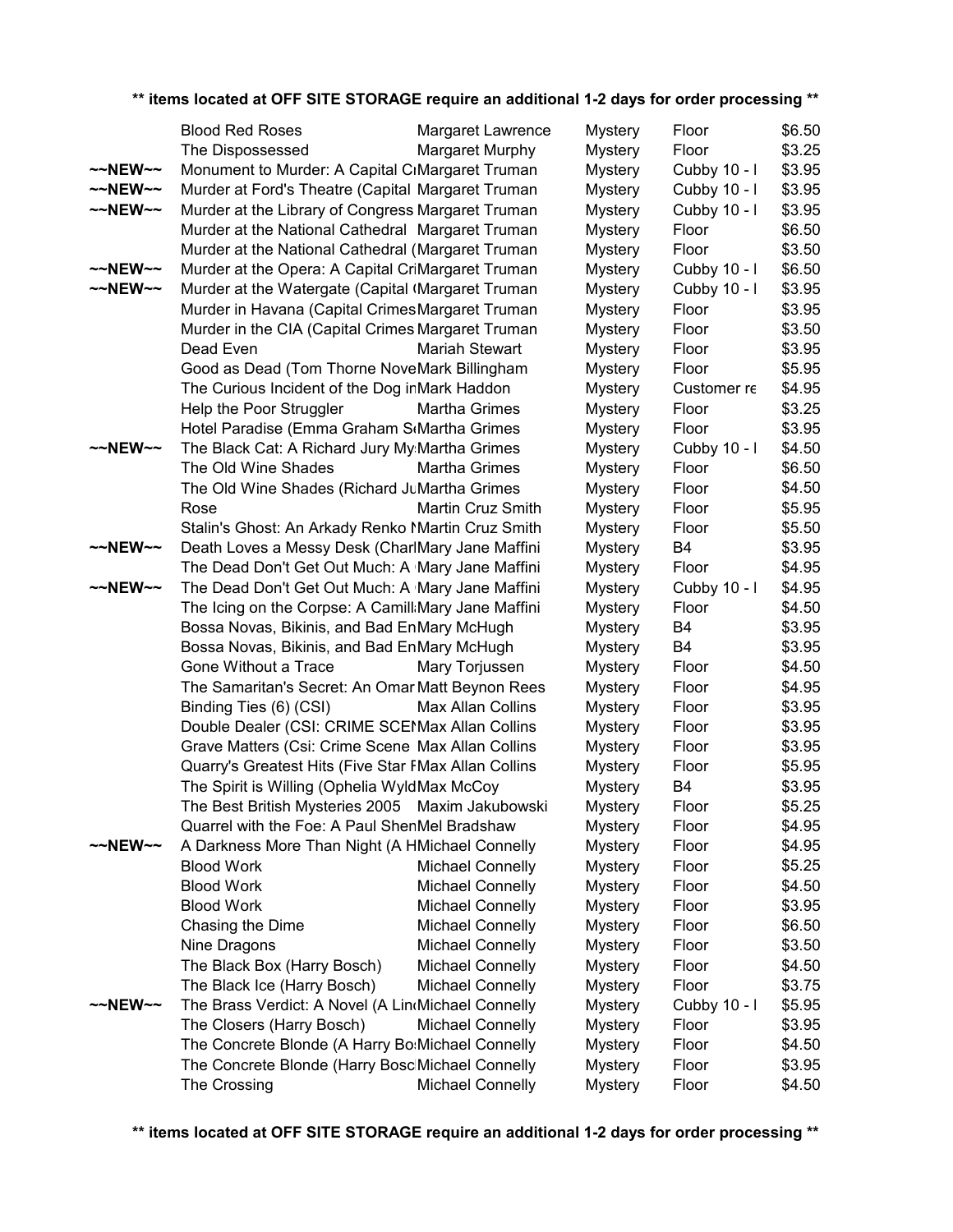|                     | <b>Blood Red Roses</b>                                                        | Margaret Lawrence                                  | <b>Mystery</b> | Floor                 | \$6.50           |
|---------------------|-------------------------------------------------------------------------------|----------------------------------------------------|----------------|-----------------------|------------------|
|                     | The Dispossessed                                                              | Margaret Murphy                                    | <b>Mystery</b> | Floor                 | \$3.25           |
| $\sim$ NEW $\sim$   | Monument to Murder: A Capital CrMargaret Truman                               |                                                    | <b>Mystery</b> | Cubby 10 - I          | \$3.95           |
| $\sim$ NEW $\sim$   | Murder at Ford's Theatre (Capital Margaret Truman                             |                                                    | <b>Mystery</b> | Cubby 10 - I          | \$3.95           |
| $~\sim$ NEW $~\sim$ | Murder at the Library of Congress Margaret Truman                             |                                                    | <b>Mystery</b> | Cubby 10 - I          | \$3.95           |
|                     | Murder at the National Cathedral Margaret Truman                              |                                                    | <b>Mystery</b> | Floor                 | \$6.50           |
|                     | Murder at the National Cathedral (Margaret Truman                             |                                                    | <b>Mystery</b> | Floor                 | \$3.50           |
| $~\sim$ NEW $~\sim$ | Murder at the Opera: A Capital CriMargaret Truman                             |                                                    | <b>Mystery</b> | Cubby 10 - I          | \$6.50           |
| $~\sim$ NEW $~\sim$ | Murder at the Watergate (Capital (Margaret Truman                             |                                                    | <b>Mystery</b> | Cubby 10 - I          | \$3.95           |
|                     | Murder in Havana (Capital Crimes Margaret Truman                              |                                                    | Mystery        | Floor                 | \$3.95           |
|                     | Murder in the CIA (Capital Crimes Margaret Truman                             |                                                    | <b>Mystery</b> | Floor                 | \$3.50           |
|                     | Dead Even                                                                     | Mariah Stewart                                     | <b>Mystery</b> | Floor                 | \$3.95           |
|                     | Good as Dead (Tom Thorne NoveMark Billingham                                  |                                                    | <b>Mystery</b> | Floor                 | \$5.95           |
|                     | The Curious Incident of the Dog inMark Haddon                                 |                                                    | <b>Mystery</b> | Customer re           | \$4.95           |
|                     | Help the Poor Struggler                                                       | Martha Grimes                                      | <b>Mystery</b> | Floor                 | \$3.25           |
|                     | Hotel Paradise (Emma Graham StMartha Grimes                                   |                                                    | <b>Mystery</b> | Floor                 | \$3.95           |
| $\sim$ NEW $\sim$   | The Black Cat: A Richard Jury My:Martha Grimes                                |                                                    | <b>Mystery</b> | Cubby 10 - I          | \$4.50           |
|                     | The Old Wine Shades                                                           | Martha Grimes                                      | <b>Mystery</b> | Floor                 | \$6.50           |
|                     | The Old Wine Shades (Richard JuMartha Grimes                                  |                                                    | <b>Mystery</b> | Floor                 | \$4.50           |
|                     | Rose                                                                          | Martin Cruz Smith                                  | <b>Mystery</b> | Floor                 | \$5.95           |
|                     | Stalin's Ghost: An Arkady Renko Martin Cruz Smith                             |                                                    | <b>Mystery</b> | Floor                 | \$5.50           |
| $~\sim$ NEW $~\sim$ | Death Loves a Messy Desk (CharlMary Jane Maffini                              |                                                    | <b>Mystery</b> | B4                    | \$3.95           |
|                     | The Dead Don't Get Out Much: A Mary Jane Maffini                              |                                                    | <b>Mystery</b> | Floor                 | \$4.95           |
| $~\sim$ NEW $~\sim$ | The Dead Don't Get Out Much: A Mary Jane Maffini                              |                                                    | <b>Mystery</b> | Cubby 10 - I          | \$4.95           |
|                     | The Icing on the Corpse: A Camill: Mary Jane Maffini                          |                                                    | <b>Mystery</b> | Floor                 | \$4.50           |
|                     | Bossa Novas, Bikinis, and Bad EnMary McHugh                                   |                                                    | <b>Mystery</b> | B4                    | \$3.95           |
|                     | Bossa Novas, Bikinis, and Bad EnMary McHugh                                   |                                                    | <b>Mystery</b> | B4                    | \$3.95           |
|                     | Gone Without a Trace                                                          | Mary Torjussen                                     | <b>Mystery</b> | Floor                 | \$4.50           |
|                     | The Samaritan's Secret: An Omar Matt Beynon Rees                              |                                                    | <b>Mystery</b> | Floor                 | \$4.95           |
|                     | Binding Ties (6) (CSI)                                                        | Max Allan Collins                                  | Mystery        | Floor                 | \$3.95           |
|                     | Double Dealer (CSI: CRIME SCEMAx Allan Collins                                |                                                    | Mystery        | Floor                 | \$3.95           |
|                     | Grave Matters (Csi: Crime Scene   Max Allan Collins                           |                                                    | <b>Mystery</b> | Floor                 | \$3.95           |
|                     | Quarry's Greatest Hits (Five Star FMax Allan Collins                          |                                                    | <b>Mystery</b> | Floor                 | \$5.95           |
|                     | The Spirit is Willing (Ophelia WyldMax McCoy                                  |                                                    | <b>Mystery</b> | B4                    | \$3.95           |
|                     | The Best British Mysteries 2005 Maxim Jakubowski                              |                                                    | <b>Mystery</b> | Floor                 | \$5.25           |
|                     | Quarrel with the Foe: A Paul ShenMel Bradshaw                                 |                                                    | <b>Mystery</b> | Floor                 | \$4.95           |
| $\sim$ NEW $\sim$   | A Darkness More Than Night (A HMichael Connelly                               |                                                    | <b>Mystery</b> | Floor                 | \$4.95           |
|                     | <b>Blood Work</b>                                                             | <b>Michael Connelly</b>                            | <b>Mystery</b> | Floor                 | \$5.25           |
|                     | <b>Blood Work</b><br><b>Blood Work</b>                                        | <b>Michael Connelly</b>                            | <b>Mystery</b> | Floor                 | \$4.50           |
|                     |                                                                               | <b>Michael Connelly</b>                            | <b>Mystery</b> | Floor<br>Floor        | \$3.95           |
|                     | Chasing the Dime                                                              | <b>Michael Connelly</b><br><b>Michael Connelly</b> | <b>Mystery</b> | Floor                 | \$6.50<br>\$3.50 |
|                     | Nine Dragons                                                                  |                                                    | <b>Mystery</b> |                       |                  |
|                     | The Black Box (Harry Bosch)                                                   | <b>Michael Connelly</b>                            | <b>Mystery</b> | Floor                 | \$4.50           |
|                     | The Black Ice (Harry Bosch)                                                   | <b>Michael Connelly</b>                            | <b>Mystery</b> | Floor                 | \$3.75           |
| $\sim$ NEW $\sim$   | The Brass Verdict: A Novel (A LindMichael Connelly                            |                                                    | <b>Mystery</b> | Cubby 10 - I<br>Floor | \$5.95<br>\$3.95 |
|                     | The Closers (Harry Bosch)<br>The Concrete Blonde (A Harry Bo:Michael Connelly | <b>Michael Connelly</b>                            | <b>Mystery</b> | Floor                 | \$4.50           |
|                     |                                                                               |                                                    | <b>Mystery</b> | Floor                 | \$3.95           |
|                     | The Concrete Blonde (Harry Bosc Michael Connelly<br>The Crossing              | <b>Michael Connelly</b>                            | <b>Mystery</b> | Floor                 | \$4.50           |
|                     |                                                                               |                                                    | <b>Mystery</b> |                       |                  |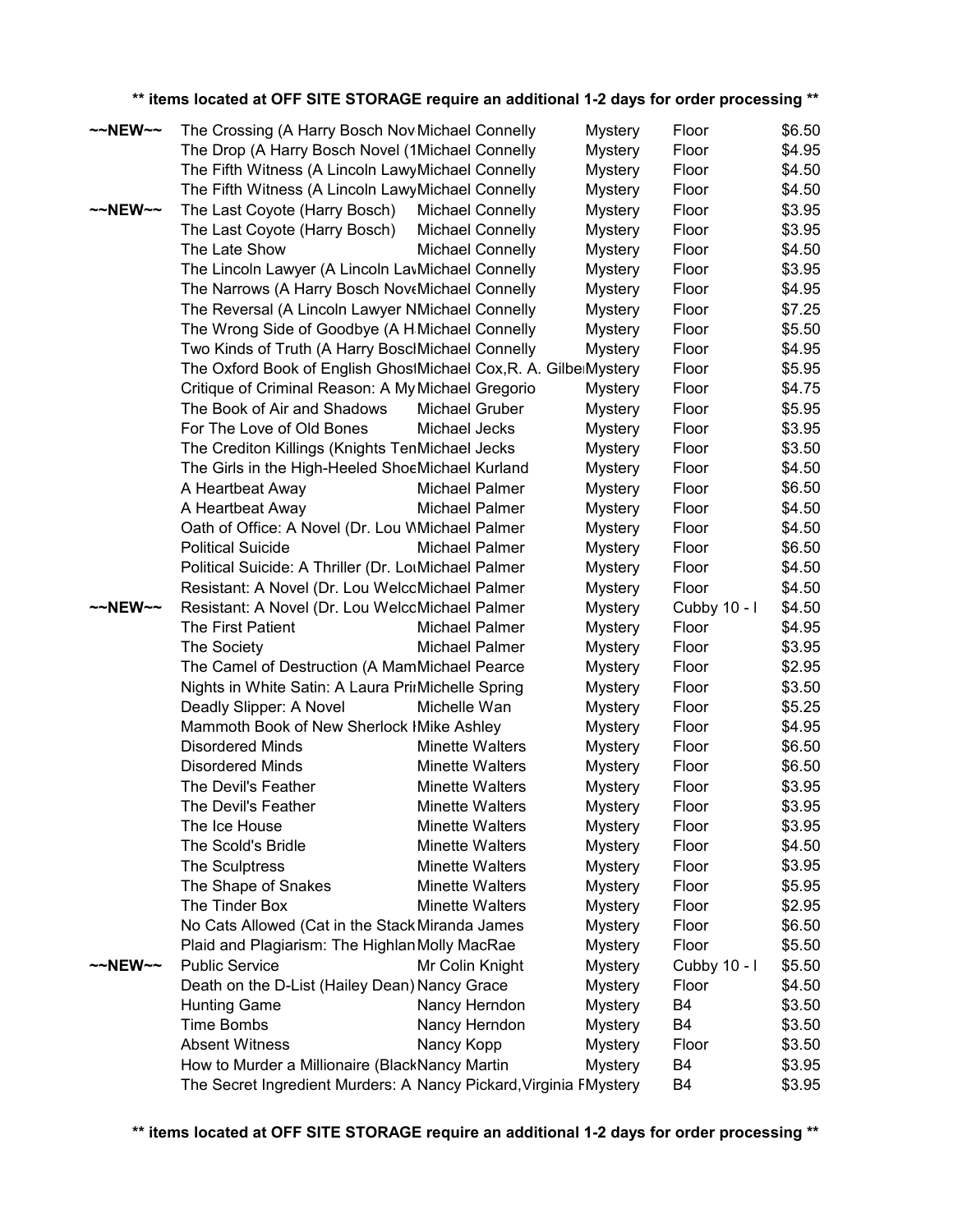|                   | ** items located at OFF SITE STORAGE require an additional 1-2 days for order processing ** |                         |                |              |        |
|-------------------|---------------------------------------------------------------------------------------------|-------------------------|----------------|--------------|--------|
| $\sim$ NEW $\sim$ | The Crossing (A Harry Bosch Nov Michael Connelly                                            |                         | <b>Mystery</b> | Floor        | \$6.50 |
|                   | The Drop (A Harry Bosch Novel (1Michael Connelly                                            |                         | <b>Mystery</b> | Floor        | \$4.95 |
|                   | The Fifth Witness (A Lincoln LawyMichael Connelly                                           |                         | <b>Mystery</b> | Floor        | \$4.50 |
|                   | The Fifth Witness (A Lincoln LawyMichael Connelly                                           |                         | <b>Mystery</b> | Floor        | \$4.50 |
| $\sim$ NEW $\sim$ | The Last Coyote (Harry Bosch)                                                               | <b>Michael Connelly</b> | <b>Mystery</b> | Floor        | \$3.95 |
|                   | The Last Coyote (Harry Bosch)                                                               | <b>Michael Connelly</b> | <b>Mystery</b> | Floor        | \$3.95 |
|                   | The Late Show                                                                               | <b>Michael Connelly</b> | <b>Mystery</b> | Floor        | \$4.50 |
|                   | The Lincoln Lawyer (A Lincoln LavMichael Connelly                                           |                         | <b>Mystery</b> | Floor        | \$3.95 |
|                   | The Narrows (A Harry Bosch NoveMichael Connelly                                             |                         | <b>Mystery</b> | Floor        | \$4.95 |
|                   | The Reversal (A Lincoln Lawyer NMichael Connelly                                            |                         | <b>Mystery</b> | Floor        | \$7.25 |
|                   | The Wrong Side of Goodbye (A H.Michael Connelly                                             |                         | <b>Mystery</b> | Floor        | \$5.50 |
|                   | Two Kinds of Truth (A Harry BoschMichael Connelly                                           |                         | <b>Mystery</b> | Floor        | \$4.95 |
|                   | The Oxford Book of English GhostMichael Cox, R. A. Gilbe Mystery                            |                         |                | Floor        | \$5.95 |
|                   | Critique of Criminal Reason: A My Michael Gregorio                                          |                         | <b>Mystery</b> | Floor        | \$4.75 |
|                   | The Book of Air and Shadows                                                                 | Michael Gruber          | <b>Mystery</b> | Floor        | \$5.95 |
|                   | For The Love of Old Bones                                                                   | Michael Jecks           | <b>Mystery</b> | Floor        | \$3.95 |
|                   | The Crediton Killings (Knights TenMichael Jecks                                             |                         | <b>Mystery</b> | Floor        | \$3.50 |
|                   | The Girls in the High-Heeled ShoeMichael Kurland                                            |                         | <b>Mystery</b> | Floor        | \$4.50 |
|                   | A Heartbeat Away                                                                            | <b>Michael Palmer</b>   | <b>Mystery</b> | Floor        | \$6.50 |
|                   | A Heartbeat Away                                                                            | Michael Palmer          | <b>Mystery</b> | Floor        | \$4.50 |
|                   | Oath of Office: A Novel (Dr. Lou WMichael Palmer                                            |                         | <b>Mystery</b> | Floor        | \$4.50 |
|                   | <b>Political Suicide</b>                                                                    | Michael Palmer          | <b>Mystery</b> | Floor        | \$6.50 |
|                   | Political Suicide: A Thriller (Dr. LotMichael Palmer                                        |                         | <b>Mystery</b> | Floor        | \$4.50 |
|                   | Resistant: A Novel (Dr. Lou WelcoMichael Palmer                                             |                         | <b>Mystery</b> | Floor        | \$4.50 |
| ~~NEW~~           | Resistant: A Novel (Dr. Lou WelcoMichael Palmer                                             |                         | <b>Mystery</b> | Cubby 10 - I | \$4.50 |
|                   | The First Patient                                                                           | Michael Palmer          | <b>Mystery</b> | Floor        | \$4.95 |
|                   | The Society                                                                                 | Michael Palmer          | <b>Mystery</b> | Floor        | \$3.95 |
|                   | The Camel of Destruction (A MamMichael Pearce                                               |                         | <b>Mystery</b> | Floor        | \$2.95 |
|                   | Nights in White Satin: A Laura PrinMichelle Spring                                          |                         | <b>Mystery</b> | Floor        | \$3.50 |
|                   | Deadly Slipper: A Novel                                                                     | Michelle Wan            | <b>Mystery</b> | Floor        | \$5.25 |
|                   | Mammoth Book of New Sherlock IMike Ashley                                                   |                         | <b>Mystery</b> | Floor        | \$4.95 |
|                   | <b>Disordered Minds</b>                                                                     | Minette Walters         | <b>Mystery</b> | Floor        | \$6.50 |
|                   | <b>Disordered Minds</b>                                                                     | <b>Minette Walters</b>  | <b>Mystery</b> | Floor        | \$6.50 |
|                   | The Devil's Feather                                                                         | <b>Minette Walters</b>  | <b>Mystery</b> | Floor        | \$3.95 |
|                   | The Devil's Feather                                                                         | <b>Minette Walters</b>  | <b>Mystery</b> | Floor        | \$3.95 |
|                   | The Ice House                                                                               | <b>Minette Walters</b>  | <b>Mystery</b> | Floor        | \$3.95 |
|                   | The Scold's Bridle                                                                          | Minette Walters         | <b>Mystery</b> | Floor        | \$4.50 |
|                   | The Sculptress                                                                              | <b>Minette Walters</b>  | <b>Mystery</b> | Floor        | \$3.95 |
|                   | The Shape of Snakes                                                                         | <b>Minette Walters</b>  | <b>Mystery</b> | Floor        | \$5.95 |
|                   | The Tinder Box                                                                              | <b>Minette Walters</b>  | <b>Mystery</b> | Floor        | \$2.95 |
|                   | No Cats Allowed (Cat in the Stack Miranda James                                             |                         | <b>Mystery</b> | Floor        | \$6.50 |
|                   | Plaid and Plagiarism: The Highlan Molly MacRae                                              |                         | <b>Mystery</b> | Floor        | \$5.50 |
| $\sim$ NEW $\sim$ | <b>Public Service</b>                                                                       | Mr Colin Knight         | <b>Mystery</b> | Cubby 10 - I | \$5.50 |
|                   | Death on the D-List (Hailey Dean) Nancy Grace                                               |                         | <b>Mystery</b> | Floor        | \$4.50 |
|                   | <b>Hunting Game</b>                                                                         | Nancy Herndon           | <b>Mystery</b> | B4           | \$3.50 |
|                   | <b>Time Bombs</b>                                                                           | Nancy Herndon           | <b>Mystery</b> | B4           | \$3.50 |
|                   | <b>Absent Witness</b>                                                                       | Nancy Kopp              | <b>Mystery</b> | Floor        | \$3.50 |
|                   | How to Murder a Millionaire (BlackNancy Martin                                              |                         | <b>Mystery</b> | B4           | \$3.95 |
|                   | The Secret Ingredient Murders: A Nancy Pickard, Virginia FMystery                           |                         |                | B4           | \$3.95 |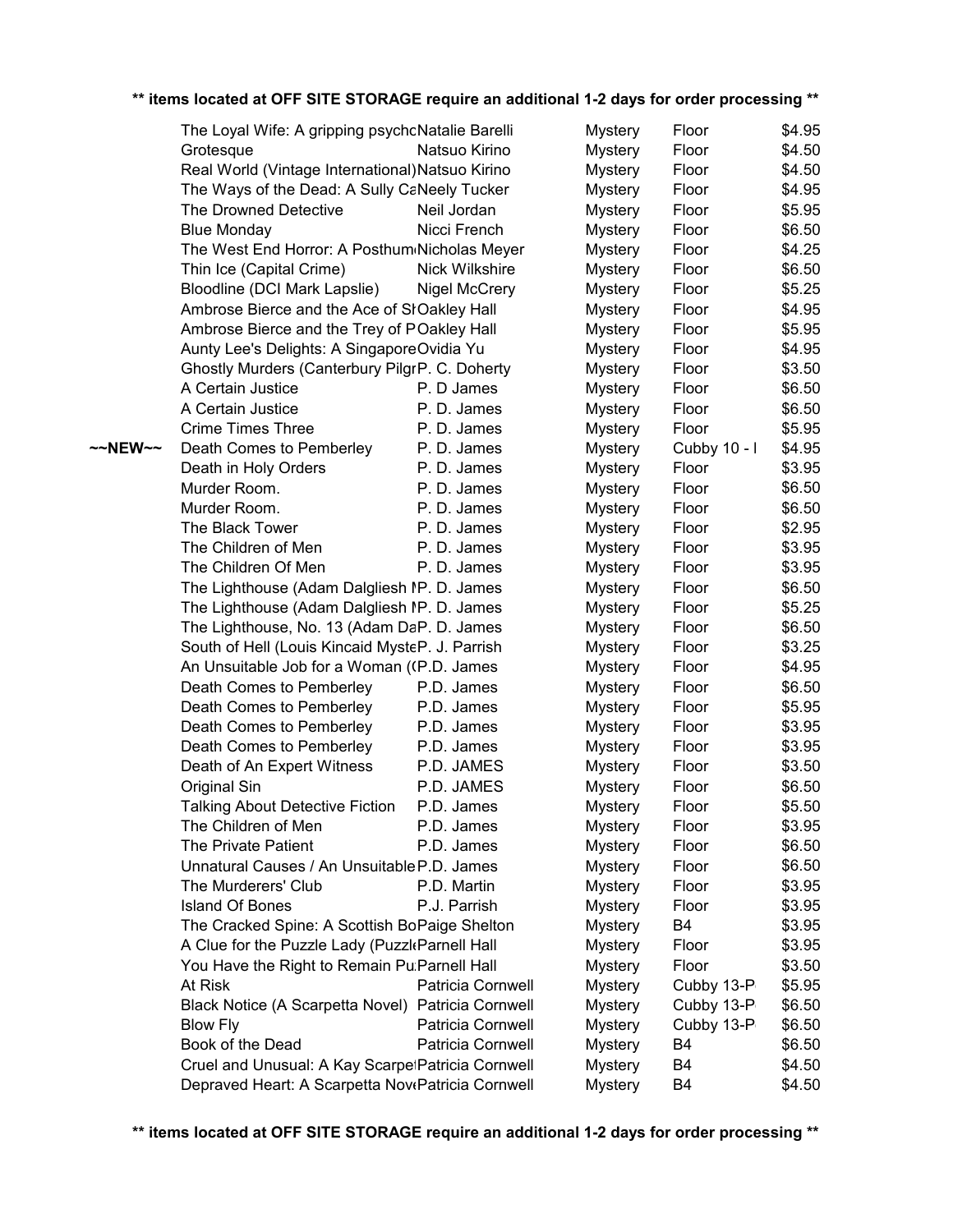|         | The Loyal Wife: A gripping psychoNatalie Barelli   |                      | <b>Mystery</b> | Floor          | \$4.95 |
|---------|----------------------------------------------------|----------------------|----------------|----------------|--------|
|         | Grotesque                                          | Natsuo Kirino        | <b>Mystery</b> | Floor          | \$4.50 |
|         | Real World (Vintage International) Natsuo Kirino   |                      | <b>Mystery</b> | Floor          | \$4.50 |
|         | The Ways of the Dead: A Sully CaNeely Tucker       |                      | <b>Mystery</b> | Floor          | \$4.95 |
|         | The Drowned Detective                              | Neil Jordan          | <b>Mystery</b> | Floor          | \$5.95 |
|         | <b>Blue Monday</b>                                 | Nicci French         | <b>Mystery</b> | Floor          | \$6.50 |
|         | The West End Horror: A Posthum Nicholas Meyer      |                      | <b>Mystery</b> | Floor          | \$4.25 |
|         | Thin Ice (Capital Crime)                           | Nick Wilkshire       | <b>Mystery</b> | Floor          | \$6.50 |
|         | Bloodline (DCI Mark Lapslie)                       | <b>Nigel McCrery</b> | <b>Mystery</b> | Floor          | \$5.25 |
|         | Ambrose Bierce and the Ace of SłOakley Hall        |                      | <b>Mystery</b> | Floor          | \$4.95 |
|         | Ambrose Bierce and the Trey of POakley Hall        |                      | <b>Mystery</b> | Floor          | \$5.95 |
|         | Aunty Lee's Delights: A SingaporeOvidia Yu         |                      | <b>Mystery</b> | Floor          | \$4.95 |
|         | Ghostly Murders (Canterbury PilgrP. C. Doherty     |                      | <b>Mystery</b> | Floor          | \$3.50 |
|         | A Certain Justice                                  | P. D James           | <b>Mystery</b> | Floor          | \$6.50 |
|         | A Certain Justice                                  | P.D. James           | <b>Mystery</b> | Floor          | \$6.50 |
|         | <b>Crime Times Three</b>                           | P.D. James           | <b>Mystery</b> | Floor          | \$5.95 |
| ~~NEW~~ | Death Comes to Pemberley                           | P.D. James           | <b>Mystery</b> | Cubby 10 - I   | \$4.95 |
|         | Death in Holy Orders                               | P.D. James           | <b>Mystery</b> | Floor          | \$3.95 |
|         | Murder Room.                                       | P.D. James           | <b>Mystery</b> | Floor          | \$6.50 |
|         | Murder Room.                                       | P.D. James           | <b>Mystery</b> | Floor          | \$6.50 |
|         | The Black Tower                                    | P.D. James           | <b>Mystery</b> | Floor          | \$2.95 |
|         | The Children of Men                                | P.D. James           | <b>Mystery</b> | Floor          | \$3.95 |
|         | The Children Of Men                                | P.D. James           | <b>Mystery</b> | Floor          | \$3.95 |
|         | The Lighthouse (Adam Dalgliesh IP. D. James        |                      | <b>Mystery</b> | Floor          | \$6.50 |
|         | The Lighthouse (Adam Dalgliesh IP. D. James        |                      | <b>Mystery</b> | Floor          | \$5.25 |
|         | The Lighthouse, No. 13 (Adam DaP. D. James         |                      | <b>Mystery</b> | Floor          | \$6.50 |
|         | South of Hell (Louis Kincaid MysteP. J. Parrish    |                      | <b>Mystery</b> | Floor          | \$3.25 |
|         | An Unsuitable Job for a Woman ((P.D. James         |                      | <b>Mystery</b> | Floor          | \$4.95 |
|         | Death Comes to Pemberley                           | P.D. James           | <b>Mystery</b> | Floor          | \$6.50 |
|         | Death Comes to Pemberley                           | P.D. James           | <b>Mystery</b> | Floor          | \$5.95 |
|         | Death Comes to Pemberley                           | P.D. James           | <b>Mystery</b> | Floor          | \$3.95 |
|         | Death Comes to Pemberley                           | P.D. James           | <b>Mystery</b> | Floor          | \$3.95 |
|         | Death of An Expert Witness                         | P.D. JAMES           | <b>Mystery</b> | Floor          | \$3.50 |
|         | Original Sin                                       | P.D. JAMES           | <b>Mystery</b> | Floor          | \$6.50 |
|         | <b>Talking About Detective Fiction</b>             | P.D. James           | <b>Mystery</b> | Floor          | \$5.50 |
|         | The Children of Men                                | P.D. James           | <b>Mystery</b> | Floor          | \$3.95 |
|         | The Private Patient                                | P.D. James           | <b>Mystery</b> | Floor          | \$6.50 |
|         | Unnatural Causes / An Unsuitable P.D. James        |                      | <b>Mystery</b> | Floor          | \$6.50 |
|         | The Murderers' Club                                | P.D. Martin          | <b>Mystery</b> | Floor          | \$3.95 |
|         | <b>Island Of Bones</b>                             | P.J. Parrish         | <b>Mystery</b> | Floor          | \$3.95 |
|         | The Cracked Spine: A Scottish BoPaige Shelton      |                      | <b>Mystery</b> | B4             | \$3.95 |
|         | A Clue for the Puzzle Lady (Puzzl Parnell Hall     |                      | <b>Mystery</b> | Floor          | \$3.95 |
|         | You Have the Right to Remain Pu: Parnell Hall      |                      | <b>Mystery</b> | Floor          | \$3.50 |
|         | At Risk                                            | Patricia Cornwell    | <b>Mystery</b> | Cubby 13-P     | \$5.95 |
|         | Black Notice (A Scarpetta Novel) Patricia Cornwell |                      | <b>Mystery</b> | Cubby 13-P     | \$6.50 |
|         | <b>Blow Fly</b>                                    | Patricia Cornwell    | <b>Mystery</b> | Cubby 13-P     | \$6.50 |
|         | Book of the Dead                                   | Patricia Cornwell    | <b>Mystery</b> | B4             | \$6.50 |
|         | Cruel and Unusual: A Kay ScarpetPatricia Cornwell  |                      | <b>Mystery</b> | B <sub>4</sub> | \$4.50 |
|         | Depraved Heart: A Scarpetta NovePatricia Cornwell  |                      | <b>Mystery</b> | B4             | \$4.50 |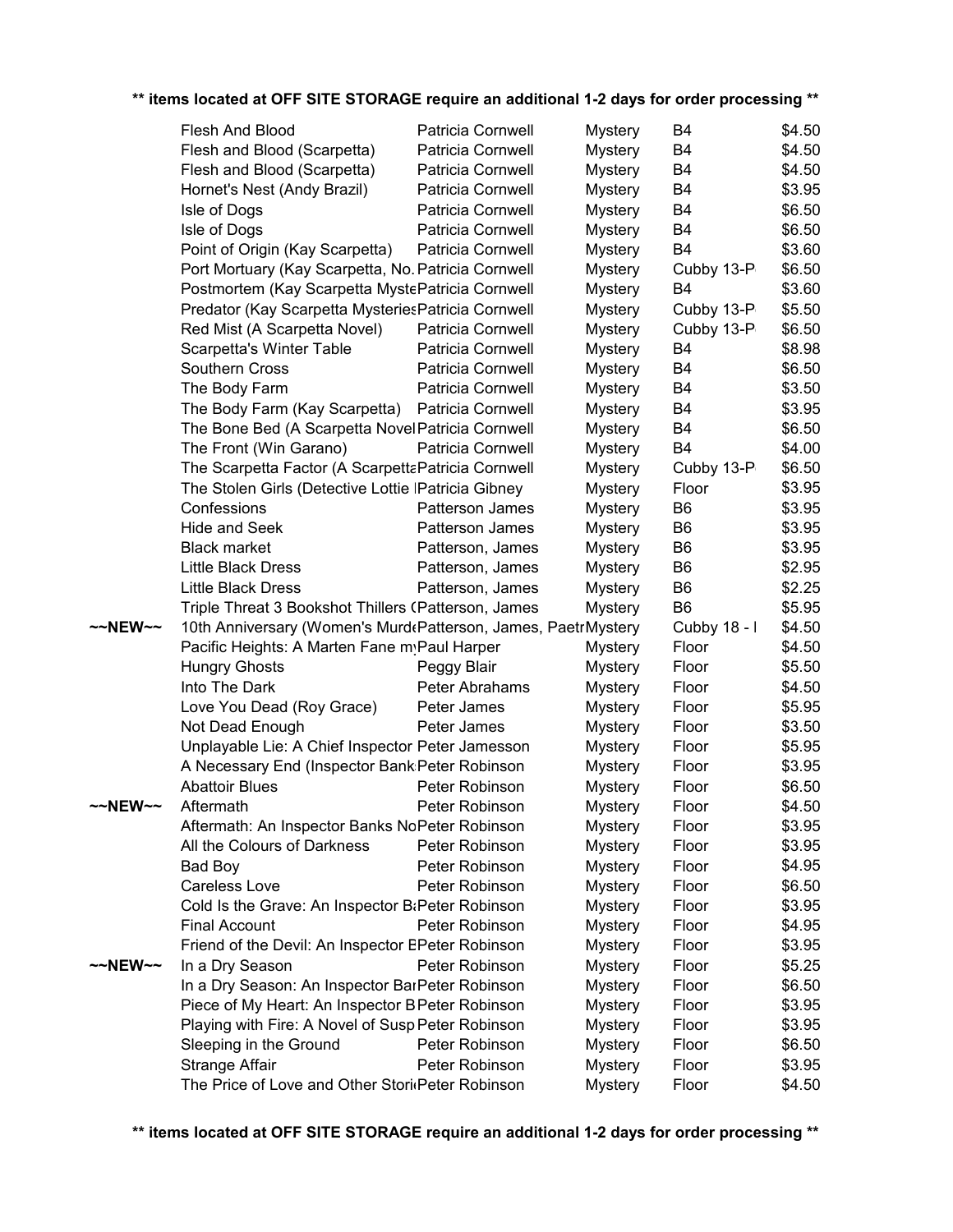|         | Flesh And Blood                                                | Patricia Cornwell        | <b>Mystery</b> | B4             | \$4.50 |  |
|---------|----------------------------------------------------------------|--------------------------|----------------|----------------|--------|--|
|         | Flesh and Blood (Scarpetta)                                    | Patricia Cornwell        | <b>Mystery</b> | B <sub>4</sub> | \$4.50 |  |
|         | Flesh and Blood (Scarpetta)                                    | Patricia Cornwell        | <b>Mystery</b> | B <sub>4</sub> | \$4.50 |  |
|         | Hornet's Nest (Andy Brazil)                                    | Patricia Cornwell        | <b>Mystery</b> | B <sub>4</sub> | \$3.95 |  |
|         | Isle of Dogs                                                   | Patricia Cornwell        | <b>Mystery</b> | B <sub>4</sub> | \$6.50 |  |
|         | Isle of Dogs                                                   | Patricia Cornwell        | <b>Mystery</b> | B4             | \$6.50 |  |
|         | Point of Origin (Kay Scarpetta)                                | Patricia Cornwell        | <b>Mystery</b> | B <sub>4</sub> | \$3.60 |  |
|         | Port Mortuary (Kay Scarpetta, No. Patricia Cornwell            |                          | <b>Mystery</b> | Cubby 13-P     | \$6.50 |  |
|         | Postmortem (Kay Scarpetta MystePatricia Cornwell               |                          | <b>Mystery</b> | B <sub>4</sub> | \$3.60 |  |
|         | Predator (Kay Scarpetta Mysteries Patricia Cornwell            |                          | <b>Mystery</b> | Cubby 13-P     | \$5.50 |  |
|         | Red Mist (A Scarpetta Novel)                                   | Patricia Cornwell        | <b>Mystery</b> | Cubby 13-P     | \$6.50 |  |
|         | Scarpetta's Winter Table                                       | Patricia Cornwell        | <b>Mystery</b> | B <sub>4</sub> | \$8.98 |  |
|         | Southern Cross                                                 | Patricia Cornwell        | <b>Mystery</b> | B4             | \$6.50 |  |
|         | The Body Farm                                                  | Patricia Cornwell        | <b>Mystery</b> | B <sub>4</sub> | \$3.50 |  |
|         | The Body Farm (Kay Scarpetta)                                  | Patricia Cornwell        | <b>Mystery</b> | B4             | \$3.95 |  |
|         | The Bone Bed (A Scarpetta Novel Patricia Cornwell              |                          | <b>Mystery</b> | B <sub>4</sub> | \$6.50 |  |
|         | The Front (Win Garano)                                         | <b>Patricia Cornwell</b> | <b>Mystery</b> | B <sub>4</sub> | \$4.00 |  |
|         | The Scarpetta Factor (A ScarpettaPatricia Cornwell             |                          |                |                | \$6.50 |  |
|         |                                                                |                          | <b>Mystery</b> | Cubby 13-P     |        |  |
|         | The Stolen Girls (Detective Lottie IPatricia Gibney            |                          | Mystery        | Floor          | \$3.95 |  |
|         | Confessions                                                    | Patterson James          | <b>Mystery</b> | B <sub>6</sub> | \$3.95 |  |
|         | <b>Hide and Seek</b>                                           | Patterson James          | <b>Mystery</b> | B <sub>6</sub> | \$3.95 |  |
|         | <b>Black market</b>                                            | Patterson, James         | <b>Mystery</b> | B <sub>6</sub> | \$3.95 |  |
|         | <b>Little Black Dress</b>                                      | Patterson, James         | <b>Mystery</b> | B <sub>6</sub> | \$2.95 |  |
|         | <b>Little Black Dress</b>                                      | Patterson, James         | <b>Mystery</b> | B <sub>6</sub> | \$2.25 |  |
|         | Triple Threat 3 Bookshot Thillers (Patterson, James            |                          | <b>Mystery</b> | B <sub>6</sub> | \$5.95 |  |
| ~~NEW~~ | 10th Anniversary (Women's Murd Patterson, James, Paetr Mystery |                          |                | Cubby 18 - I   | \$4.50 |  |
|         | Pacific Heights: A Marten Fane myPaul Harper                   |                          | <b>Mystery</b> | Floor          | \$4.50 |  |
|         | <b>Hungry Ghosts</b>                                           | Peggy Blair              | <b>Mystery</b> | Floor          | \$5.50 |  |
|         | Into The Dark                                                  | Peter Abrahams           | <b>Mystery</b> | Floor          | \$4.50 |  |
|         | Love You Dead (Roy Grace)                                      | Peter James              | <b>Mystery</b> | Floor          | \$5.95 |  |
|         | Not Dead Enough                                                | Peter James              | <b>Mystery</b> | Floor          | \$3.50 |  |
|         | Unplayable Lie: A Chief Inspector Peter Jamesson               |                          | <b>Mystery</b> | Floor          | \$5.95 |  |
|         | A Necessary End (Inspector Bank: Peter Robinson                |                          | <b>Mystery</b> | Floor          | \$3.95 |  |
|         | <b>Abattoir Blues</b>                                          | Peter Robinson           | <b>Mystery</b> | Floor          | \$6.50 |  |
| ~~NEW~~ | Aftermath                                                      | Peter Robinson           | Mystery        | Floor          | \$4.50 |  |
|         | Aftermath: An Inspector Banks NoPeter Robinson                 |                          | <b>Mystery</b> | Floor          | \$3.95 |  |
|         | All the Colours of Darkness                                    | Peter Robinson           | <b>Mystery</b> | Floor          | \$3.95 |  |
|         | Bad Boy                                                        | Peter Robinson           | <b>Mystery</b> | Floor          | \$4.95 |  |
|         | Careless Love                                                  | Peter Robinson           | <b>Mystery</b> | Floor          | \$6.50 |  |
|         | Cold Is the Grave: An Inspector B&Peter Robinson               |                          | <b>Mystery</b> | Floor          | \$3.95 |  |
|         | <b>Final Account</b>                                           | Peter Robinson           | <b>Mystery</b> | Floor          | \$4.95 |  |
|         | Friend of the Devil: An Inspector EPeter Robinson              |                          | <b>Mystery</b> | Floor          | \$3.95 |  |
| ~~NEW~~ | In a Dry Season                                                | Peter Robinson           | <b>Mystery</b> | Floor          | \$5.25 |  |
|         | In a Dry Season: An Inspector BarPeter Robinson                |                          | <b>Mystery</b> | Floor          | \$6.50 |  |
|         | Piece of My Heart: An Inspector B Peter Robinson               |                          | <b>Mystery</b> | Floor          | \$3.95 |  |
|         | Playing with Fire: A Novel of Susp Peter Robinson              |                          | <b>Mystery</b> | Floor          | \$3.95 |  |
|         | Sleeping in the Ground                                         | Peter Robinson           | <b>Mystery</b> | Floor          | \$6.50 |  |
|         | Strange Affair                                                 | Peter Robinson           | <b>Mystery</b> | Floor          | \$3.95 |  |
|         | The Price of Love and Other Stori Peter Robinson               |                          | <b>Mystery</b> | Floor          | \$4.50 |  |
|         |                                                                |                          |                |                |        |  |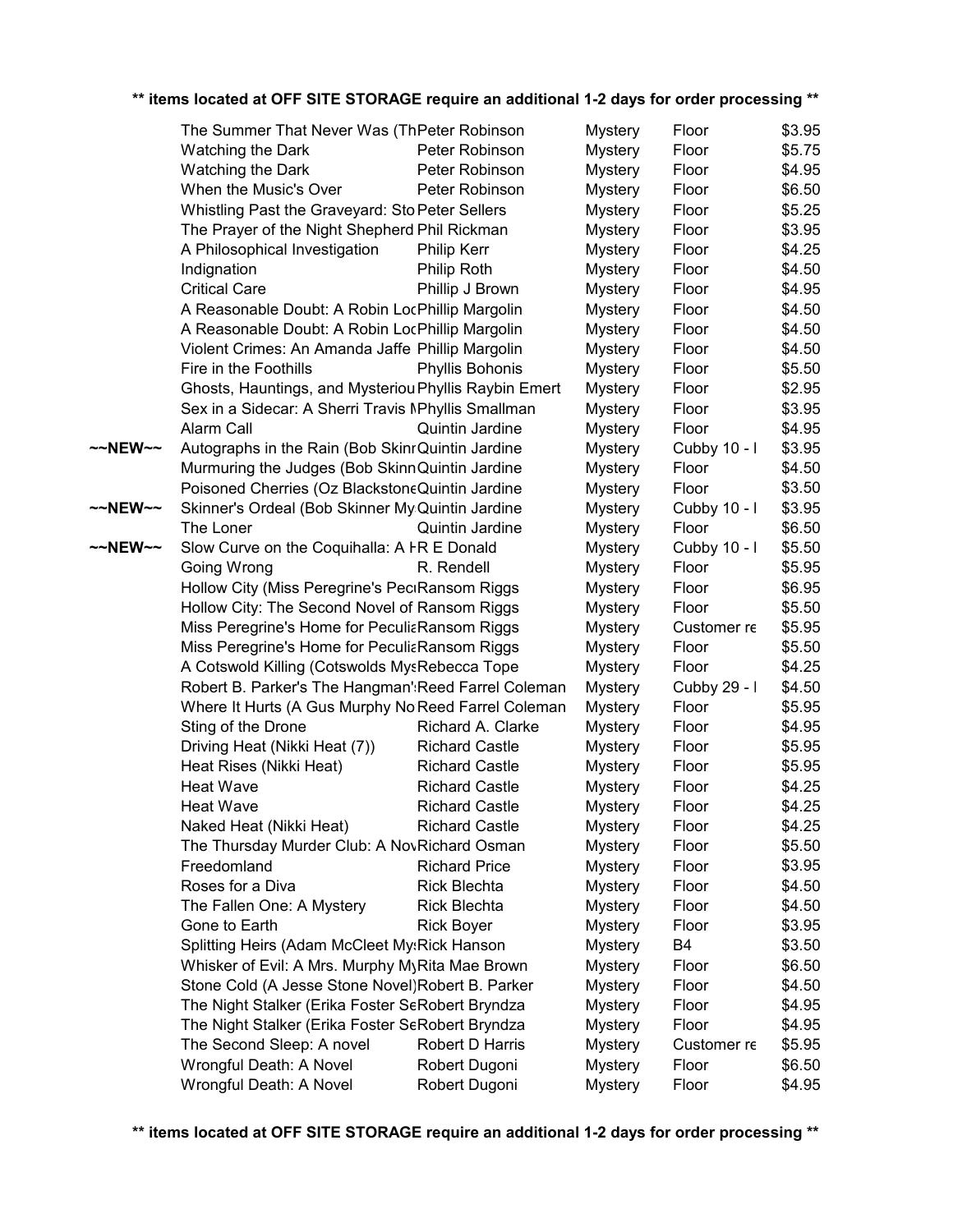|         | The Summer That Never Was (ThPeter Robinson           |                       | <b>Mystery</b> | Floor        | \$3.95 |
|---------|-------------------------------------------------------|-----------------------|----------------|--------------|--------|
|         | Watching the Dark                                     | Peter Robinson        | <b>Mystery</b> | Floor        | \$5.75 |
|         | Watching the Dark                                     | Peter Robinson        | <b>Mystery</b> | Floor        | \$4.95 |
|         | When the Music's Over                                 | Peter Robinson        | <b>Mystery</b> | Floor        | \$6.50 |
|         | Whistling Past the Graveyard: Sto Peter Sellers       |                       | <b>Mystery</b> | Floor        | \$5.25 |
|         | The Prayer of the Night Shepherd Phil Rickman         |                       | <b>Mystery</b> | Floor        | \$3.95 |
|         | A Philosophical Investigation                         | <b>Philip Kerr</b>    | <b>Mystery</b> | Floor        | \$4.25 |
|         | Indignation                                           | Philip Roth           | <b>Mystery</b> | Floor        | \$4.50 |
|         | <b>Critical Care</b>                                  | Phillip J Brown       | <b>Mystery</b> | Floor        | \$4.95 |
|         | A Reasonable Doubt: A Robin LocPhillip Margolin       |                       | <b>Mystery</b> | Floor        | \$4.50 |
|         | A Reasonable Doubt: A Robin LocPhillip Margolin       |                       | <b>Mystery</b> | Floor        | \$4.50 |
|         | Violent Crimes: An Amanda Jaffe Phillip Margolin      |                       | <b>Mystery</b> | Floor        | \$4.50 |
|         | Fire in the Foothills                                 | Phyllis Bohonis       | <b>Mystery</b> | Floor        | \$5.50 |
|         | Ghosts, Hauntings, and Mysteriou Phyllis Raybin Emert |                       | <b>Mystery</b> | Floor        | \$2.95 |
|         | Sex in a Sidecar: A Sherri Travis MPhyllis Smallman   |                       | <b>Mystery</b> | Floor        | \$3.95 |
|         | Alarm Call                                            | Quintin Jardine       | <b>Mystery</b> | Floor        | \$4.95 |
| ~~NEW~~ | Autographs in the Rain (Bob SkinrQuintin Jardine      |                       | <b>Mystery</b> | Cubby 10 - I | \$3.95 |
|         | Murmuring the Judges (Bob SkinnQuintin Jardine        |                       | <b>Mystery</b> | Floor        | \$4.50 |
|         | Poisoned Cherries (Oz BlackstoneQuintin Jardine       |                       | <b>Mystery</b> | Floor        | \$3.50 |
| ~~NEW~~ | Skinner's Ordeal (Bob Skinner My: Quintin Jardine     |                       | <b>Mystery</b> | Cubby 10 - I | \$3.95 |
|         | The Loner                                             | Quintin Jardine       | Mystery        | Floor        | \$6.50 |
| ~~NEW~~ | Slow Curve on the Coquihalla: A FR E Donald           |                       | <b>Mystery</b> | Cubby 10 - I | \$5.50 |
|         | Going Wrong                                           | R. Rendell            | <b>Mystery</b> | Floor        | \$5.95 |
|         | Hollow City (Miss Peregrine's PeciRansom Riggs        |                       | <b>Mystery</b> | Floor        | \$6.95 |
|         | Hollow City: The Second Novel of Ransom Riggs         |                       | <b>Mystery</b> | Floor        | \$5.50 |
|         | Miss Peregrine's Home for PeculiaRansom Riggs         |                       | <b>Mystery</b> | Customer re  | \$5.95 |
|         | Miss Peregrine's Home for PeculiaRansom Riggs         |                       | <b>Mystery</b> | Floor        | \$5.50 |
|         | A Cotswold Killing (Cotswolds MysRebecca Tope         |                       | <b>Mystery</b> | Floor        | \$4.25 |
|         | Robert B. Parker's The Hangman': Reed Farrel Coleman  |                       | <b>Mystery</b> | Cubby 29 - I | \$4.50 |
|         | Where It Hurts (A Gus Murphy No Reed Farrel Coleman   |                       | Mystery        | Floor        | \$5.95 |
|         | Sting of the Drone                                    | Richard A. Clarke     | <b>Mystery</b> | Floor        | \$4.95 |
|         | Driving Heat (Nikki Heat (7))                         | <b>Richard Castle</b> | <b>Mystery</b> | Floor        | \$5.95 |
|         | Heat Rises (Nikki Heat)                               | <b>Richard Castle</b> | <b>Mystery</b> | Floor        | \$5.95 |
|         | <b>Heat Wave</b>                                      | <b>Richard Castle</b> | <b>Mystery</b> | Floor        | \$4.25 |
|         | <b>Heat Wave</b>                                      | <b>Richard Castle</b> | <b>Mystery</b> | Floor        | \$4.25 |
|         | Naked Heat (Nikki Heat)                               | <b>Richard Castle</b> | <b>Mystery</b> | Floor        | \$4.25 |
|         | The Thursday Murder Club: A NovRichard Osman          |                       | <b>Mystery</b> | Floor        | \$5.50 |
|         | Freedomland                                           | <b>Richard Price</b>  | <b>Mystery</b> | Floor        | \$3.95 |
|         | Roses for a Diva                                      | <b>Rick Blechta</b>   | <b>Mystery</b> | Floor        | \$4.50 |
|         | The Fallen One: A Mystery                             | <b>Rick Blechta</b>   | <b>Mystery</b> | Floor        | \$4.50 |
|         | Gone to Earth                                         | <b>Rick Boyer</b>     | <b>Mystery</b> | Floor        | \$3.95 |
|         | Splitting Heirs (Adam McCleet My:Rick Hanson          |                       | <b>Mystery</b> | B4           | \$3.50 |
|         | Whisker of Evil: A Mrs. Murphy MyRita Mae Brown       |                       | <b>Mystery</b> | Floor        | \$6.50 |
|         | Stone Cold (A Jesse Stone Novel) Robert B. Parker     |                       | <b>Mystery</b> | Floor        | \$4.50 |
|         | The Night Stalker (Erika Foster SeRobert Bryndza      |                       | <b>Mystery</b> | Floor        | \$4.95 |
|         | The Night Stalker (Erika Foster SeRobert Bryndza      |                       | <b>Mystery</b> | Floor        | \$4.95 |
|         | The Second Sleep: A novel                             | Robert D Harris       | <b>Mystery</b> | Customer re  | \$5.95 |
|         | Wrongful Death: A Novel                               | Robert Dugoni         | <b>Mystery</b> | Floor        | \$6.50 |
|         | Wrongful Death: A Novel                               | Robert Dugoni         | <b>Mystery</b> | Floor        | \$4.95 |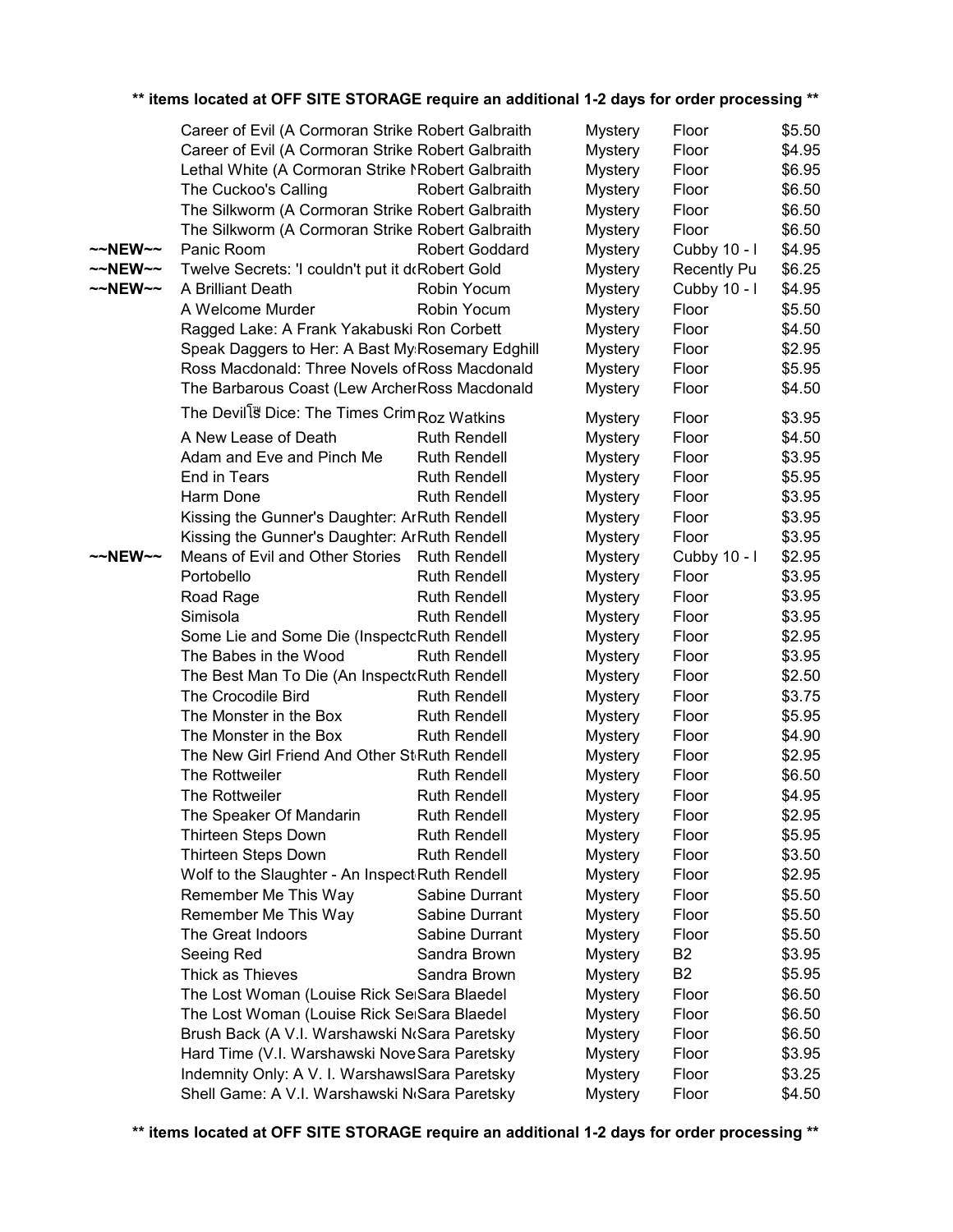|                    | Career of Evil (A Cormoran Strike Robert Galbraith       |                         | <b>Mystery</b> | Floor          | \$5.50 |
|--------------------|----------------------------------------------------------|-------------------------|----------------|----------------|--------|
|                    | Career of Evil (A Cormoran Strike Robert Galbraith       |                         | <b>Mystery</b> | Floor          | \$4.95 |
|                    | Lethal White (A Cormoran Strike NRobert Galbraith        |                         | <b>Mystery</b> | Floor          | \$6.95 |
|                    | The Cuckoo's Calling                                     | <b>Robert Galbraith</b> | <b>Mystery</b> | Floor          | \$6.50 |
|                    | The Silkworm (A Cormoran Strike Robert Galbraith         |                         | <b>Mystery</b> | Floor          | \$6.50 |
|                    | The Silkworm (A Cormoran Strike Robert Galbraith         |                         | <b>Mystery</b> | Floor          | \$6.50 |
| $\sim$ NEW $\sim$  | Panic Room                                               | Robert Goddard          | <b>Mystery</b> | Cubby 10 - I   | \$4.95 |
| $\sim$ -NEW $\sim$ | Twelve Secrets: 'I couldn't put it doRobert Gold         |                         | <b>Mystery</b> | Recently Pu    | \$6.25 |
| $\sim$ -NEW $\sim$ | A Brilliant Death                                        | Robin Yocum             | <b>Mystery</b> | Cubby 10 - I   | \$4.95 |
|                    | A Welcome Murder                                         | Robin Yocum             | <b>Mystery</b> | Floor          | \$5.50 |
|                    | Ragged Lake: A Frank Yakabuski Ron Corbett               |                         | <b>Mystery</b> | Floor          | \$4.50 |
|                    | Speak Daggers to Her: A Bast My Rosemary Edghill         |                         | Mystery        | Floor          | \$2.95 |
|                    | Ross Macdonald: Three Novels of Ross Macdonald           |                         | <b>Mystery</b> | Floor          | \$5.95 |
|                    | The Barbarous Coast (Lew ArcherRoss Macdonald            |                         | <b>Mystery</b> | Floor          | \$4.50 |
|                    |                                                          |                         |                |                |        |
|                    | The Devill <sup>3</sup> Dice: The Times Crim Roz Watkins |                         | <b>Mystery</b> | Floor          | \$3.95 |
|                    | A New Lease of Death                                     | <b>Ruth Rendell</b>     | <b>Mystery</b> | Floor          | \$4.50 |
|                    | Adam and Eve and Pinch Me                                | <b>Ruth Rendell</b>     | <b>Mystery</b> | Floor          | \$3.95 |
|                    | End in Tears                                             | <b>Ruth Rendell</b>     | <b>Mystery</b> | Floor          | \$5.95 |
|                    | Harm Done                                                | <b>Ruth Rendell</b>     | <b>Mystery</b> | Floor          | \$3.95 |
|                    | Kissing the Gunner's Daughter: ArRuth Rendell            |                         | <b>Mystery</b> | Floor          | \$3.95 |
|                    | Kissing the Gunner's Daughter: ArRuth Rendell            |                         | Mystery        | Floor          | \$3.95 |
| $\sim$ NEW $\sim$  | Means of Evil and Other Stories Ruth Rendell             |                         | <b>Mystery</b> | Cubby 10 - I   | \$2.95 |
|                    | Portobello                                               | <b>Ruth Rendell</b>     | <b>Mystery</b> | Floor          | \$3.95 |
|                    | Road Rage                                                | <b>Ruth Rendell</b>     | <b>Mystery</b> | Floor          | \$3.95 |
|                    | Simisola                                                 | <b>Ruth Rendell</b>     | <b>Mystery</b> | Floor          | \$3.95 |
|                    | Some Lie and Some Die (InspectcRuth Rendell              |                         | <b>Mystery</b> | Floor          | \$2.95 |
|                    | The Babes in the Wood                                    | <b>Ruth Rendell</b>     | <b>Mystery</b> | Floor          | \$3.95 |
|                    | The Best Man To Die (An Inspect Ruth Rendell             |                         | <b>Mystery</b> | Floor          | \$2.50 |
|                    | The Crocodile Bird                                       | <b>Ruth Rendell</b>     | <b>Mystery</b> | Floor          | \$3.75 |
|                    | The Monster in the Box                                   | <b>Ruth Rendell</b>     | <b>Mystery</b> | Floor          | \$5.95 |
|                    | The Monster in the Box                                   | <b>Ruth Rendell</b>     | <b>Mystery</b> | Floor          | \$4.90 |
|                    | The New Girl Friend And Other St Ruth Rendell            |                         | <b>Mystery</b> | Floor          | \$2.95 |
|                    | The Rottweiler                                           | <b>Ruth Rendell</b>     | <b>Mystery</b> | Floor          | \$6.50 |
|                    | The Rottweiler                                           | <b>Ruth Rendell</b>     | <b>Mystery</b> | Floor          | \$4.95 |
|                    | The Speaker Of Mandarin                                  | <b>Ruth Rendell</b>     | Mystery        | Floor          | \$2.95 |
|                    | Thirteen Steps Down                                      | <b>Ruth Rendell</b>     | <b>Mystery</b> | Floor          | \$5.95 |
|                    | Thirteen Steps Down                                      | <b>Ruth Rendell</b>     | <b>Mystery</b> | Floor          | \$3.50 |
|                    | Wolf to the Slaughter - An Inspect Ruth Rendell          |                         | <b>Mystery</b> | Floor          | \$2.95 |
|                    | Remember Me This Way                                     | Sabine Durrant          | <b>Mystery</b> | Floor          | \$5.50 |
|                    | Remember Me This Way                                     | Sabine Durrant          | <b>Mystery</b> | Floor          | \$5.50 |
|                    | The Great Indoors                                        | Sabine Durrant          |                | Floor          | \$5.50 |
|                    |                                                          | Sandra Brown            | <b>Mystery</b> | B <sub>2</sub> | \$3.95 |
|                    | Seeing Red                                               | Sandra Brown            | <b>Mystery</b> |                |        |
|                    | Thick as Thieves                                         |                         | <b>Mystery</b> | <b>B2</b>      | \$5.95 |
|                    | The Lost Woman (Louise Rick SeiSara Blaedel              |                         | <b>Mystery</b> | Floor          | \$6.50 |
|                    | The Lost Woman (Louise Rick SeiSara Blaedel              |                         | <b>Mystery</b> | Floor          | \$6.50 |
|                    | Brush Back (A V.I. Warshawski NoSara Paretsky            |                         | <b>Mystery</b> | Floor          | \$6.50 |
|                    | Hard Time (V.I. Warshawski Nove Sara Paretsky            |                         | <b>Mystery</b> | Floor          | \$3.95 |
|                    | Indemnity Only: A V. I. WarshawsISara Paretsky           |                         | <b>Mystery</b> | Floor          | \$3.25 |
|                    | Shell Game: A V.I. Warshawski NoSara Paretsky            |                         | <b>Mystery</b> | Floor          | \$4.50 |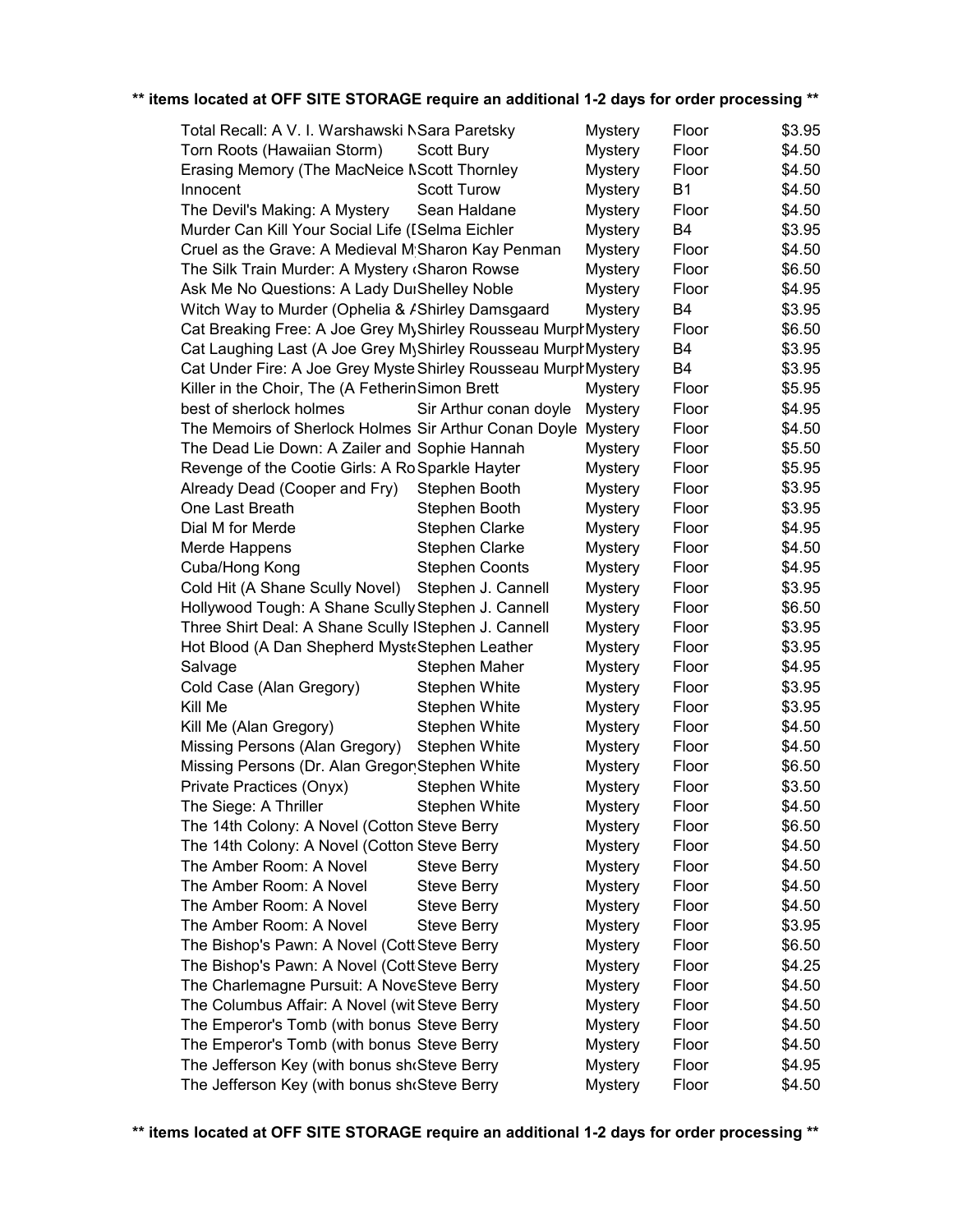| Total Recall: A V. I. Warshawski NSara Paretsky                 |                        | <b>Mystery</b> | Floor     | \$3.95 |
|-----------------------------------------------------------------|------------------------|----------------|-----------|--------|
| Torn Roots (Hawaiian Storm)                                     | <b>Scott Bury</b>      | <b>Mystery</b> | Floor     | \$4.50 |
| Erasing Memory (The MacNeice NScott Thornley                    |                        | <b>Mystery</b> | Floor     | \$4.50 |
| Innocent                                                        | <b>Scott Turow</b>     | <b>Mystery</b> | <b>B1</b> | \$4.50 |
| The Devil's Making: A Mystery                                   | Sean Haldane           | <b>Mystery</b> | Floor     | \$4.50 |
| Murder Can Kill Your Social Life (ISelma Eichler                |                        | <b>Mystery</b> | <b>B4</b> | \$3.95 |
| Cruel as the Grave: A Medieval M Sharon Kay Penman              |                        | <b>Mystery</b> | Floor     | \$4.50 |
| The Silk Train Murder: A Mystery (Sharon Rowse                  |                        | <b>Mystery</b> | Floor     | \$6.50 |
| Ask Me No Questions: A Lady DurShelley Noble                    |                        | <b>Mystery</b> | Floor     | \$4.95 |
| Witch Way to Murder (Ophelia & AShirley Damsgaard               |                        | <b>Mystery</b> | <b>B4</b> | \$3.95 |
| Cat Breaking Free: A Joe Grey MyShirley Rousseau MurphMystery   |                        |                | Floor     | \$6.50 |
| Cat Laughing Last (A Joe Grey MyShirley Rousseau MurphMystery   |                        |                | B4        | \$3.95 |
| Cat Under Fire: A Joe Grey Myste Shirley Rousseau Murph Mystery |                        |                | <b>B4</b> | \$3.95 |
| Killer in the Choir, The (A Fetherin Simon Brett                |                        | <b>Mystery</b> | Floor     | \$5.95 |
| best of sherlock holmes                                         | Sir Arthur conan doyle | <b>Mystery</b> | Floor     | \$4.95 |
| The Memoirs of Sherlock Holmes Sir Arthur Conan Doyle           |                        | <b>Mystery</b> | Floor     | \$4.50 |
| The Dead Lie Down: A Zailer and Sophie Hannah                   |                        | <b>Mystery</b> | Floor     | \$5.50 |
| Revenge of the Cootie Girls: A Ro Sparkle Hayter                |                        | <b>Mystery</b> | Floor     | \$5.95 |
| Already Dead (Cooper and Fry)                                   | Stephen Booth          | <b>Mystery</b> | Floor     | \$3.95 |
| One Last Breath                                                 | Stephen Booth          | <b>Mystery</b> | Floor     | \$3.95 |
| Dial M for Merde                                                | Stephen Clarke         | <b>Mystery</b> | Floor     | \$4.95 |
| Merde Happens                                                   | Stephen Clarke         | <b>Mystery</b> | Floor     | \$4.50 |
| Cuba/Hong Kong                                                  | <b>Stephen Coonts</b>  | <b>Mystery</b> | Floor     | \$4.95 |
| Cold Hit (A Shane Scully Novel)                                 | Stephen J. Cannell     | <b>Mystery</b> | Floor     | \$3.95 |
| Hollywood Tough: A Shane Scully Stephen J. Cannell              |                        | <b>Mystery</b> | Floor     | \$6.50 |
| Three Shirt Deal: A Shane Scully IStephen J. Cannell            |                        | <b>Mystery</b> | Floor     | \$3.95 |
| Hot Blood (A Dan Shepherd MysteStephen Leather                  |                        | <b>Mystery</b> | Floor     | \$3.95 |
| Salvage                                                         | Stephen Maher          | <b>Mystery</b> | Floor     | \$4.95 |
| Cold Case (Alan Gregory)                                        | <b>Stephen White</b>   | <b>Mystery</b> | Floor     | \$3.95 |
| Kill Me                                                         | Stephen White          | <b>Mystery</b> | Floor     | \$3.95 |
| Kill Me (Alan Gregory)                                          | Stephen White          | <b>Mystery</b> | Floor     | \$4.50 |
| Missing Persons (Alan Gregory)                                  | <b>Stephen White</b>   | <b>Mystery</b> | Floor     | \$4.50 |
| Missing Persons (Dr. Alan Gregor Stephen White                  |                        | <b>Mystery</b> | Floor     | \$6.50 |
| Private Practices (Onyx)                                        | Stephen White          | <b>Mystery</b> | Floor     | \$3.50 |
| The Siege: A Thriller                                           | <b>Stephen White</b>   | <b>Mystery</b> | Floor     | \$4.50 |
| The 14th Colony: A Novel (Cotton Steve Berry                    |                        | <b>Mystery</b> | Floor     | \$6.50 |
| The 14th Colony: A Novel (Cotton Steve Berry                    |                        | <b>Mystery</b> | Floor     | \$4.50 |
| The Amber Room: A Novel                                         | <b>Steve Berry</b>     | <b>Mystery</b> | Floor     | \$4.50 |
| The Amber Room: A Novel                                         | <b>Steve Berry</b>     | <b>Mystery</b> | Floor     | \$4.50 |
| The Amber Room: A Novel                                         | <b>Steve Berry</b>     | <b>Mystery</b> | Floor     | \$4.50 |
| The Amber Room: A Novel                                         | <b>Steve Berry</b>     | <b>Mystery</b> | Floor     | \$3.95 |
| The Bishop's Pawn: A Novel (Cott Steve Berry                    |                        | <b>Mystery</b> | Floor     | \$6.50 |
| The Bishop's Pawn: A Novel (Cott Steve Berry                    |                        | <b>Mystery</b> | Floor     | \$4.25 |
| The Charlemagne Pursuit: A NoveSteve Berry                      |                        | <b>Mystery</b> | Floor     | \$4.50 |
| The Columbus Affair: A Novel (witlSteve Berry                   |                        | <b>Mystery</b> | Floor     | \$4.50 |
| The Emperor's Tomb (with bonus Steve Berry                      |                        | <b>Mystery</b> | Floor     | \$4.50 |
| The Emperor's Tomb (with bonus Steve Berry                      |                        | <b>Mystery</b> | Floor     | \$4.50 |
| The Jefferson Key (with bonus she Steve Berry                   |                        | <b>Mystery</b> | Floor     | \$4.95 |
| The Jefferson Key (with bonus sh@Steve Berry                    |                        | <b>Mystery</b> | Floor     | \$4.50 |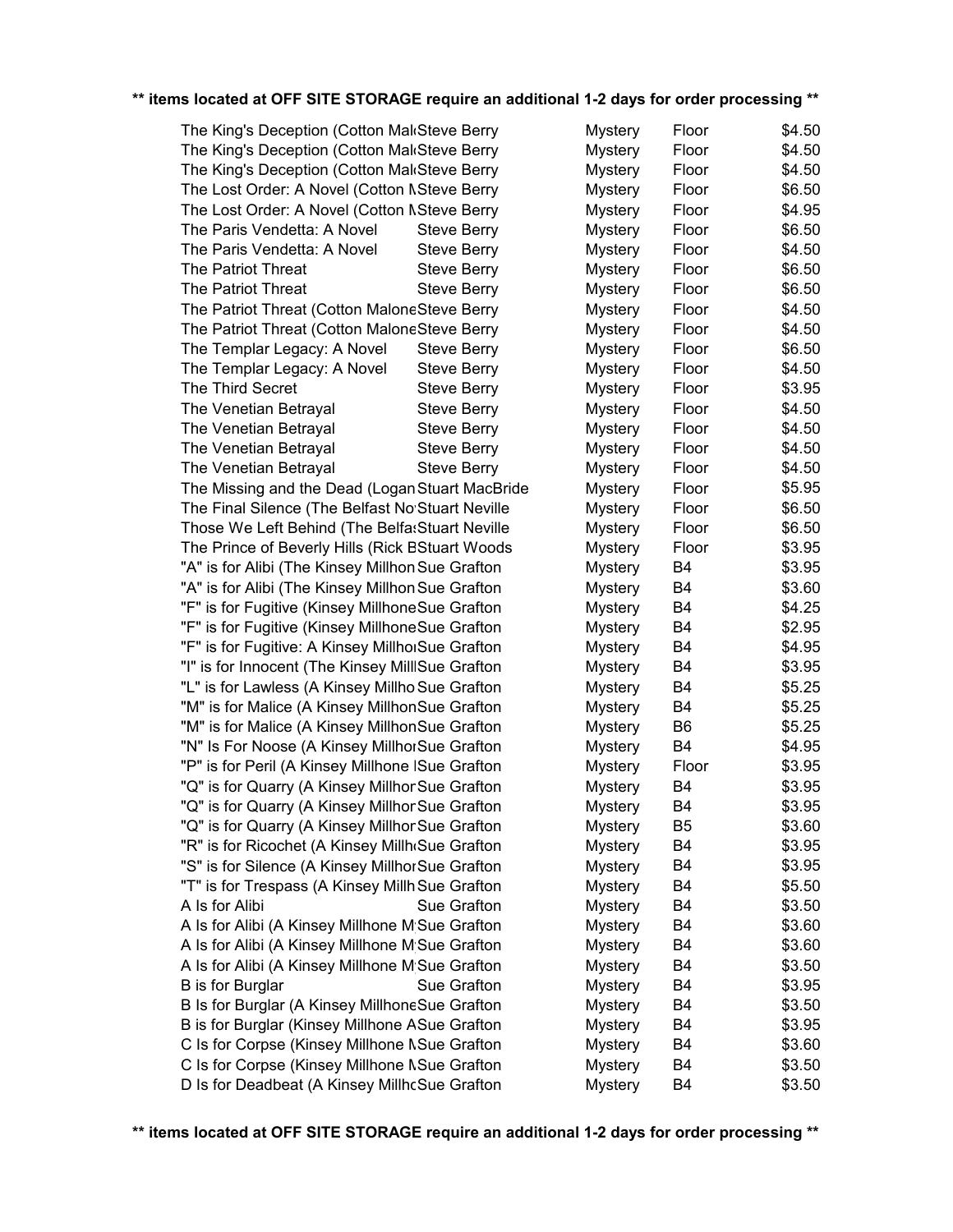| The King's Deception (Cotton MakSteve Berry      |                    | <b>Mystery</b> | Floor          | \$4.50 |
|--------------------------------------------------|--------------------|----------------|----------------|--------|
| The King's Deception (Cotton MakSteve Berry      |                    | <b>Mystery</b> | Floor          | \$4.50 |
| The King's Deception (Cotton MakSteve Berry      |                    | <b>Mystery</b> | Floor          | \$4.50 |
| The Lost Order: A Novel (Cotton NSteve Berry     |                    | <b>Mystery</b> | Floor          | \$6.50 |
| The Lost Order: A Novel (Cotton NSteve Berry     |                    | <b>Mystery</b> | Floor          | \$4.95 |
| The Paris Vendetta: A Novel                      | <b>Steve Berry</b> | <b>Mystery</b> | Floor          | \$6.50 |
| The Paris Vendetta: A Novel                      | <b>Steve Berry</b> | <b>Mystery</b> | Floor          | \$4.50 |
| <b>The Patriot Threat</b>                        | <b>Steve Berry</b> | <b>Mystery</b> | Floor          | \$6.50 |
| The Patriot Threat                               | <b>Steve Berry</b> | <b>Mystery</b> | Floor          | \$6.50 |
| The Patriot Threat (Cotton MaloneSteve Berry     |                    | <b>Mystery</b> | Floor          | \$4.50 |
| The Patriot Threat (Cotton MaloneSteve Berry     |                    | <b>Mystery</b> | Floor          | \$4.50 |
| The Templar Legacy: A Novel                      | <b>Steve Berry</b> | <b>Mystery</b> | Floor          | \$6.50 |
| The Templar Legacy: A Novel                      | <b>Steve Berry</b> | <b>Mystery</b> | Floor          | \$4.50 |
| The Third Secret                                 | <b>Steve Berry</b> | <b>Mystery</b> | Floor          | \$3.95 |
| The Venetian Betrayal                            | <b>Steve Berry</b> | <b>Mystery</b> | Floor          | \$4.50 |
| The Venetian Betrayal                            | <b>Steve Berry</b> | <b>Mystery</b> | Floor          | \$4.50 |
| The Venetian Betrayal                            | <b>Steve Berry</b> | <b>Mystery</b> | Floor          | \$4.50 |
| The Venetian Betrayal                            | <b>Steve Berry</b> | <b>Mystery</b> | Floor          | \$4.50 |
| The Missing and the Dead (Logan Stuart MacBride  |                    | <b>Mystery</b> | Floor          | \$5.95 |
| The Final Silence (The Belfast No'Stuart Neville |                    | <b>Mystery</b> | Floor          | \$6.50 |
| Those We Left Behind (The Belfa: Stuart Neville  |                    | <b>Mystery</b> | Floor          | \$6.50 |
| The Prince of Beverly Hills (Rick BStuart Woods  |                    | <b>Mystery</b> | Floor          | \$3.95 |
| "A" is for Alibi (The Kinsey Millhon Sue Grafton |                    | <b>Mystery</b> | <b>B4</b>      | \$3.95 |
| "A" is for Alibi (The Kinsey Millhon Sue Grafton |                    | <b>Mystery</b> | <b>B4</b>      | \$3.60 |
| "F" is for Fugitive (Kinsey MillhoneSue Grafton  |                    | <b>Mystery</b> | <b>B4</b>      | \$4.25 |
| "F" is for Fugitive (Kinsey MillhoneSue Grafton  |                    | <b>Mystery</b> | B <sub>4</sub> | \$2.95 |
| "F" is for Fugitive: A Kinsey MillhorSue Grafton |                    | <b>Mystery</b> | <b>B4</b>      | \$4.95 |
| "I" is for Innocent (The Kinsey MillISue Grafton |                    | <b>Mystery</b> | <b>B4</b>      | \$3.95 |
| "L" is for Lawless (A Kinsey Millho Sue Grafton  |                    | <b>Mystery</b> | <b>B4</b>      | \$5.25 |
| "M" is for Malice (A Kinsey MillhonSue Grafton   |                    | <b>Mystery</b> | <b>B4</b>      | \$5.25 |
| "M" is for Malice (A Kinsey MillhonSue Grafton   |                    | <b>Mystery</b> | B <sub>6</sub> | \$5.25 |
| "N" Is For Noose (A Kinsey MillhorSue Grafton    |                    | <b>Mystery</b> | <b>B4</b>      | \$4.95 |
| "P" is for Peril (A Kinsey Millhone ISue Grafton |                    | Mystery        | Floor          | \$3.95 |
| "Q" is for Quarry (A Kinsey MillhorSue Grafton   |                    | <b>Mystery</b> | <b>B4</b>      | \$3.95 |
| "Q" is for Quarry (A Kinsey MillhorSue Grafton   |                    | <b>Mystery</b> | <b>B4</b>      | \$3.95 |
| "Q" is for Quarry (A Kinsey MillhorSue Grafton   |                    | <b>Mystery</b> | B <sub>5</sub> | \$3.60 |
| "R" is for Ricochet (A Kinsey Millh Sue Grafton  |                    | <b>Mystery</b> | B <sub>4</sub> | \$3.95 |
| "S" is for Silence (A Kinsey MillhorSue Grafton  |                    | <b>Mystery</b> | B <sub>4</sub> | \$3.95 |
| "T" is for Trespass (A Kinsey Millh Sue Grafton  |                    | <b>Mystery</b> | B <sub>4</sub> | \$5.50 |
| A Is for Alibi                                   | Sue Grafton        | <b>Mystery</b> | B <sub>4</sub> | \$3.50 |
| A Is for Alibi (A Kinsey Millhone M Sue Grafton  |                    | <b>Mystery</b> | B4             | \$3.60 |
| A Is for Alibi (A Kinsey Millhone M Sue Grafton  |                    | <b>Mystery</b> | B4             | \$3.60 |
| A Is for Alibi (A Kinsey Millhone M'Sue Grafton  |                    | <b>Mystery</b> | B <sub>4</sub> | \$3.50 |
| B is for Burglar                                 | Sue Grafton        | <b>Mystery</b> | B <sub>4</sub> | \$3.95 |
| B Is for Burglar (A Kinsey MillhoneSue Grafton   |                    | <b>Mystery</b> | B <sub>4</sub> | \$3.50 |
| B is for Burglar (Kinsey Millhone ASue Grafton   |                    | <b>Mystery</b> | B <sub>4</sub> | \$3.95 |
| C Is for Corpse (Kinsey Millhone NSue Grafton    |                    | <b>Mystery</b> | B <sub>4</sub> | \$3.60 |
| C Is for Corpse (Kinsey Millhone NSue Grafton    |                    | <b>Mystery</b> | B <sub>4</sub> | \$3.50 |
| D Is for Deadbeat (A Kinsey MillhcSue Grafton    |                    | <b>Mystery</b> | B <sub>4</sub> | \$3.50 |
|                                                  |                    |                |                |        |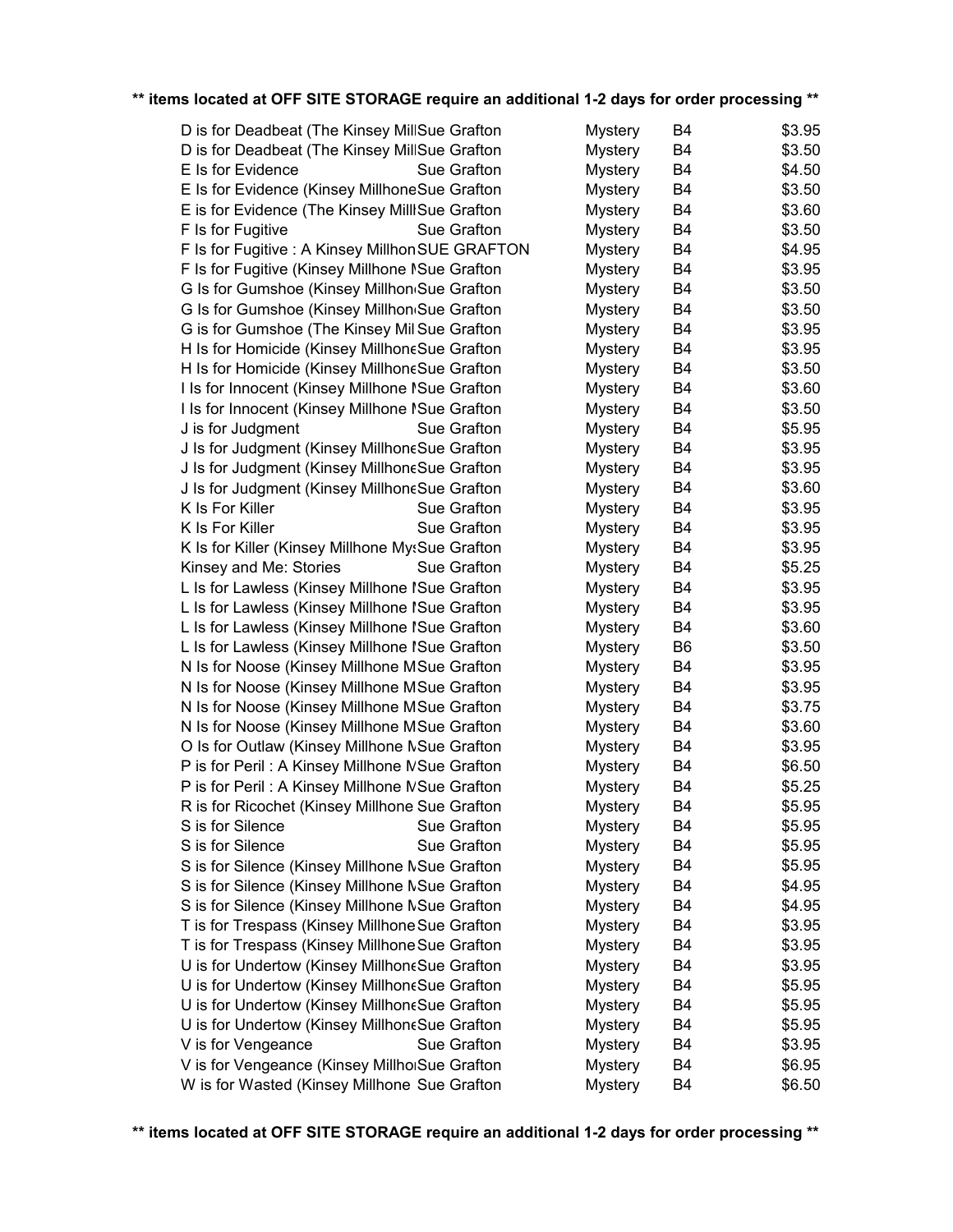| D is for Deadbeat (The Kinsey MillSue Grafton    |             | <b>Mystery</b> | B4             | \$3.95 |
|--------------------------------------------------|-------------|----------------|----------------|--------|
| D is for Deadbeat (The Kinsey MillSue Grafton    |             | <b>Mystery</b> | B4             | \$3.50 |
| E Is for Evidence                                | Sue Grafton | <b>Mystery</b> | B4             | \$4.50 |
| E Is for Evidence (Kinsey MillhoneSue Grafton    |             | <b>Mystery</b> | B4             | \$3.50 |
| E is for Evidence (The Kinsey MillISue Grafton   |             | <b>Mystery</b> | B <sub>4</sub> | \$3.60 |
| F Is for Fugitive                                | Sue Grafton | <b>Mystery</b> | B4             | \$3.50 |
| F Is for Fugitive : A Kinsey Millhon SUE GRAFTON |             | <b>Mystery</b> | B4             | \$4.95 |
| F Is for Fugitive (Kinsey Millhone NSue Grafton  |             | <b>Mystery</b> | B4             | \$3.95 |
| G Is for Gumshoe (Kinsey Millhon Sue Grafton     |             | <b>Mystery</b> | B <sub>4</sub> | \$3.50 |
| G Is for Gumshoe (Kinsey Millhon Sue Grafton     |             | <b>Mystery</b> | B4             | \$3.50 |
| G is for Gumshoe (The Kinsey MillSue Grafton     |             | <b>Mystery</b> | B4             | \$3.95 |
| H Is for Homicide (Kinsey MillhoneSue Grafton    |             | <b>Mystery</b> | B4             | \$3.95 |
| H Is for Homicide (Kinsey MillhoneSue Grafton    |             | <b>Mystery</b> | B4             | \$3.50 |
| I Is for Innocent (Kinsey Millhone ISue Grafton  |             | <b>Mystery</b> | <b>B4</b>      | \$3.60 |
| I Is for Innocent (Kinsey Millhone ISue Grafton  |             | <b>Mystery</b> | B4             | \$3.50 |
| J is for Judgment                                | Sue Grafton | <b>Mystery</b> | <b>B4</b>      | \$5.95 |
| J Is for Judgment (Kinsey MillhoneSue Grafton    |             | <b>Mystery</b> | B4             | \$3.95 |
| J Is for Judgment (Kinsey MillhoneSue Grafton    |             | <b>Mystery</b> | <b>B4</b>      | \$3.95 |
| J Is for Judgment (Kinsey MillhoneSue Grafton    |             | <b>Mystery</b> | B4             | \$3.60 |
| K Is For Killer                                  | Sue Grafton | <b>Mystery</b> | <b>B4</b>      | \$3.95 |
| K Is For Killer                                  | Sue Grafton | <b>Mystery</b> | <b>B4</b>      | \$3.95 |
| K Is for Killer (Kinsey Millhone MysSue Grafton  |             | <b>Mystery</b> | B4             | \$3.95 |
| Kinsey and Me: Stories                           | Sue Grafton | <b>Mystery</b> | B4             | \$5.25 |
| L Is for Lawless (Kinsey Millhone ISue Grafton   |             | <b>Mystery</b> | B <sub>4</sub> | \$3.95 |
| L Is for Lawless (Kinsey Millhone ISue Grafton   |             | <b>Mystery</b> | <b>B4</b>      | \$3.95 |
| L Is for Lawless (Kinsey Millhone ISue Grafton   |             | <b>Mystery</b> | <b>B4</b>      | \$3.60 |
| L Is for Lawless (Kinsey Millhone ISue Grafton   |             | <b>Mystery</b> | B <sub>6</sub> | \$3.50 |
|                                                  |             |                | <b>B4</b>      |        |
| N Is for Noose (Kinsey Millhone MSue Grafton     |             | <b>Mystery</b> |                | \$3.95 |
| N Is for Noose (Kinsey Millhone MSue Grafton     |             | Mystery        | B4             | \$3.95 |
| N Is for Noose (Kinsey Millhone MSue Grafton     |             | Mystery        | B <sub>4</sub> | \$3.75 |
| N Is for Noose (Kinsey Millhone MSue Grafton     |             | Mystery        | B4             | \$3.60 |
| O Is for Outlaw (Kinsey Millhone NSue Grafton    |             | <b>Mystery</b> | <b>B4</b>      | \$3.95 |
| P is for Peril: A Kinsey Millhone NSue Grafton   |             | <b>Mystery</b> | B4             | \$6.50 |
| P is for Peril: A Kinsey Millhone NSue Grafton   |             | <b>Mystery</b> | B4             | \$5.25 |
| R is for Ricochet (Kinsey Millhone Sue Grafton   |             | <b>Mystery</b> | <b>B4</b>      | \$5.95 |
| S is for Silence                                 | Sue Grafton | <b>Mystery</b> | B4             | \$5.95 |
| S is for Silence                                 | Sue Grafton | <b>Mystery</b> | B4             | \$5.95 |
| S is for Silence (Kinsey Millhone NSue Grafton   |             | <b>Mystery</b> | B4             | \$5.95 |
| S is for Silence (Kinsey Millhone NSue Grafton   |             | <b>Mystery</b> | B4             | \$4.95 |
| S is for Silence (Kinsey Millhone NSue Grafton   |             | <b>Mystery</b> | B4             | \$4.95 |
| T is for Trespass (Kinsey Millhone Sue Grafton   |             | <b>Mystery</b> | B4             | \$3.95 |
| T is for Trespass (Kinsey Millhone Sue Grafton   |             | <b>Mystery</b> | B4             | \$3.95 |
| U is for Undertow (Kinsey MillhoneSue Grafton    |             | <b>Mystery</b> | B <sub>4</sub> | \$3.95 |
| U is for Undertow (Kinsey MillhoneSue Grafton    |             | <b>Mystery</b> | B4             | \$5.95 |
| U is for Undertow (Kinsey MillhoneSue Grafton    |             | <b>Mystery</b> | B4             | \$5.95 |
| U is for Undertow (Kinsey MillhoneSue Grafton    |             | <b>Mystery</b> | B4             | \$5.95 |
| V is for Vengeance                               | Sue Grafton | <b>Mystery</b> | B <sub>4</sub> | \$3.95 |
| V is for Vengeance (Kinsey MillhoiSue Grafton    |             | <b>Mystery</b> | B4             | \$6.95 |
| W is for Wasted (Kinsey Millhone Sue Grafton     |             | <b>Mystery</b> | B <sub>4</sub> | \$6.50 |
|                                                  |             |                |                |        |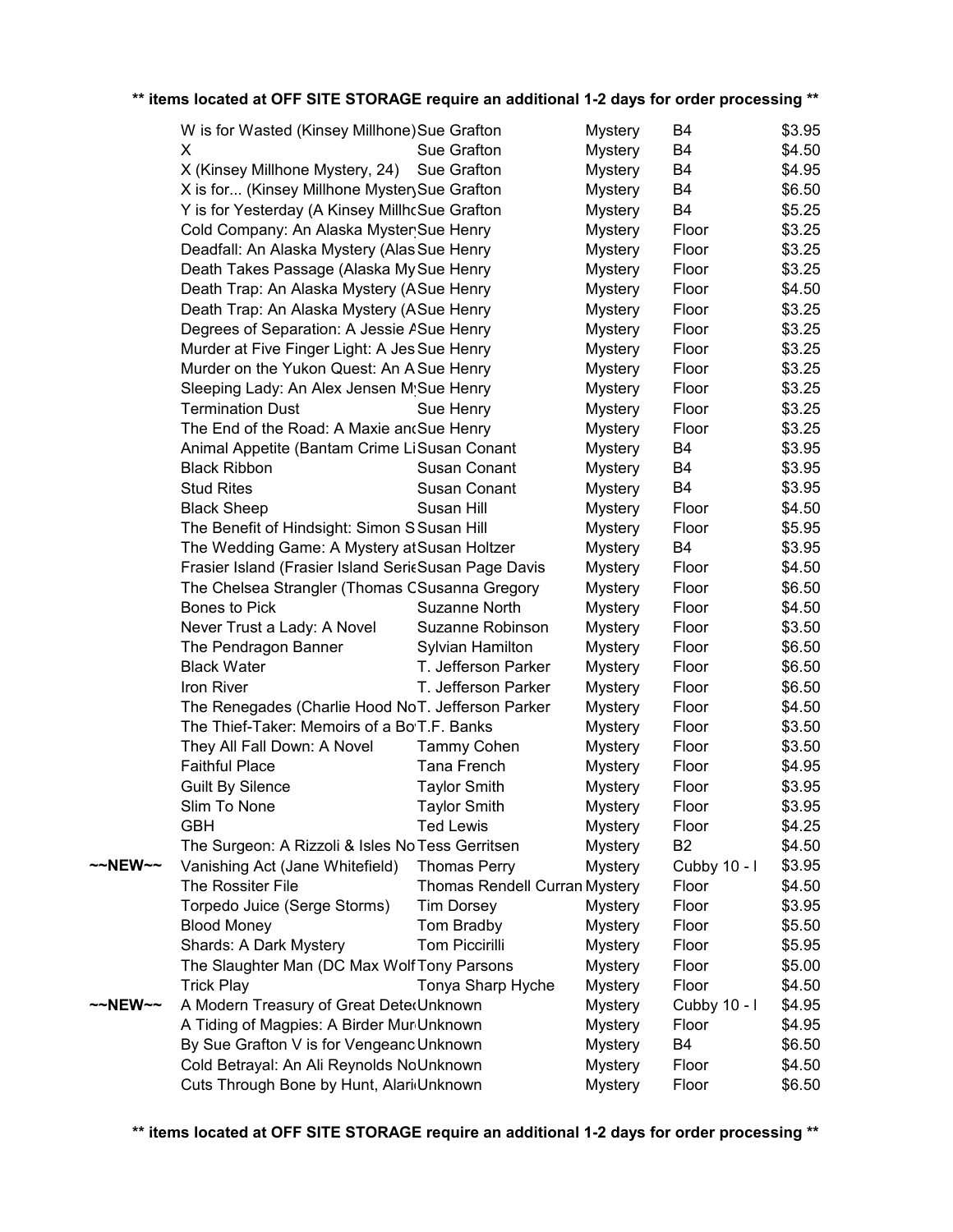|         | W is for Wasted (Kinsey Millhone) Sue Grafton        |                               | <b>Mystery</b> | B4             | \$3.95 |
|---------|------------------------------------------------------|-------------------------------|----------------|----------------|--------|
|         | X                                                    | Sue Grafton                   | <b>Mystery</b> | B4             | \$4.50 |
|         | X (Kinsey Millhone Mystery, 24)                      | Sue Grafton                   | <b>Mystery</b> | B4             | \$4.95 |
|         | X is for (Kinsey Millhone Myster Sue Grafton         |                               | <b>Mystery</b> | B4             | \$6.50 |
|         | Y is for Yesterday (A Kinsey MillhcSue Grafton       |                               | <b>Mystery</b> | <b>B4</b>      | \$5.25 |
|         | Cold Company: An Alaska MysterSue Henry              |                               | <b>Mystery</b> | Floor          | \$3.25 |
|         | Deadfall: An Alaska Mystery (Alas Sue Henry          |                               | <b>Mystery</b> | Floor          | \$3.25 |
|         | Death Takes Passage (Alaska My Sue Henry             |                               | <b>Mystery</b> | Floor          | \$3.25 |
|         | Death Trap: An Alaska Mystery (ASue Henry            |                               | <b>Mystery</b> | Floor          | \$4.50 |
|         | Death Trap: An Alaska Mystery (ASue Henry            |                               | <b>Mystery</b> | Floor          | \$3.25 |
|         | Degrees of Separation: A Jessie ASue Henry           |                               | <b>Mystery</b> | Floor          | \$3.25 |
|         | Murder at Five Finger Light: A Jes Sue Henry         |                               | <b>Mystery</b> | Floor          | \$3.25 |
|         | Murder on the Yukon Quest: An AlSue Henry            |                               | <b>Mystery</b> | Floor          | \$3.25 |
|         | Sleeping Lady: An Alex Jensen M Sue Henry            |                               | <b>Mystery</b> | Floor          | \$3.25 |
|         | <b>Termination Dust</b>                              | Sue Henry                     | <b>Mystery</b> | Floor          | \$3.25 |
|         | The End of the Road: A Maxie an Sue Henry            |                               | <b>Mystery</b> | Floor          | \$3.25 |
|         | Animal Appetite (Bantam Crime LiSusan Conant         |                               | <b>Mystery</b> | B4             | \$3.95 |
|         | <b>Black Ribbon</b>                                  | Susan Conant                  | <b>Mystery</b> | B4             | \$3.95 |
|         | <b>Stud Rites</b>                                    | Susan Conant                  | <b>Mystery</b> | B <sub>4</sub> | \$3.95 |
|         | <b>Black Sheep</b>                                   | Susan Hill                    | <b>Mystery</b> | Floor          | \$4.50 |
|         | The Benefit of Hindsight: Simon SSusan Hill          |                               | <b>Mystery</b> | Floor          | \$5.95 |
|         | The Wedding Game: A Mystery at Susan Holtzer         |                               | <b>Mystery</b> | B <sub>4</sub> | \$3.95 |
|         | Frasier Island (Frasier Island SericSusan Page Davis |                               | <b>Mystery</b> | Floor          | \$4.50 |
|         | The Chelsea Strangler (Thomas CSusanna Gregory       |                               | <b>Mystery</b> | Floor          | \$6.50 |
|         | Bones to Pick                                        | Suzanne North                 | <b>Mystery</b> | Floor          | \$4.50 |
|         | Never Trust a Lady: A Novel                          | Suzanne Robinson              | <b>Mystery</b> | Floor          | \$3.50 |
|         | The Pendragon Banner                                 | Sylvian Hamilton              | <b>Mystery</b> | Floor          | \$6.50 |
|         | <b>Black Water</b>                                   | T. Jefferson Parker           | <b>Mystery</b> | Floor          | \$6.50 |
|         | Iron River                                           | T. Jefferson Parker           | <b>Mystery</b> | Floor          | \$6.50 |
|         | The Renegades (Charlie Hood NoT. Jefferson Parker    |                               | <b>Mystery</b> | Floor          | \$4.50 |
|         | The Thief-Taker: Memoirs of a Bo'T.F. Banks          |                               | <b>Mystery</b> | Floor          | \$3.50 |
|         | They All Fall Down: A Novel                          | <b>Tammy Cohen</b>            | <b>Mystery</b> | Floor          | \$3.50 |
|         | <b>Faithful Place</b>                                | Tana French                   | <b>Mystery</b> | Floor          | \$4.95 |
|         | <b>Guilt By Silence</b>                              | <b>Taylor Smith</b>           | <b>Mystery</b> | Floor          | \$3.95 |
|         | Slim To None                                         | <b>Taylor Smith</b>           | <b>Mystery</b> | Floor          | \$3.95 |
|         | <b>GBH</b>                                           | <b>Ted Lewis</b>              | <b>Mystery</b> | Floor          | \$4.25 |
|         | The Surgeon: A Rizzoli & Isles No Tess Gerritsen     |                               | <b>Mystery</b> | B <sub>2</sub> | \$4.50 |
| ~~NEW~~ | Vanishing Act (Jane Whitefield)                      | <b>Thomas Perry</b>           | <b>Mystery</b> | Cubby 10 - I   | \$3.95 |
|         | The Rossiter File                                    | Thomas Rendell Curran Mystery |                | Floor          | \$4.50 |
|         | Torpedo Juice (Serge Storms)                         | Tim Dorsey                    | <b>Mystery</b> | Floor          | \$3.95 |
|         | <b>Blood Money</b>                                   | Tom Bradby                    | <b>Mystery</b> | Floor          | \$5.50 |
|         | Shards: A Dark Mystery                               | Tom Piccirilli                | <b>Mystery</b> | Floor          | \$5.95 |
|         | The Slaughter Man (DC Max Wolf Tony Parsons          |                               | <b>Mystery</b> | Floor          | \$5.00 |
|         | <b>Trick Play</b>                                    | Tonya Sharp Hyche             | <b>Mystery</b> | Floor          | \$4.50 |
| ~~NEW~~ | A Modern Treasury of Great DeterUnknown              |                               | <b>Mystery</b> | Cubby 10 - I   | \$4.95 |
|         | A Tiding of Magpies: A Birder MuriUnknown            |                               | <b>Mystery</b> | Floor          | \$4.95 |
|         | By Sue Grafton V is for Vengeanc Unknown             |                               | <b>Mystery</b> | B4             | \$6.50 |
|         | Cold Betrayal: An Ali Reynolds NoUnknown             |                               | <b>Mystery</b> | Floor          | \$4.50 |
|         | Cuts Through Bone by Hunt, Alarid Unknown            |                               | <b>Mystery</b> | Floor          | \$6.50 |